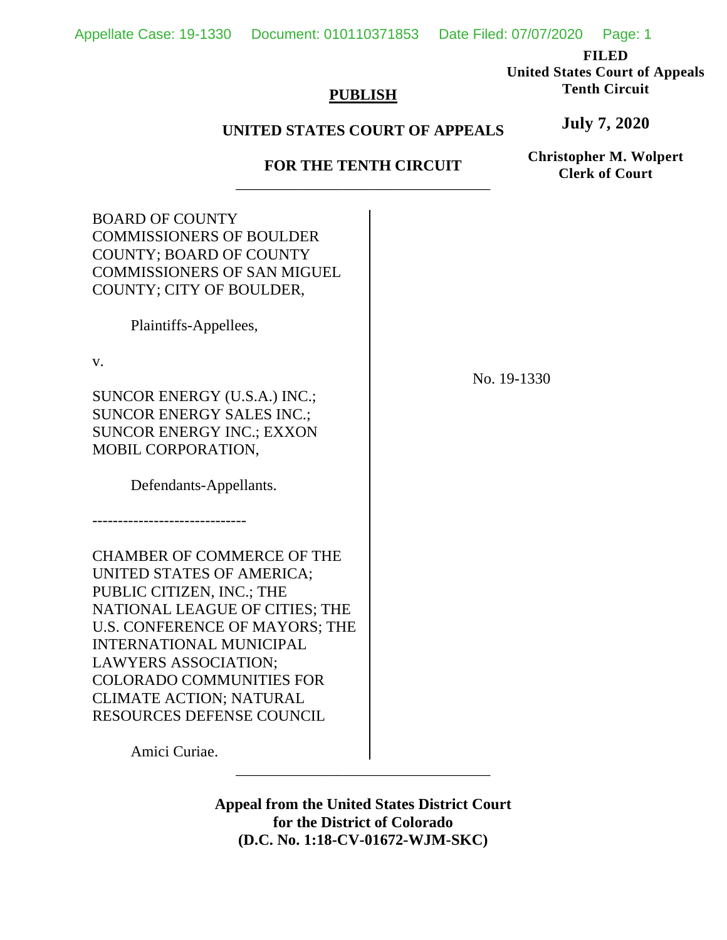Appellate Case: 19-1330 Document: 010110371853 Date Filed: 07/07/2020 Page: 1

**FILED**

**United States Court of Appeals Tenth Circuit**

**July 7, 2020**

### **PUBLISH**

## **UNITED STATES COURT OF APPEALS**

# **FOR THE TENTH CIRCUIT** \_\_\_\_\_\_\_\_\_\_\_\_\_\_\_\_\_\_\_\_\_\_\_\_\_\_\_\_\_\_\_\_\_

**Christopher M. Wolpert Clerk of Court**

| <b>BOARD OF COUNTY</b><br><b>COMMISSIONERS OF BOULDER</b><br><b>COUNTY; BOARD OF COUNTY</b><br><b>COMMISSIONERS OF SAN MIGUEL</b><br>COUNTY; CITY OF BOULDER,                                                                                                                                                                             |             |
|-------------------------------------------------------------------------------------------------------------------------------------------------------------------------------------------------------------------------------------------------------------------------------------------------------------------------------------------|-------------|
| Plaintiffs-Appellees,                                                                                                                                                                                                                                                                                                                     |             |
| V.<br>SUNCOR ENERGY (U.S.A.) INC.;<br><b>SUNCOR ENERGY SALES INC.;</b><br><b>SUNCOR ENERGY INC.; EXXON</b><br>MOBIL CORPORATION,                                                                                                                                                                                                          | No. 19-1330 |
| Defendants-Appellants.                                                                                                                                                                                                                                                                                                                    |             |
|                                                                                                                                                                                                                                                                                                                                           |             |
| <b>CHAMBER OF COMMERCE OF THE</b><br>UNITED STATES OF AMERICA;<br>PUBLIC CITIZEN, INC.; THE<br>NATIONAL LEAGUE OF CITIES; THE<br>U.S. CONFERENCE OF MAYORS; THE<br><b>INTERNATIONAL MUNICIPAL</b><br><b>LAWYERS ASSOCIATION;</b><br><b>COLORADO COMMUNITIES FOR</b><br><b>CLIMATE ACTION; NATURAL</b><br><b>RESOURCES DEFENSE COUNCIL</b> |             |
| Amici Curiae.                                                                                                                                                                                                                                                                                                                             |             |
|                                                                                                                                                                                                                                                                                                                                           |             |

**Appeal from the United States District Court for the District of Colorado (D.C. No. 1:18-CV-01672-WJM-SKC)**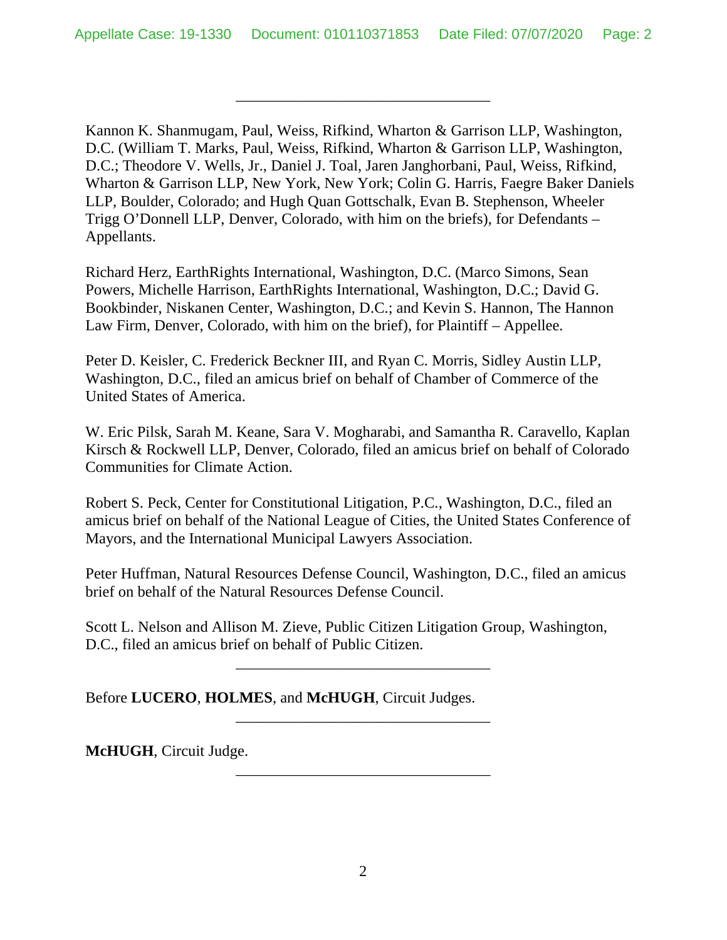\_\_\_\_\_\_\_\_\_\_\_\_\_\_\_\_\_\_\_\_\_\_\_\_\_\_\_\_\_\_\_\_\_

Kannon K. Shanmugam, Paul, Weiss, Rifkind, Wharton & Garrison LLP, Washington, D.C. (William T. Marks, Paul, Weiss, Rifkind, Wharton & Garrison LLP, Washington, D.C.; Theodore V. Wells, Jr., Daniel J. Toal, Jaren Janghorbani, Paul, Weiss, Rifkind, Wharton & Garrison LLP, New York, New York; Colin G. Harris, Faegre Baker Daniels LLP, Boulder, Colorado; and Hugh Quan Gottschalk, Evan B. Stephenson, Wheeler Trigg O'Donnell LLP, Denver, Colorado, with him on the briefs), for Defendants – Appellants.

Richard Herz, EarthRights International, Washington, D.C. (Marco Simons, Sean Powers, Michelle Harrison, EarthRights International, Washington, D.C.; David G. Bookbinder, Niskanen Center, Washington, D.C.; and Kevin S. Hannon, The Hannon Law Firm, Denver, Colorado, with him on the brief), for Plaintiff – Appellee.

Peter D. Keisler, C. Frederick Beckner III, and Ryan C. Morris, Sidley Austin LLP, Washington, D.C., filed an amicus brief on behalf of Chamber of Commerce of the United States of America.

W. Eric Pilsk, Sarah M. Keane, Sara V. Mogharabi, and Samantha R. Caravello, Kaplan Kirsch & Rockwell LLP, Denver, Colorado, filed an amicus brief on behalf of Colorado Communities for Climate Action.

Robert S. Peck, Center for Constitutional Litigation, P.C., Washington, D.C., filed an amicus brief on behalf of the National League of Cities, the United States Conference of Mayors, and the International Municipal Lawyers Association.

Peter Huffman, Natural Resources Defense Council, Washington, D.C., filed an amicus brief on behalf of the Natural Resources Defense Council.

Scott L. Nelson and Allison M. Zieve, Public Citizen Litigation Group, Washington, D.C., filed an amicus brief on behalf of Public Citizen.

\_\_\_\_\_\_\_\_\_\_\_\_\_\_\_\_\_\_\_\_\_\_\_\_\_\_\_\_\_\_\_\_\_

\_\_\_\_\_\_\_\_\_\_\_\_\_\_\_\_\_\_\_\_\_\_\_\_\_\_\_\_\_\_\_\_\_

\_\_\_\_\_\_\_\_\_\_\_\_\_\_\_\_\_\_\_\_\_\_\_\_\_\_\_\_\_\_\_\_\_

Before **LUCERO**, **HOLMES**, and **McHUGH**, Circuit Judges.

**McHUGH**, Circuit Judge.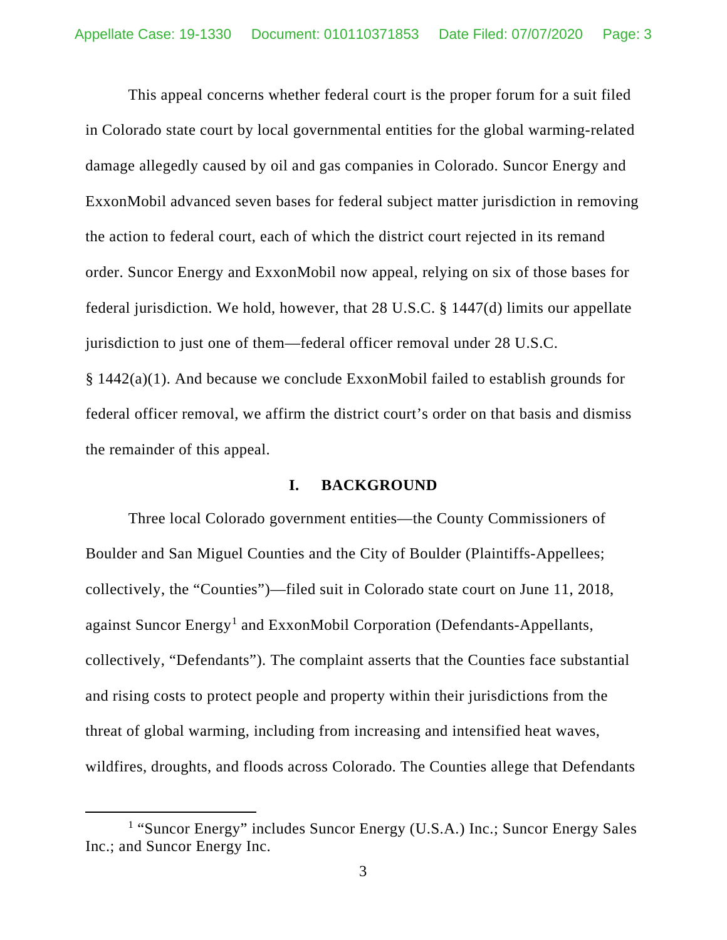This appeal concerns whether federal court is the proper forum for a suit filed in Colorado state court by local governmental entities for the global warming-related damage allegedly caused by oil and gas companies in Colorado. Suncor Energy and ExxonMobil advanced seven bases for federal subject matter jurisdiction in removing the action to federal court, each of which the district court rejected in its remand order. Suncor Energy and ExxonMobil now appeal, relying on six of those bases for federal jurisdiction. We hold, however, that 28 U.S.C. § 1447(d) limits our appellate jurisdiction to just one of them—federal officer removal under 28 U.S.C. § 1442(a)(1). And because we conclude ExxonMobil failed to establish grounds for federal officer removal, we affirm the district court's order on that basis and dismiss

the remainder of this appeal.

### **I. BACKGROUND**

Three local Colorado government entities—the County Commissioners of Boulder and San Miguel Counties and the City of Boulder (Plaintiffs-Appellees; collectively, the "Counties")—filed suit in Colorado state court on June 11, 2018, against Suncor Energy<sup>[1](#page-2-0)</sup> and ExxonMobil Corporation (Defendants-Appellants, collectively, "Defendants"). The complaint asserts that the Counties face substantial and rising costs to protect people and property within their jurisdictions from the threat of global warming, including from increasing and intensified heat waves, wildfires, droughts, and floods across Colorado. The Counties allege that Defendants

<span id="page-2-0"></span><sup>&</sup>lt;sup>1</sup> "Suncor Energy" includes Suncor Energy (U.S.A.) Inc.; Suncor Energy Sales Inc.; and Suncor Energy Inc.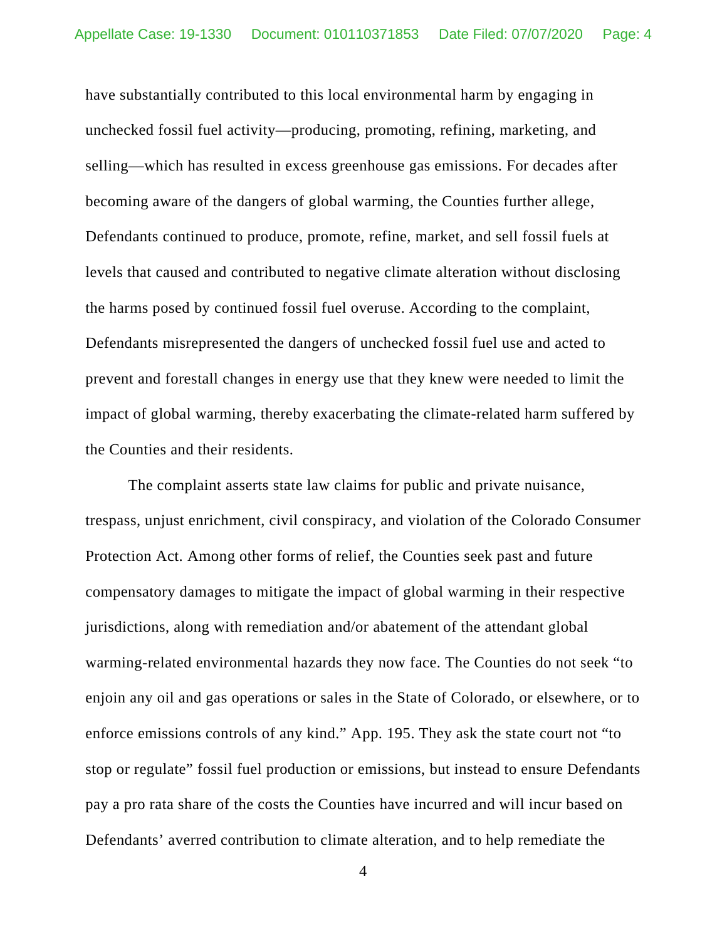have substantially contributed to this local environmental harm by engaging in unchecked fossil fuel activity—producing, promoting, refining, marketing, and selling—which has resulted in excess greenhouse gas emissions. For decades after becoming aware of the dangers of global warming, the Counties further allege, Defendants continued to produce, promote, refine, market, and sell fossil fuels at levels that caused and contributed to negative climate alteration without disclosing the harms posed by continued fossil fuel overuse. According to the complaint, Defendants misrepresented the dangers of unchecked fossil fuel use and acted to prevent and forestall changes in energy use that they knew were needed to limit the impact of global warming, thereby exacerbating the climate-related harm suffered by the Counties and their residents.

The complaint asserts state law claims for public and private nuisance, trespass, unjust enrichment, civil conspiracy, and violation of the Colorado Consumer Protection Act. Among other forms of relief, the Counties seek past and future compensatory damages to mitigate the impact of global warming in their respective jurisdictions, along with remediation and/or abatement of the attendant global warming-related environmental hazards they now face. The Counties do not seek "to enjoin any oil and gas operations or sales in the State of Colorado, or elsewhere, or to enforce emissions controls of any kind." App. 195. They ask the state court not "to stop or regulate" fossil fuel production or emissions, but instead to ensure Defendants pay a pro rata share of the costs the Counties have incurred and will incur based on Defendants' averred contribution to climate alteration, and to help remediate the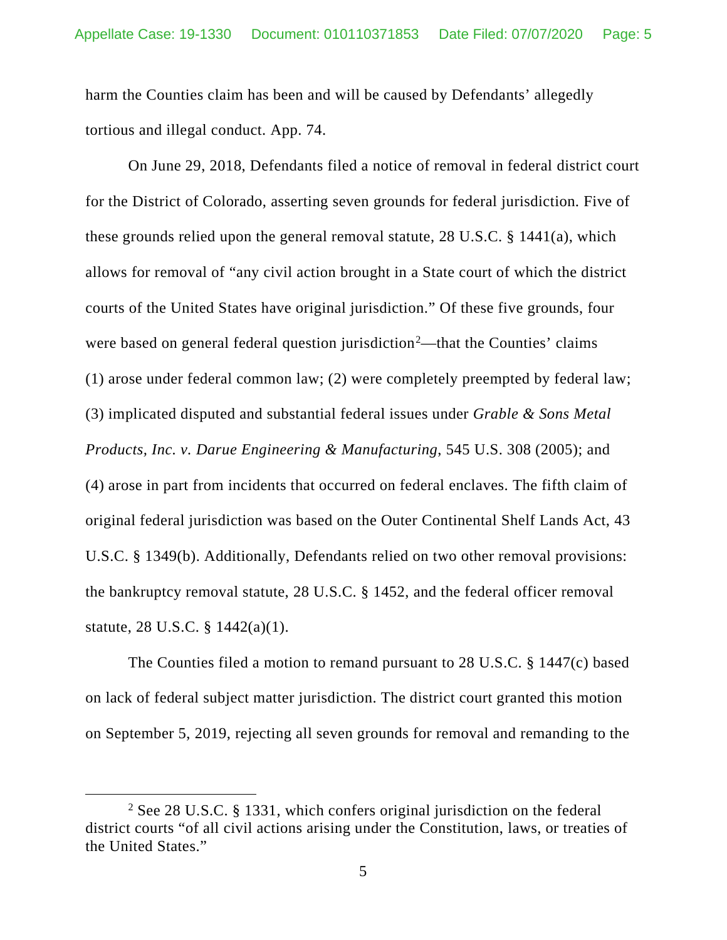harm the Counties claim has been and will be caused by Defendants' allegedly tortious and illegal conduct. App. 74.

On June 29, 2018, Defendants filed a notice of removal in federal district court for the District of Colorado, asserting seven grounds for federal jurisdiction. Five of these grounds relied upon the general removal statute, 28 U.S.C. § 1441(a), which allows for removal of "any civil action brought in a State court of which the district courts of the United States have original jurisdiction." Of these five grounds, four were based on general federal question jurisdiction<sup>[2](#page-4-0)</sup>—that the Counties' claims (1) arose under federal common law; (2) were completely preempted by federal law; (3) implicated disputed and substantial federal issues under *Grable & Sons Metal Products, Inc. v. Darue Engineering & Manufacturing*, 545 U.S. 308 (2005); and (4) arose in part from incidents that occurred on federal enclaves. The fifth claim of original federal jurisdiction was based on the Outer Continental Shelf Lands Act, 43 U.S.C. § 1349(b). Additionally, Defendants relied on two other removal provisions: the bankruptcy removal statute, 28 U.S.C. § 1452, and the federal officer removal statute, 28 U.S.C. § 1442(a)(1).

The Counties filed a motion to remand pursuant to 28 U.S.C. § 1447(c) based on lack of federal subject matter jurisdiction. The district court granted this motion on September 5, 2019, rejecting all seven grounds for removal and remanding to the

<span id="page-4-0"></span><sup>2</sup> See 28 U.S.C. § 1331, which confers original jurisdiction on the federal district courts "of all civil actions arising under the Constitution, laws, or treaties of the United States."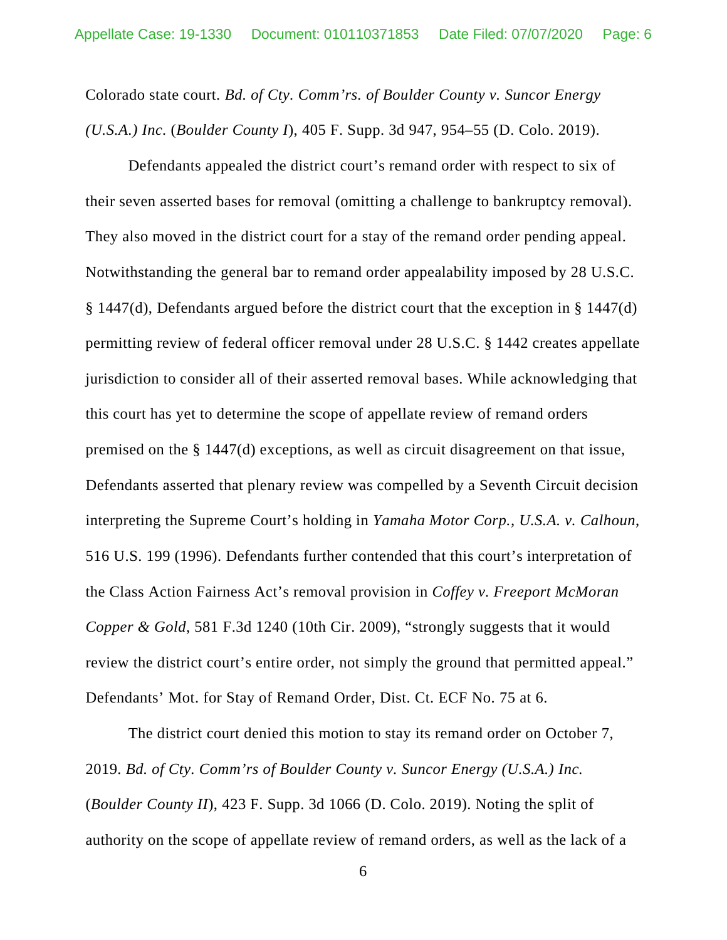Colorado state court. *Bd. of Cty. Comm'rs. of Boulder County v. Suncor Energy (U.S.A.) Inc.* (*Boulder County I*), 405 F. Supp. 3d 947, 954–55 (D. Colo. 2019).

Defendants appealed the district court's remand order with respect to six of their seven asserted bases for removal (omitting a challenge to bankruptcy removal). They also moved in the district court for a stay of the remand order pending appeal. Notwithstanding the general bar to remand order appealability imposed by 28 U.S.C. § 1447(d), Defendants argued before the district court that the exception in § 1447(d) permitting review of federal officer removal under 28 U.S.C. § 1442 creates appellate jurisdiction to consider all of their asserted removal bases. While acknowledging that this court has yet to determine the scope of appellate review of remand orders premised on the § 1447(d) exceptions, as well as circuit disagreement on that issue, Defendants asserted that plenary review was compelled by a Seventh Circuit decision interpreting the Supreme Court's holding in *Yamaha Motor Corp., U.S.A. v. Calhoun*, 516 U.S. 199 (1996). Defendants further contended that this court's interpretation of the Class Action Fairness Act's removal provision in *Coffey v. Freeport McMoran Copper & Gold*, 581 F.3d 1240 (10th Cir. 2009), "strongly suggests that it would review the district court's entire order, not simply the ground that permitted appeal." Defendants' Mot. for Stay of Remand Order, Dist. Ct. ECF No. 75 at 6.

The district court denied this motion to stay its remand order on October 7, 2019. *Bd. of Cty. Comm'rs of Boulder County v. Suncor Energy (U.S.A.) Inc.* (*Boulder County II*), 423 F. Supp. 3d 1066 (D. Colo. 2019). Noting the split of authority on the scope of appellate review of remand orders, as well as the lack of a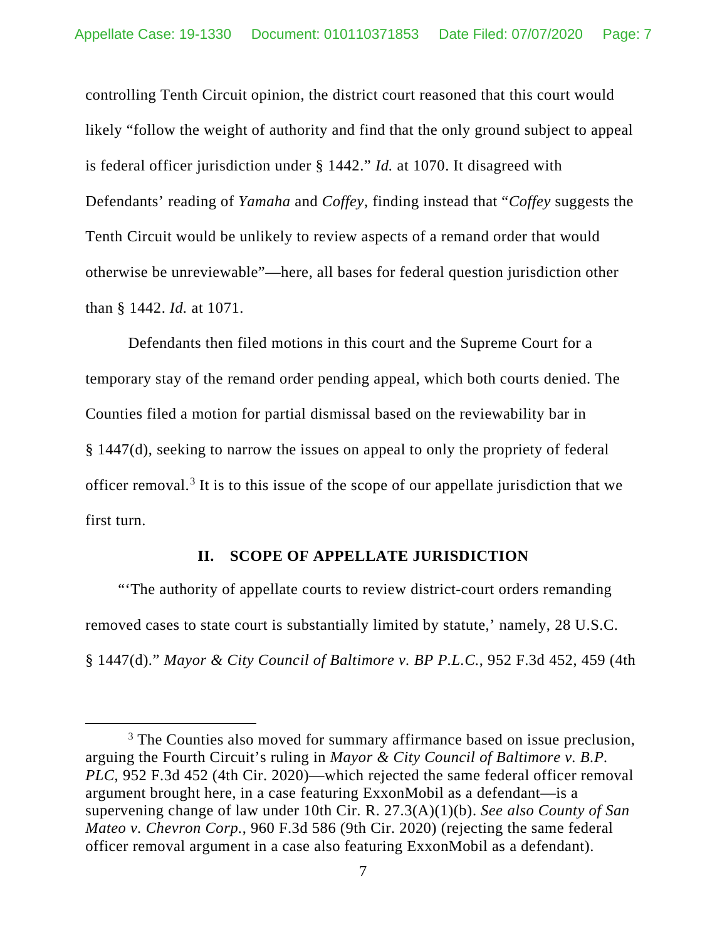controlling Tenth Circuit opinion, the district court reasoned that this court would likely "follow the weight of authority and find that the only ground subject to appeal is federal officer jurisdiction under § 1442." *Id.* at 1070. It disagreed with Defendants' reading of *Yamaha* and *Coffey*, finding instead that "*Coffey* suggests the Tenth Circuit would be unlikely to review aspects of a remand order that would otherwise be unreviewable"—here, all bases for federal question jurisdiction other than § 1442. *Id.* at 1071.

Defendants then filed motions in this court and the Supreme Court for a temporary stay of the remand order pending appeal, which both courts denied. The Counties filed a motion for partial dismissal based on the reviewability bar in § 1447(d), seeking to narrow the issues on appeal to only the propriety of federal officer removal. [3](#page-6-0) It is to this issue of the scope of our appellate jurisdiction that we first turn.

### **II. SCOPE OF APPELLATE JURISDICTION**

"'The authority of appellate courts to review district-court orders remanding removed cases to state court is substantially limited by statute,' namely, 28 U.S.C. § 1447(d)." *Mayor & City Council of Baltimore v. BP P.L.C.*, 952 F.3d 452, 459 (4th

<span id="page-6-0"></span><sup>&</sup>lt;sup>3</sup> The Counties also moved for summary affirmance based on issue preclusion, arguing the Fourth Circuit's ruling in *Mayor & City Council of Baltimore v. B.P. PLC*, 952 F.3d 452 (4th Cir. 2020)—which rejected the same federal officer removal argument brought here, in a case featuring ExxonMobil as a defendant—is a supervening change of law under 10th Cir. R. 27.3(A)(1)(b). *See also County of San Mateo v. Chevron Corp.*, 960 F.3d 586 (9th Cir. 2020) (rejecting the same federal officer removal argument in a case also featuring ExxonMobil as a defendant).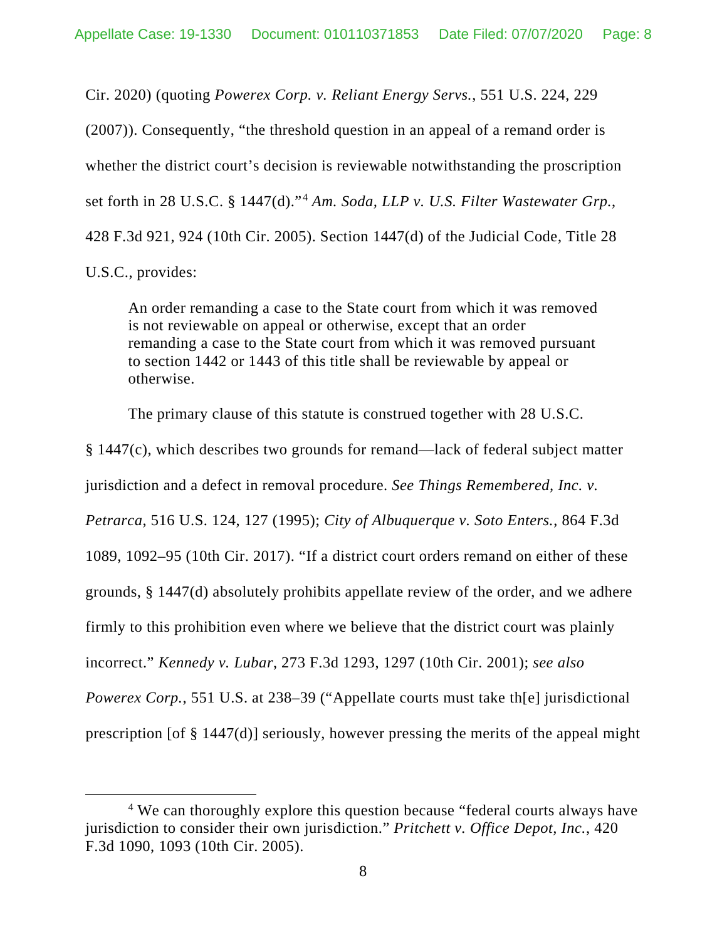Cir. 2020) (quoting *Powerex Corp. v. Reliant Energy Servs.*, 551 U.S. 224, 229 (2007)). Consequently, "the threshold question in an appeal of a remand order is whether the district court's decision is reviewable notwithstanding the proscription set forth in 28 U.S.C. § 1447(d)."[4](#page-7-0) *Am. Soda, LLP v. U.S. Filter Wastewater Grp.*, 428 F.3d 921, 924 (10th Cir. 2005). Section 1447(d) of the Judicial Code, Title 28 U.S.C., provides:

An order remanding a case to the State court from which it was removed is not reviewable on appeal or otherwise, except that an order remanding a case to the State court from which it was removed pursuant to section 1442 or 1443 of this title shall be reviewable by appeal or otherwise.

The primary clause of this statute is construed together with 28 U.S.C.

§ 1447(c), which describes two grounds for remand—lack of federal subject matter jurisdiction and a defect in removal procedure. *See Things Remembered, Inc. v. Petrarca*, 516 U.S. 124, 127 (1995); *City of Albuquerque v. Soto Enters.*, 864 F.3d 1089, 1092–95 (10th Cir. 2017). "If a district court orders remand on either of these grounds, § 1447(d) absolutely prohibits appellate review of the order, and we adhere firmly to this prohibition even where we believe that the district court was plainly incorrect." *Kennedy v. Lubar*, 273 F.3d 1293, 1297 (10th Cir. 2001); *see also Powerex Corp.*, 551 U.S. at 238–39 ("Appellate courts must take th[e] jurisdictional prescription [of § 1447(d)] seriously, however pressing the merits of the appeal might

<span id="page-7-0"></span><sup>&</sup>lt;sup>4</sup> We can thoroughly explore this question because "federal courts always have jurisdiction to consider their own jurisdiction." *Pritchett v. Office Depot, Inc.*, 420 F.3d 1090, 1093 (10th Cir. 2005).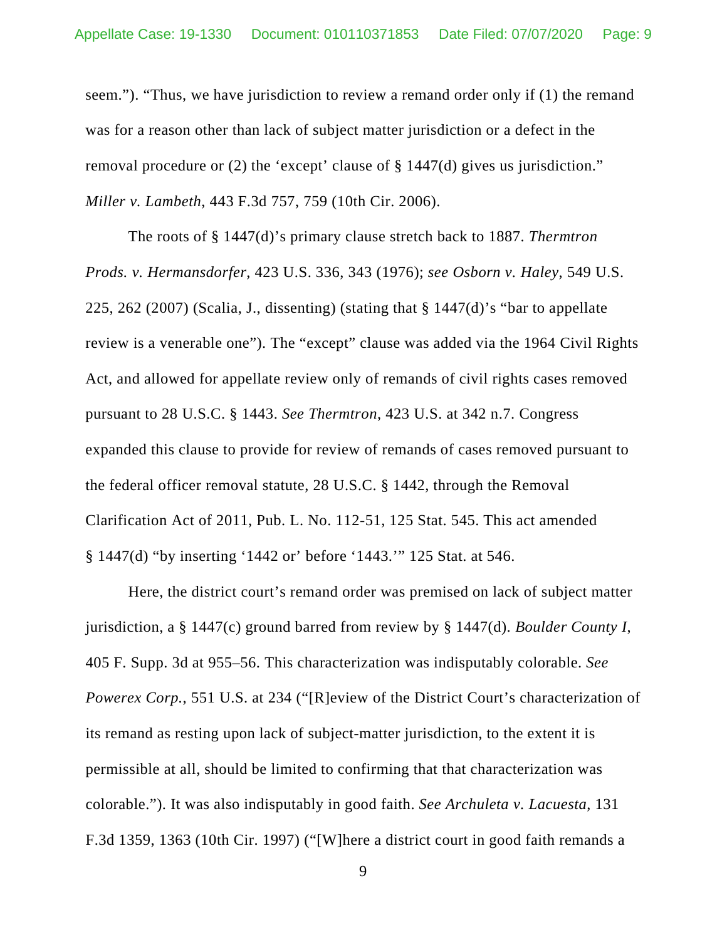seem."). "Thus, we have jurisdiction to review a remand order only if (1) the remand was for a reason other than lack of subject matter jurisdiction or a defect in the removal procedure or (2) the 'except' clause of § 1447(d) gives us jurisdiction." *Miller v. Lambeth*, 443 F.3d 757, 759 (10th Cir. 2006).

The roots of § 1447(d)'s primary clause stretch back to 1887. *Thermtron Prods. v. Hermansdorfer*, 423 U.S. 336, 343 (1976); *see Osborn v. Haley*, 549 U.S. 225, 262 (2007) (Scalia, J., dissenting) (stating that  $\S$  1447(d)'s "bar to appellate review is a venerable one"). The "except" clause was added via the 1964 Civil Rights Act, and allowed for appellate review only of remands of civil rights cases removed pursuant to 28 U.S.C. § 1443. *See Thermtron*, 423 U.S. at 342 n.7. Congress expanded this clause to provide for review of remands of cases removed pursuant to the federal officer removal statute, 28 U.S.C. § 1442, through the Removal Clarification Act of 2011, Pub. L. No. 112-51, 125 Stat. 545. This act amended § 1447(d) "by inserting '1442 or' before '1443.'" 125 Stat. at 546.

Here, the district court's remand order was premised on lack of subject matter jurisdiction, a § 1447(c) ground barred from review by § 1447(d). *Boulder County I*, 405 F. Supp. 3d at 955–56. This characterization was indisputably colorable. *See Powerex Corp.*, 551 U.S. at 234 ("[R]eview of the District Court's characterization of its remand as resting upon lack of subject-matter jurisdiction, to the extent it is permissible at all, should be limited to confirming that that characterization was colorable."). It was also indisputably in good faith. *See Archuleta v. Lacuesta*, 131 F.3d 1359, 1363 (10th Cir. 1997) ("[W]here a district court in good faith remands a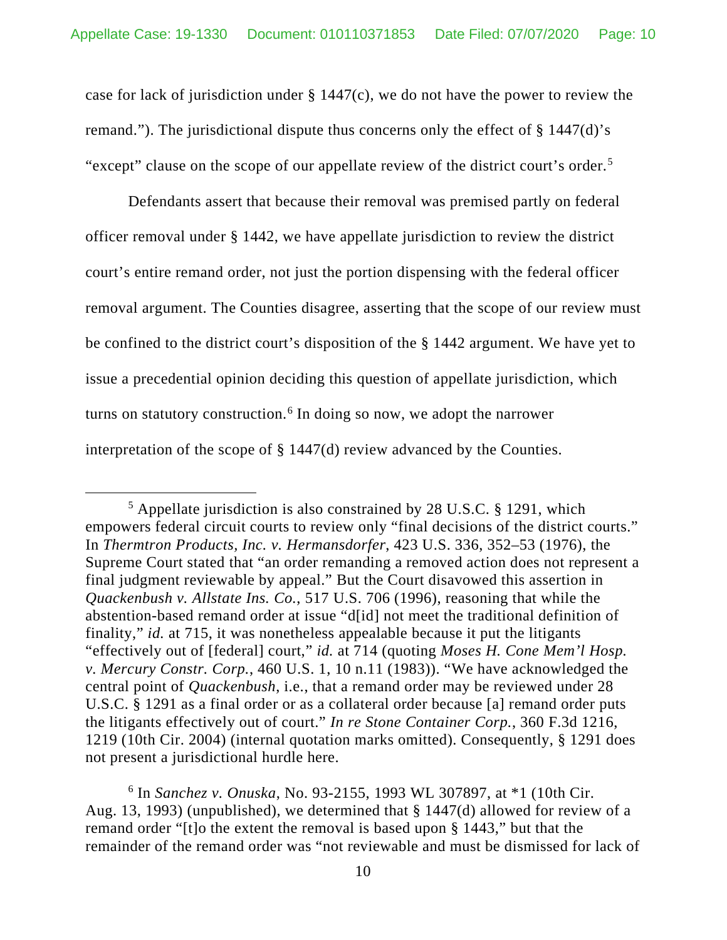case for lack of jurisdiction under § 1447(c), we do not have the power to review the remand."). The jurisdictional dispute thus concerns only the effect of  $\S$  1447(d)'s "except" clause on the scope of our appellate review of the district court's order.<sup>[5](#page-9-0)</sup>

Defendants assert that because their removal was premised partly on federal officer removal under § 1442, we have appellate jurisdiction to review the district court's entire remand order, not just the portion dispensing with the federal officer removal argument. The Counties disagree, asserting that the scope of our review must be confined to the district court's disposition of the § 1442 argument. We have yet to issue a precedential opinion deciding this question of appellate jurisdiction, which turns on statutory construction.<sup>[6](#page-9-1)</sup> In doing so now, we adopt the narrower interpretation of the scope of § 1447(d) review advanced by the Counties.

<span id="page-9-1"></span><sup>6</sup> In *Sanchez v. Onuska*, No. 93-2155, 1993 WL 307897, at \*1 (10th Cir. Aug. 13, 1993) (unpublished), we determined that § 1447(d) allowed for review of a remand order "[t]o the extent the removal is based upon § 1443," but that the remainder of the remand order was "not reviewable and must be dismissed for lack of

<span id="page-9-0"></span><sup>5</sup> Appellate jurisdiction is also constrained by 28 U.S.C. § 1291, which empowers federal circuit courts to review only "final decisions of the district courts." In *Thermtron Products, Inc. v. Hermansdorfer*, 423 U.S. 336, 352–53 (1976), the Supreme Court stated that "an order remanding a removed action does not represent a final judgment reviewable by appeal." But the Court disavowed this assertion in *Quackenbush v. Allstate Ins. Co.*, 517 U.S. 706 (1996), reasoning that while the abstention-based remand order at issue "d[id] not meet the traditional definition of finality," *id.* at 715, it was nonetheless appealable because it put the litigants "effectively out of [federal] court," *id.* at 714 (quoting *Moses H. Cone Mem'l Hosp. v. Mercury Constr. Corp.*, 460 U.S. 1, 10 n.11 (1983)). "We have acknowledged the central point of *Quackenbush*, i.e., that a remand order may be reviewed under 28 U.S.C. § 1291 as a final order or as a collateral order because [a] remand order puts the litigants effectively out of court." *In re Stone Container Corp.*, 360 F.3d 1216, 1219 (10th Cir. 2004) (internal quotation marks omitted). Consequently, § 1291 does not present a jurisdictional hurdle here.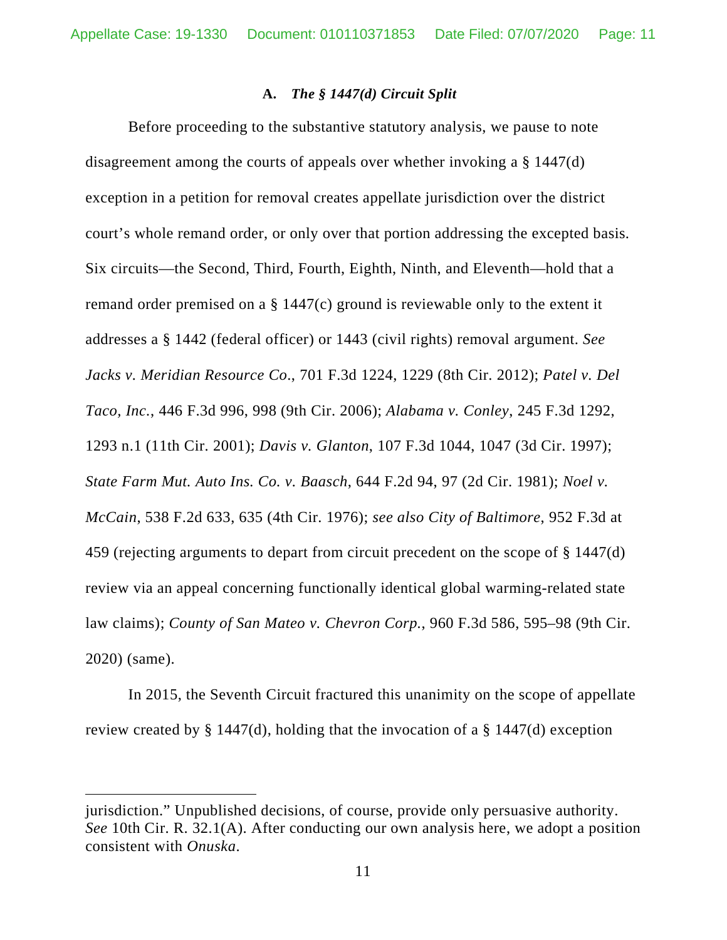#### **A.** *The § 1447(d) Circuit Split*

Before proceeding to the substantive statutory analysis, we pause to note disagreement among the courts of appeals over whether invoking a § 1447(d) exception in a petition for removal creates appellate jurisdiction over the district court's whole remand order, or only over that portion addressing the excepted basis. Six circuits—the Second, Third, Fourth, Eighth, Ninth, and Eleventh—hold that a remand order premised on a § 1447(c) ground is reviewable only to the extent it addresses a § 1442 (federal officer) or 1443 (civil rights) removal argument. *See Jacks v. Meridian Resource Co*., 701 F.3d 1224, 1229 (8th Cir. 2012); *Patel v. Del Taco, Inc.*, 446 F.3d 996, 998 (9th Cir. 2006); *Alabama v. Conley*, 245 F.3d 1292, 1293 n.1 (11th Cir. 2001); *Davis v. Glanton*, 107 F.3d 1044, 1047 (3d Cir. 1997); *State Farm Mut. Auto Ins. Co. v. Baasch*, 644 F.2d 94, 97 (2d Cir. 1981); *Noel v. McCain*, 538 F.2d 633, 635 (4th Cir. 1976); *see also City of Baltimore*, 952 F.3d at 459 (rejecting arguments to depart from circuit precedent on the scope of § 1447(d) review via an appeal concerning functionally identical global warming-related state law claims); *County of San Mateo v. Chevron Corp.*, 960 F.3d 586, 595–98 (9th Cir. 2020) (same).

In 2015, the Seventh Circuit fractured this unanimity on the scope of appellate review created by § 1447(d), holding that the invocation of a § 1447(d) exception

jurisdiction." Unpublished decisions, of course, provide only persuasive authority. *See* 10th Cir. R. 32.1(A). After conducting our own analysis here, we adopt a position consistent with *Onuska*.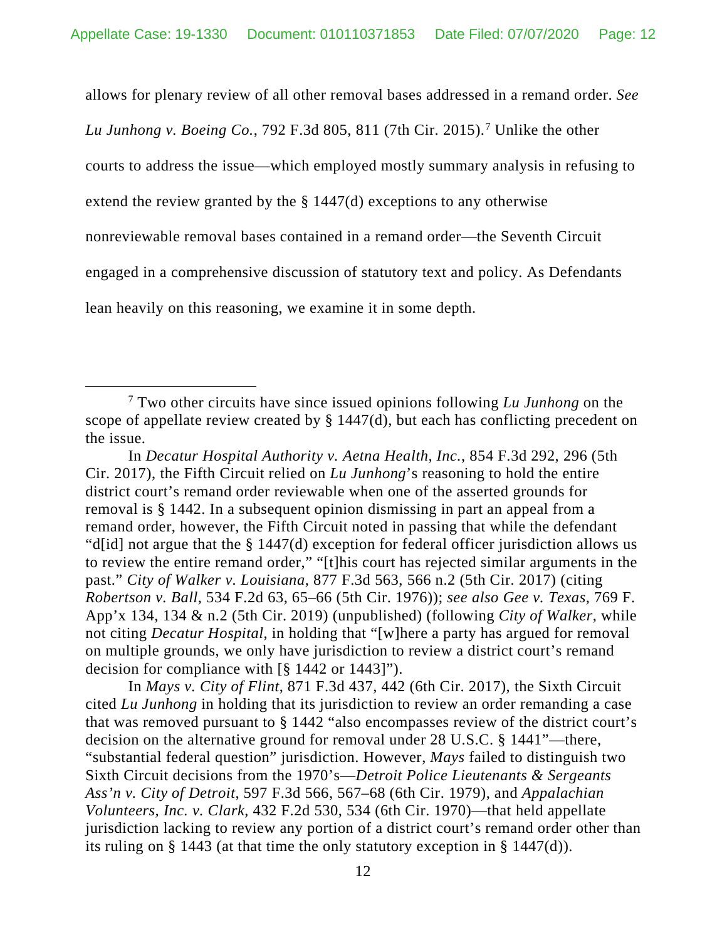allows for plenary review of all other removal bases addressed in a remand order. *See* 

*Lu Junhong v. Boeing Co.*, 792 F.3d 805, 811 (7th Cir. 2015).[7](#page-11-0) Unlike the other

courts to address the issue—which employed mostly summary analysis in refusing to

extend the review granted by the  $\S 1447(d)$  exceptions to any otherwise

nonreviewable removal bases contained in a remand order—the Seventh Circuit

engaged in a comprehensive discussion of statutory text and policy. As Defendants

lean heavily on this reasoning, we examine it in some depth.

In *Mays v. City of Flint*, 871 F.3d 437, 442 (6th Cir. 2017), the Sixth Circuit cited *Lu Junhong* in holding that its jurisdiction to review an order remanding a case that was removed pursuant to § 1442 "also encompasses review of the district court's decision on the alternative ground for removal under 28 U.S.C. § 1441"—there, "substantial federal question" jurisdiction. However, *Mays* failed to distinguish two Sixth Circuit decisions from the 1970's—*Detroit Police Lieutenants & Sergeants Ass'n v. City of Detroit*, 597 F.3d 566, 567–68 (6th Cir. 1979), and *Appalachian Volunteers, Inc. v. Clark*, 432 F.2d 530, 534 (6th Cir. 1970)—that held appellate jurisdiction lacking to review any portion of a district court's remand order other than its ruling on § 1443 (at that time the only statutory exception in § 1447(d)).

<span id="page-11-0"></span><sup>7</sup> Two other circuits have since issued opinions following *Lu Junhong* on the scope of appellate review created by § 1447(d), but each has conflicting precedent on the issue.

In *Decatur Hospital Authority v. Aetna Health, Inc.*, 854 F.3d 292, 296 (5th Cir. 2017), the Fifth Circuit relied on *Lu Junhong*'s reasoning to hold the entire district court's remand order reviewable when one of the asserted grounds for removal is § 1442. In a subsequent opinion dismissing in part an appeal from a remand order, however, the Fifth Circuit noted in passing that while the defendant "d[id] not argue that the § 1447(d) exception for federal officer jurisdiction allows us to review the entire remand order," "[t]his court has rejected similar arguments in the past." *City of Walker v. Louisiana*, 877 F.3d 563, 566 n.2 (5th Cir. 2017) (citing *Robertson v. Ball*, 534 F.2d 63, 65–66 (5th Cir. 1976)); *see also Gee v. Texas*, 769 F. App'x 134, 134 & n.2 (5th Cir. 2019) (unpublished) (following *City of Walker*, while not citing *Decatur Hospital*, in holding that "[w]here a party has argued for removal on multiple grounds, we only have jurisdiction to review a district court's remand decision for compliance with [§ 1442 or 1443]").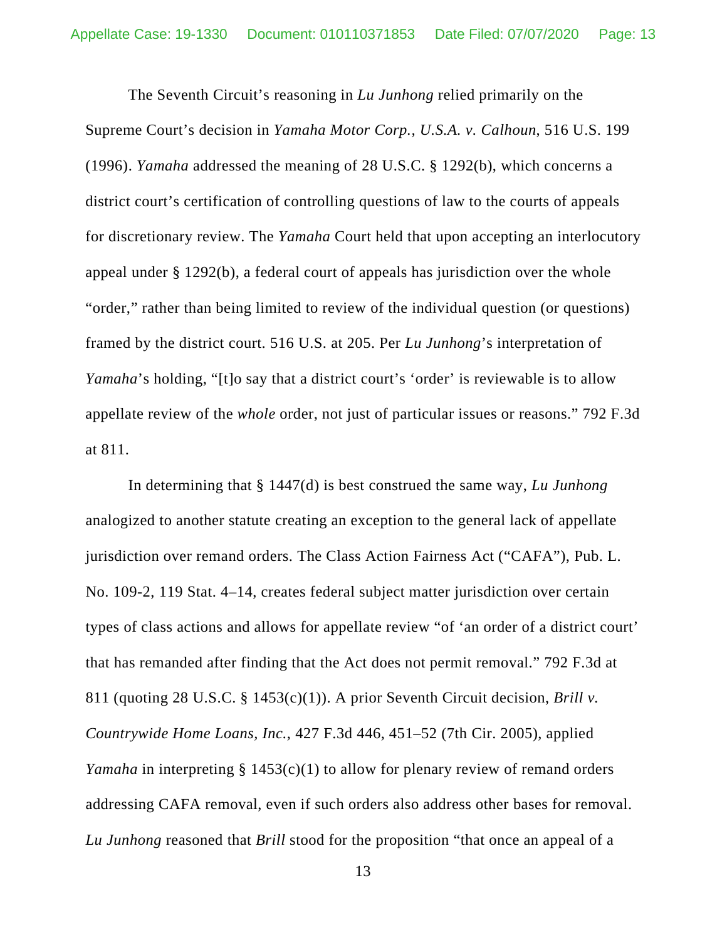The Seventh Circuit's reasoning in *Lu Junhong* relied primarily on the Supreme Court's decision in *Yamaha Motor Corp., U.S.A. v. Calhoun*, 516 U.S. 199 (1996). *Yamaha* addressed the meaning of 28 U.S.C. § 1292(b), which concerns a district court's certification of controlling questions of law to the courts of appeals for discretionary review. The *Yamaha* Court held that upon accepting an interlocutory appeal under § 1292(b), a federal court of appeals has jurisdiction over the whole "order," rather than being limited to review of the individual question (or questions) framed by the district court. 516 U.S. at 205. Per *Lu Junhong*'s interpretation of *Yamaha*'s holding, "[t]o say that a district court's 'order' is reviewable is to allow appellate review of the *whole* order, not just of particular issues or reasons." 792 F.3d at 811.

In determining that § 1447(d) is best construed the same way, *Lu Junhong*  analogized to another statute creating an exception to the general lack of appellate jurisdiction over remand orders. The Class Action Fairness Act ("CAFA"), Pub. L. No. 109-2, 119 Stat. 4–14, creates federal subject matter jurisdiction over certain types of class actions and allows for appellate review "of 'an order of a district court' that has remanded after finding that the Act does not permit removal." 792 F.3d at 811 (quoting 28 U.S.C. § 1453(c)(1)). A prior Seventh Circuit decision, *Brill v. Countrywide Home Loans, Inc.*, 427 F.3d 446, 451–52 (7th Cir. 2005), applied *Yamaha* in interpreting § 1453(c)(1) to allow for plenary review of remand orders addressing CAFA removal, even if such orders also address other bases for removal. *Lu Junhong* reasoned that *Brill* stood for the proposition "that once an appeal of a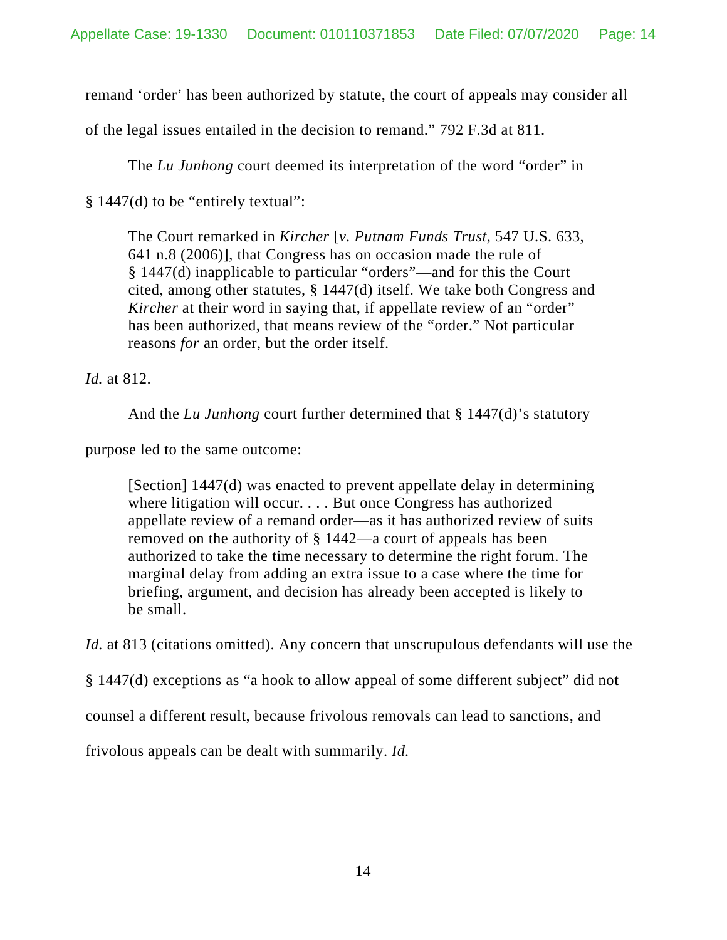remand 'order' has been authorized by statute, the court of appeals may consider all

of the legal issues entailed in the decision to remand." 792 F.3d at 811.

The *Lu Junhong* court deemed its interpretation of the word "order" in

§ 1447(d) to be "entirely textual":

The Court remarked in *Kircher* [*v. Putnam Funds Trust*, 547 U.S. 633, 641 n.8 (2006)], that Congress has on occasion made the rule of § 1447(d) inapplicable to particular "orders"—and for this the Court cited, among other statutes, § 1447(d) itself. We take both Congress and *Kircher* at their word in saying that, if appellate review of an "order" has been authorized, that means review of the "order." Not particular reasons *for* an order, but the order itself.

*Id.* at 812.

And the *Lu Junhong* court further determined that § 1447(d)'s statutory

purpose led to the same outcome:

[Section] 1447(d) was enacted to prevent appellate delay in determining where litigation will occur. . . . But once Congress has authorized appellate review of a remand order—as it has authorized review of suits removed on the authority of § 1442—a court of appeals has been authorized to take the time necessary to determine the right forum. The marginal delay from adding an extra issue to a case where the time for briefing, argument, and decision has already been accepted is likely to be small.

*Id.* at 813 (citations omitted). Any concern that unscrupulous defendants will use the

§ 1447(d) exceptions as "a hook to allow appeal of some different subject" did not

counsel a different result, because frivolous removals can lead to sanctions, and

frivolous appeals can be dealt with summarily. *Id.*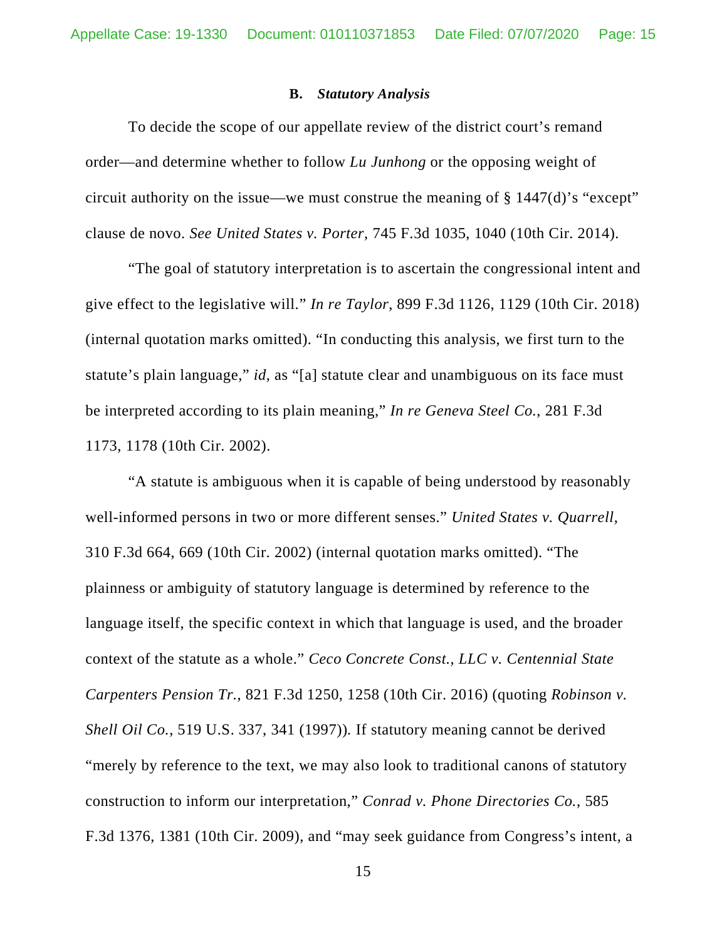#### **B.** *Statutory Analysis*

To decide the scope of our appellate review of the district court's remand order—and determine whether to follow *Lu Junhong* or the opposing weight of circuit authority on the issue—we must construe the meaning of § 1447(d)'s "except" clause de novo. *See United States v. Porter*, 745 F.3d 1035, 1040 (10th Cir. 2014).

"The goal of statutory interpretation is to ascertain the congressional intent and give effect to the legislative will." *In re Taylor*, 899 F.3d 1126, 1129 (10th Cir. 2018) (internal quotation marks omitted). "In conducting this analysis, we first turn to the statute's plain language," *id*, as "[a] statute clear and unambiguous on its face must be interpreted according to its plain meaning," *In re Geneva Steel Co.*, 281 F.3d 1173, 1178 (10th Cir. 2002).

"A statute is ambiguous when it is capable of being understood by reasonably well-informed persons in two or more different senses." *United States v. Quarrell*, 310 F.3d 664, 669 (10th Cir. 2002) (internal quotation marks omitted). "The plainness or ambiguity of statutory language is determined by reference to the language itself, the specific context in which that language is used, and the broader context of the statute as a whole." *Ceco Concrete Const., LLC v. Centennial State Carpenters Pension Tr.*, 821 F.3d 1250, 1258 (10th Cir. 2016) (quoting *Robinson v. Shell Oil Co.*, 519 U.S. 337, 341 (1997))*.* If statutory meaning cannot be derived "merely by reference to the text, we may also look to traditional canons of statutory construction to inform our interpretation," *Conrad v. Phone Directories Co.*, 585 F.3d 1376, 1381 (10th Cir. 2009), and "may seek guidance from Congress's intent, a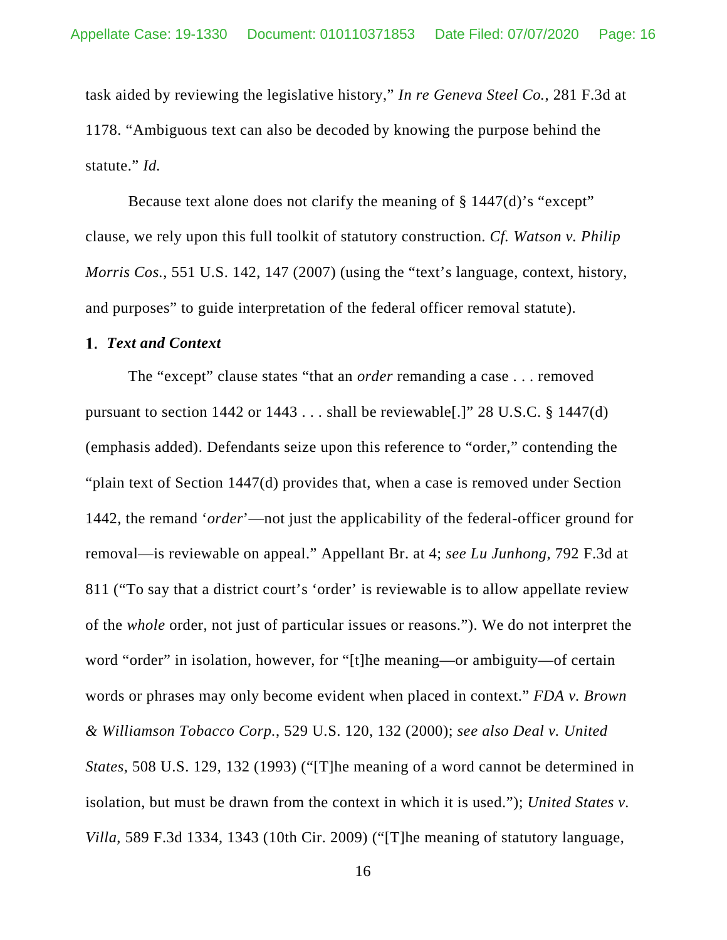task aided by reviewing the legislative history," *In re Geneva Steel Co.*, 281 F.3d at 1178. "Ambiguous text can also be decoded by knowing the purpose behind the statute." *Id.*

Because text alone does not clarify the meaning of § 1447(d)'s "except" clause, we rely upon this full toolkit of statutory construction. *Cf. Watson v. Philip Morris Cos.*, 551 U.S. 142, 147 (2007) (using the "text's language, context, history, and purposes" to guide interpretation of the federal officer removal statute).

#### *Text and Context*

The "except" clause states "that an *order* remanding a case . . . removed pursuant to section 1442 or  $1443...$  shall be reviewable [.]" 28 U.S.C. § 1447(d) (emphasis added). Defendants seize upon this reference to "order," contending the "plain text of Section 1447(d) provides that, when a case is removed under Section 1442, the remand '*order*'—not just the applicability of the federal-officer ground for removal—is reviewable on appeal." Appellant Br. at 4; *see Lu Junhong*, 792 F.3d at 811 ("To say that a district court's 'order' is reviewable is to allow appellate review of the *whole* order, not just of particular issues or reasons."). We do not interpret the word "order" in isolation, however, for "[t]he meaning—or ambiguity—of certain words or phrases may only become evident when placed in context." *FDA v. Brown & Williamson Tobacco Corp.*, 529 U.S. 120, 132 (2000); *see also Deal v. United States*, 508 U.S. 129, 132 (1993) ("[T]he meaning of a word cannot be determined in isolation, but must be drawn from the context in which it is used."); *United States v. Villa*, 589 F.3d 1334, 1343 (10th Cir. 2009) ("[T]he meaning of statutory language,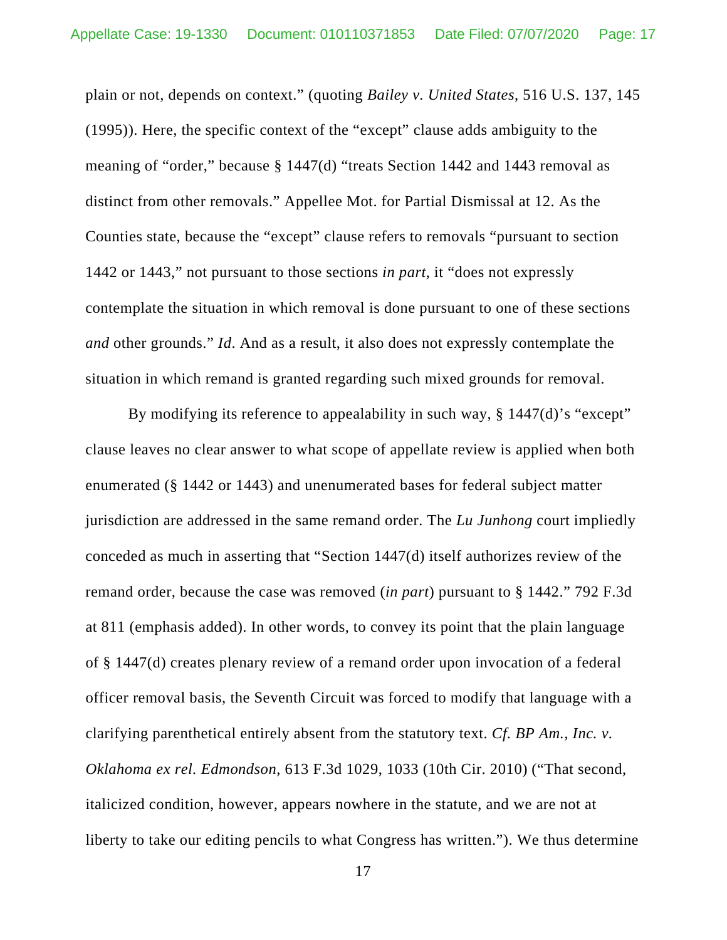plain or not, depends on context." (quoting *Bailey v. United States*, 516 U.S. 137, 145 (1995)). Here, the specific context of the "except" clause adds ambiguity to the meaning of "order," because § 1447(d) "treats Section 1442 and 1443 removal as distinct from other removals." Appellee Mot. for Partial Dismissal at 12. As the Counties state, because the "except" clause refers to removals "pursuant to section 1442 or 1443," not pursuant to those sections *in part*, it "does not expressly contemplate the situation in which removal is done pursuant to one of these sections *and* other grounds." *Id*. And as a result, it also does not expressly contemplate the situation in which remand is granted regarding such mixed grounds for removal.

By modifying its reference to appealability in such way, § 1447(d)'s "except" clause leaves no clear answer to what scope of appellate review is applied when both enumerated (§ 1442 or 1443) and unenumerated bases for federal subject matter jurisdiction are addressed in the same remand order. The *Lu Junhong* court impliedly conceded as much in asserting that "Section 1447(d) itself authorizes review of the remand order, because the case was removed (*in part*) pursuant to § 1442." 792 F.3d at 811 (emphasis added). In other words, to convey its point that the plain language of § 1447(d) creates plenary review of a remand order upon invocation of a federal officer removal basis, the Seventh Circuit was forced to modify that language with a clarifying parenthetical entirely absent from the statutory text. *Cf. BP Am., Inc. v. Oklahoma ex rel. Edmondson*, 613 F.3d 1029, 1033 (10th Cir. 2010) ("That second, italicized condition, however, appears nowhere in the statute, and we are not at liberty to take our editing pencils to what Congress has written."). We thus determine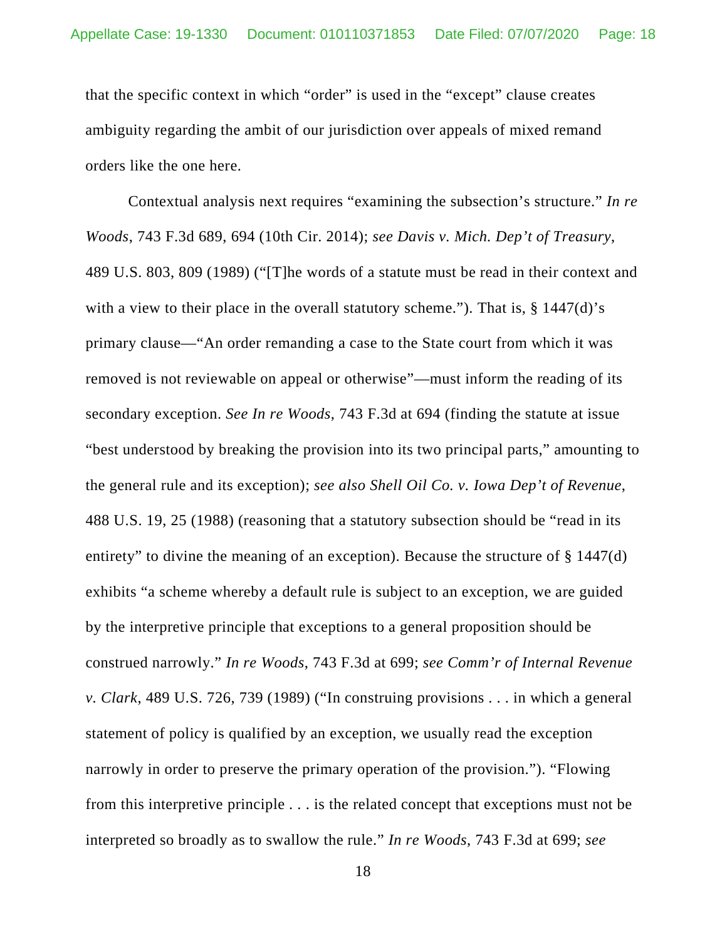that the specific context in which "order" is used in the "except" clause creates ambiguity regarding the ambit of our jurisdiction over appeals of mixed remand orders like the one here.

Contextual analysis next requires "examining the subsection's structure." *In re Woods*, 743 F.3d 689, 694 (10th Cir. 2014); *see Davis v. Mich. Dep't of Treasury*, 489 U.S. 803, 809 (1989) ("[T]he words of a statute must be read in their context and with a view to their place in the overall statutory scheme."). That is,  $\S$  1447(d)'s primary clause—"An order remanding a case to the State court from which it was removed is not reviewable on appeal or otherwise"—must inform the reading of its secondary exception. *See In re Woods*, 743 F.3d at 694 (finding the statute at issue "best understood by breaking the provision into its two principal parts," amounting to the general rule and its exception); *see also Shell Oil Co. v. Iowa Dep't of Revenue*, 488 U.S. 19, 25 (1988) (reasoning that a statutory subsection should be "read in its entirety" to divine the meaning of an exception). Because the structure of § 1447(d) exhibits "a scheme whereby a default rule is subject to an exception, we are guided by the interpretive principle that exceptions to a general proposition should be construed narrowly." *In re Woods*, 743 F.3d at 699; *see Comm'r of Internal Revenue v. Clark*, 489 U.S. 726, 739 (1989) ("In construing provisions . . . in which a general statement of policy is qualified by an exception, we usually read the exception narrowly in order to preserve the primary operation of the provision."). "Flowing from this interpretive principle . . . is the related concept that exceptions must not be interpreted so broadly as to swallow the rule." *In re Woods*, 743 F.3d at 699; *see*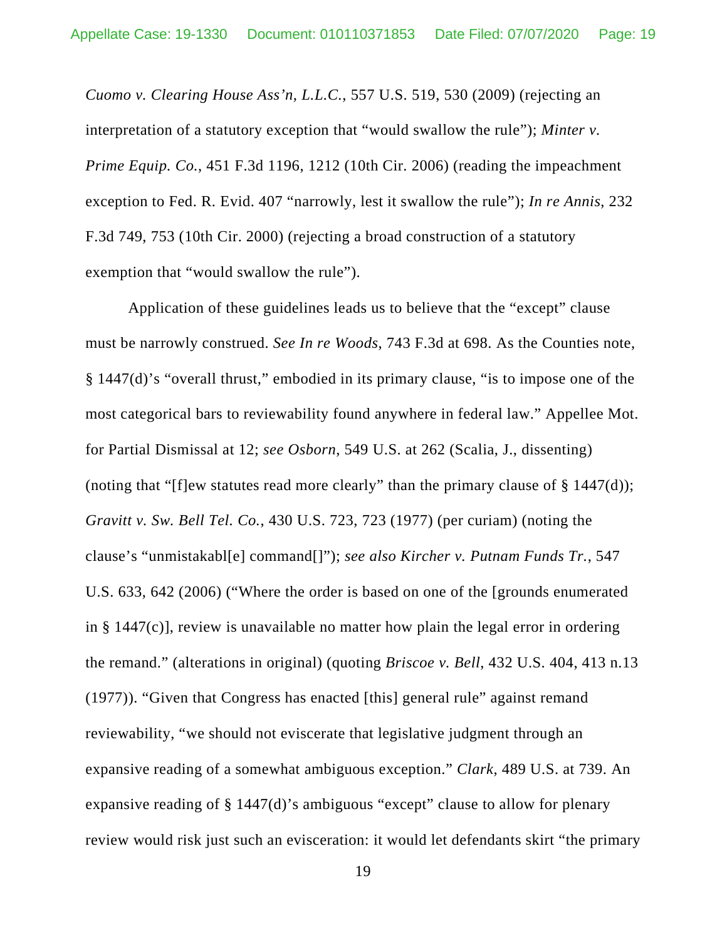*Cuomo v. Clearing House Ass'n, L.L.C.*, 557 U.S. 519, 530 (2009) (rejecting an interpretation of a statutory exception that "would swallow the rule"); *Minter v. Prime Equip. Co.*, 451 F.3d 1196, 1212 (10th Cir. 2006) (reading the impeachment exception to Fed. R. Evid. 407 "narrowly, lest it swallow the rule"); *In re Annis*, 232 F.3d 749, 753 (10th Cir. 2000) (rejecting a broad construction of a statutory exemption that "would swallow the rule").

Application of these guidelines leads us to believe that the "except" clause must be narrowly construed. *See In re Woods*, 743 F.3d at 698. As the Counties note, § 1447(d)'s "overall thrust," embodied in its primary clause, "is to impose one of the most categorical bars to reviewability found anywhere in federal law." Appellee Mot. for Partial Dismissal at 12; *see Osborn*, 549 U.S. at 262 (Scalia, J., dissenting) (noting that "[f]ew statutes read more clearly" than the primary clause of  $\S$  1447(d)); *Gravitt v. Sw. Bell Tel. Co.*, 430 U.S. 723, 723 (1977) (per curiam) (noting the clause's "unmistakabl[e] command[]"); *see also Kircher v. Putnam Funds Tr.*, 547 U.S. 633, 642 (2006) ("Where the order is based on one of the [grounds enumerated in § 1447(c)], review is unavailable no matter how plain the legal error in ordering the remand." (alterations in original) (quoting *Briscoe v. Bell*, 432 U.S. 404, 413 n.13 (1977)). "Given that Congress has enacted [this] general rule" against remand reviewability, "we should not eviscerate that legislative judgment through an expansive reading of a somewhat ambiguous exception." *Clark*, 489 U.S. at 739. An expansive reading of § 1447(d)'s ambiguous "except" clause to allow for plenary review would risk just such an evisceration: it would let defendants skirt "the primary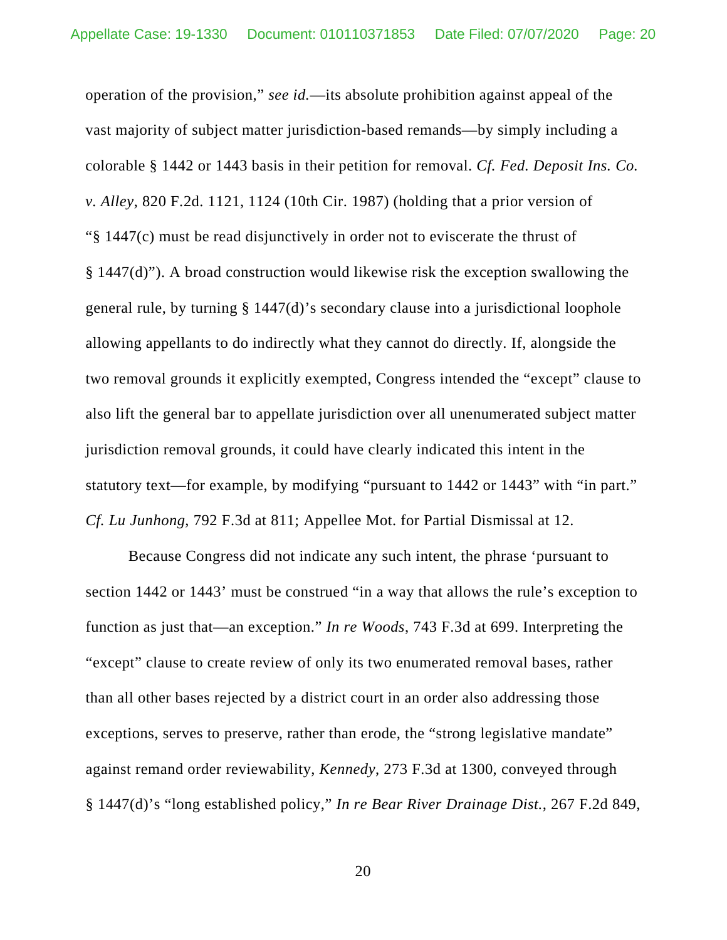operation of the provision," *see id.*—its absolute prohibition against appeal of the vast majority of subject matter jurisdiction-based remands—by simply including a colorable § 1442 or 1443 basis in their petition for removal. *Cf. Fed. Deposit Ins. Co. v. Alley*, 820 F.2d. 1121, 1124 (10th Cir. 1987) (holding that a prior version of "§ 1447(c) must be read disjunctively in order not to eviscerate the thrust of § 1447(d)"). A broad construction would likewise risk the exception swallowing the general rule, by turning § 1447(d)'s secondary clause into a jurisdictional loophole allowing appellants to do indirectly what they cannot do directly. If, alongside the two removal grounds it explicitly exempted, Congress intended the "except" clause to also lift the general bar to appellate jurisdiction over all unenumerated subject matter jurisdiction removal grounds, it could have clearly indicated this intent in the statutory text—for example, by modifying "pursuant to 1442 or 1443" with "in part." *Cf. Lu Junhong*, 792 F.3d at 811; Appellee Mot. for Partial Dismissal at 12.

Because Congress did not indicate any such intent, the phrase 'pursuant to section 1442 or 1443' must be construed "in a way that allows the rule's exception to function as just that—an exception." *In re Woods*, 743 F.3d at 699. Interpreting the "except" clause to create review of only its two enumerated removal bases, rather than all other bases rejected by a district court in an order also addressing those exceptions, serves to preserve, rather than erode, the "strong legislative mandate" against remand order reviewability, *Kennedy*, 273 F.3d at 1300, conveyed through § 1447(d)'s "long established policy," *In re Bear River Drainage Dist.*, 267 F.2d 849,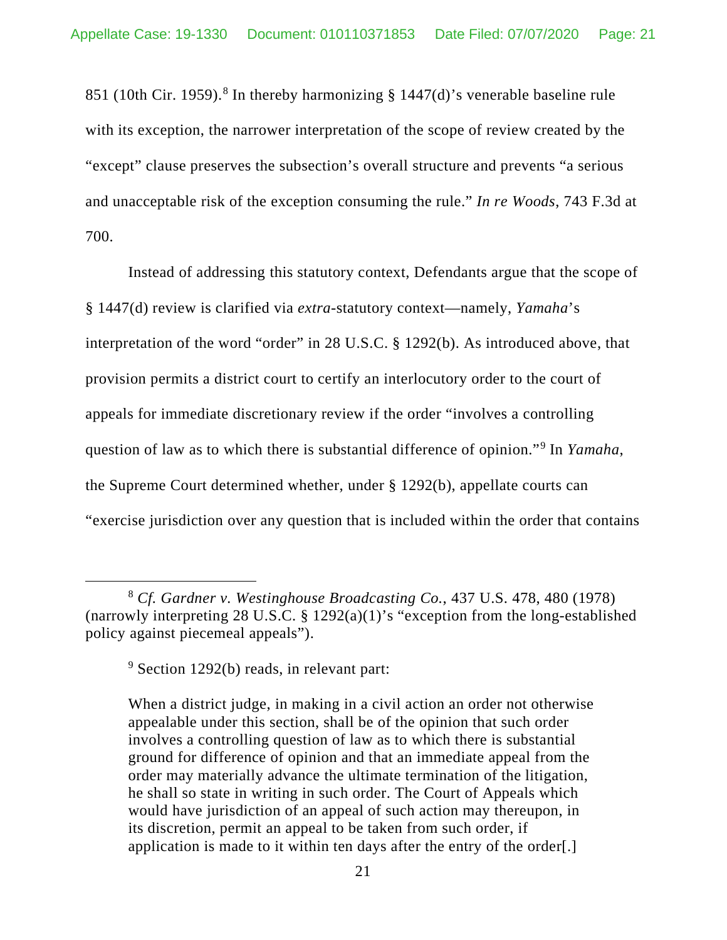[8](#page-20-0)51 (10th Cir. 1959).<sup>8</sup> In thereby harmonizing  $\S$  1447(d)'s venerable baseline rule with its exception, the narrower interpretation of the scope of review created by the "except" clause preserves the subsection's overall structure and prevents "a serious and unacceptable risk of the exception consuming the rule." *In re Woods*, 743 F.3d at 700.

Instead of addressing this statutory context, Defendants argue that the scope of § 1447(d) review is clarified via *extra*-statutory context—namely, *Yamaha*'s interpretation of the word "order" in 28 U.S.C. § 1292(b). As introduced above, that provision permits a district court to certify an interlocutory order to the court of appeals for immediate discretionary review if the order "involves a controlling question of law as to which there is substantial difference of opinion."[9](#page-20-1) In *Yamaha*, the Supreme Court determined whether, under § 1292(b), appellate courts can "exercise jurisdiction over any question that is included within the order that contains

When a district judge, in making in a civil action an order not otherwise appealable under this section, shall be of the opinion that such order involves a controlling question of law as to which there is substantial ground for difference of opinion and that an immediate appeal from the order may materially advance the ultimate termination of the litigation, he shall so state in writing in such order. The Court of Appeals which would have jurisdiction of an appeal of such action may thereupon, in its discretion, permit an appeal to be taken from such order, if application is made to it within ten days after the entry of the order[.]

<span id="page-20-1"></span><span id="page-20-0"></span><sup>8</sup> *Cf. Gardner v. Westinghouse Broadcasting Co.*, 437 U.S. 478, 480 (1978) (narrowly interpreting 28 U.S.C.  $\S$  1292(a)(1)'s "exception from the long-established policy against piecemeal appeals").

<sup>9</sup> Section 1292(b) reads, in relevant part: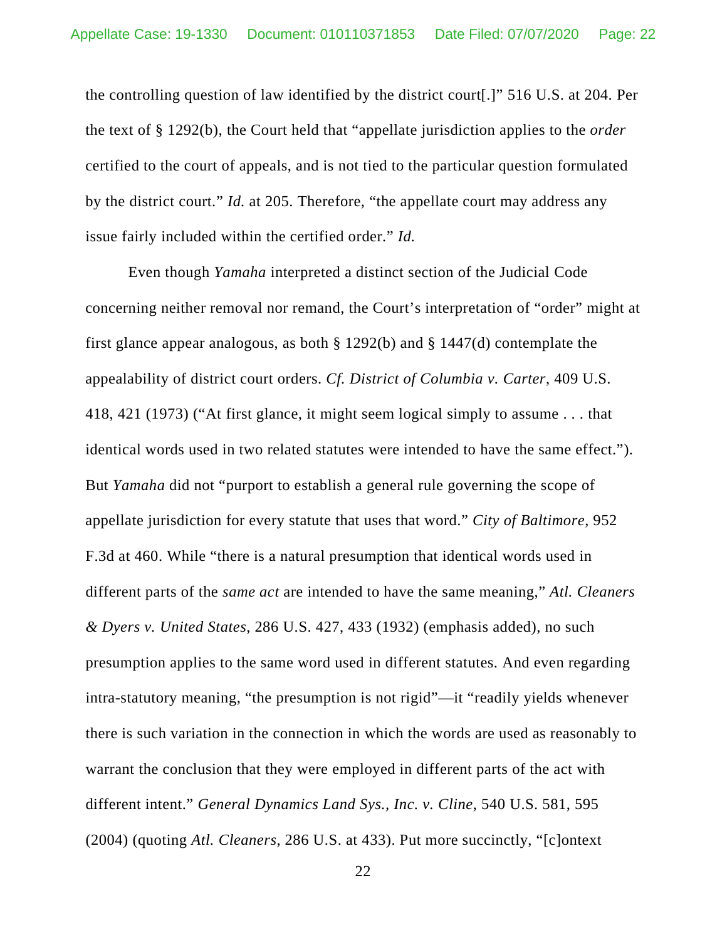the controlling question of law identified by the district court[.]" 516 U.S. at 204. Per the text of § 1292(b), the Court held that "appellate jurisdiction applies to the *order*  certified to the court of appeals, and is not tied to the particular question formulated by the district court." *Id.* at 205. Therefore, "the appellate court may address any issue fairly included within the certified order." *Id.*

Even though *Yamaha* interpreted a distinct section of the Judicial Code concerning neither removal nor remand, the Court's interpretation of "order" might at first glance appear analogous, as both § 1292(b) and § 1447(d) contemplate the appealability of district court orders. *Cf. District of Columbia v. Carter*, 409 U.S. 418, 421 (1973) ("At first glance, it might seem logical simply to assume . . . that identical words used in two related statutes were intended to have the same effect."). But *Yamaha* did not "purport to establish a general rule governing the scope of appellate jurisdiction for every statute that uses that word." *City of Baltimore*, 952 F.3d at 460. While "there is a natural presumption that identical words used in different parts of the *same act* are intended to have the same meaning," *Atl. Cleaners & Dyers v. United States*, 286 U.S. 427, 433 (1932) (emphasis added), no such presumption applies to the same word used in different statutes. And even regarding intra-statutory meaning, "the presumption is not rigid"—it "readily yields whenever there is such variation in the connection in which the words are used as reasonably to warrant the conclusion that they were employed in different parts of the act with different intent." *General Dynamics Land Sys., Inc. v. Cline*, 540 U.S. 581, 595 (2004) (quoting *Atl. Cleaners*, 286 U.S. at 433). Put more succinctly, "[c]ontext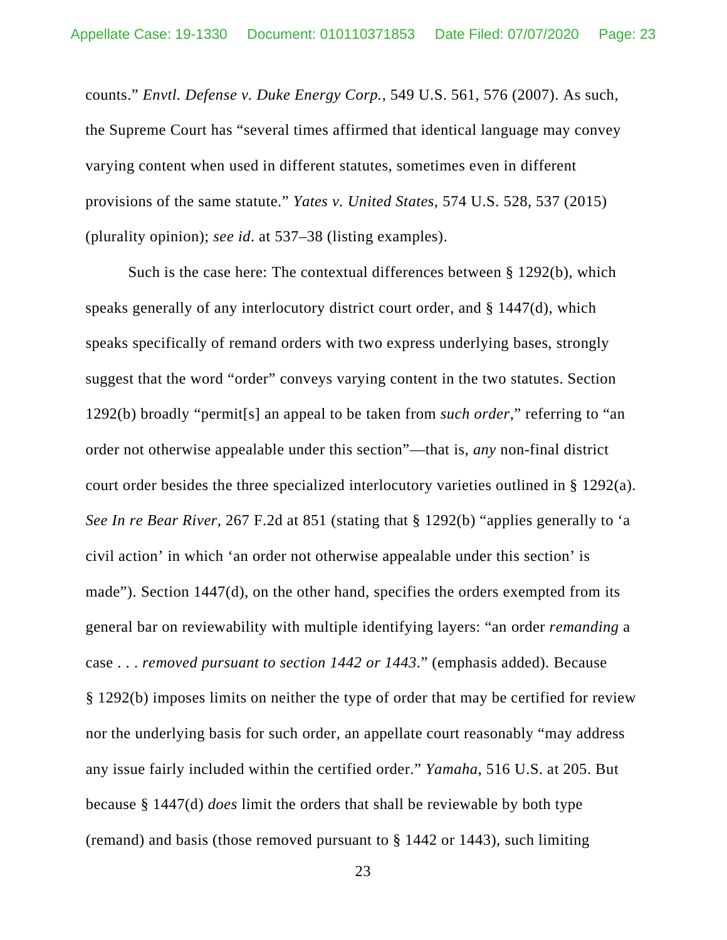counts." *Envtl. Defense v. Duke Energy Corp.*, 549 U.S. 561, 576 (2007). As such, the Supreme Court has "several times affirmed that identical language may convey varying content when used in different statutes, sometimes even in different provisions of the same statute." *Yates v. United States*, 574 U.S. 528, 537 (2015) (plurality opinion); *see id*. at 537–38 (listing examples).

Such is the case here: The contextual differences between § 1292(b), which speaks generally of any interlocutory district court order, and § 1447(d), which speaks specifically of remand orders with two express underlying bases, strongly suggest that the word "order" conveys varying content in the two statutes. Section 1292(b) broadly "permit[s] an appeal to be taken from *such order*," referring to "an order not otherwise appealable under this section"—that is, *any* non-final district court order besides the three specialized interlocutory varieties outlined in § 1292(a). *See In re Bear River*, 267 F.2d at 851 (stating that § 1292(b) "applies generally to 'a civil action' in which 'an order not otherwise appealable under this section' is made"). Section 1447(d), on the other hand, specifies the orders exempted from its general bar on reviewability with multiple identifying layers: "an order *remanding* a case . . . *removed pursuant to section 1442 or 1443*." (emphasis added). Because § 1292(b) imposes limits on neither the type of order that may be certified for review nor the underlying basis for such order, an appellate court reasonably "may address any issue fairly included within the certified order." *Yamaha*, 516 U.S. at 205. But because § 1447(d) *does* limit the orders that shall be reviewable by both type (remand) and basis (those removed pursuant to § 1442 or 1443), such limiting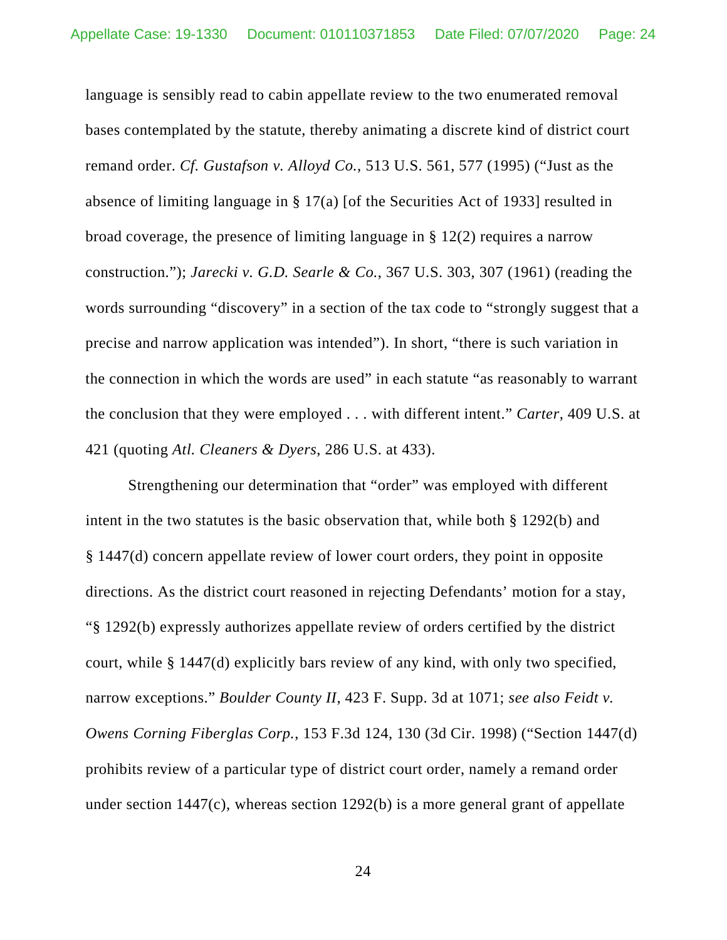language is sensibly read to cabin appellate review to the two enumerated removal bases contemplated by the statute, thereby animating a discrete kind of district court remand order. *Cf. Gustafson v. Alloyd Co.*, 513 U.S. 561, 577 (1995) ("Just as the absence of limiting language in § 17(a) [of the Securities Act of 1933] resulted in broad coverage, the presence of limiting language in § 12(2) requires a narrow construction."); *Jarecki v. G.D. Searle & Co.*, 367 U.S. 303, 307 (1961) (reading the words surrounding "discovery" in a section of the tax code to "strongly suggest that a precise and narrow application was intended"). In short, "there is such variation in the connection in which the words are used" in each statute "as reasonably to warrant the conclusion that they were employed . . . with different intent." *Carter*, 409 U.S. at 421 (quoting *Atl. Cleaners & Dyers*, 286 U.S. at 433).

Strengthening our determination that "order" was employed with different intent in the two statutes is the basic observation that, while both § 1292(b) and § 1447(d) concern appellate review of lower court orders, they point in opposite directions. As the district court reasoned in rejecting Defendants' motion for a stay, "§ 1292(b) expressly authorizes appellate review of orders certified by the district court, while § 1447(d) explicitly bars review of any kind, with only two specified, narrow exceptions." *Boulder County II*, 423 F. Supp. 3d at 1071; *see also Feidt v. Owens Corning Fiberglas Corp.*, 153 F.3d 124, 130 (3d Cir. 1998) ("Section 1447(d) prohibits review of a particular type of district court order, namely a remand order under section 1447(c), whereas section 1292(b) is a more general grant of appellate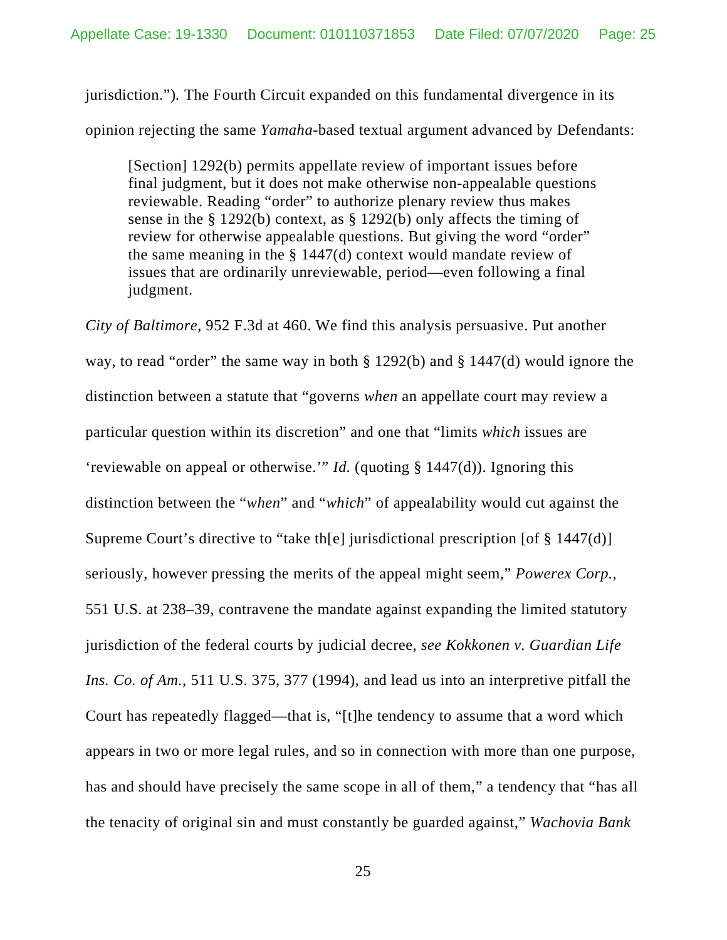jurisdiction.")*.* The Fourth Circuit expanded on this fundamental divergence in its opinion rejecting the same *Yamaha*-based textual argument advanced by Defendants:

[Section] 1292(b) permits appellate review of important issues before final judgment, but it does not make otherwise non-appealable questions reviewable. Reading "order" to authorize plenary review thus makes sense in the § 1292(b) context, as § 1292(b) only affects the timing of review for otherwise appealable questions. But giving the word "order" the same meaning in the § 1447(d) context would mandate review of issues that are ordinarily unreviewable, period—even following a final judgment.

*City of Baltimore*, 952 F.3d at 460. We find this analysis persuasive. Put another way, to read "order" the same way in both § 1292(b) and § 1447(d) would ignore the distinction between a statute that "governs *when* an appellate court may review a particular question within its discretion" and one that "limits *which* issues are 'reviewable on appeal or otherwise.'" *Id.* (quoting § 1447(d)). Ignoring this distinction between the "*when*" and "*which*" of appealability would cut against the Supreme Court's directive to "take th[e] jurisdictional prescription [of § 1447(d)] seriously, however pressing the merits of the appeal might seem," *Powerex Corp.*, 551 U.S. at 238–39, contravene the mandate against expanding the limited statutory jurisdiction of the federal courts by judicial decree, *see Kokkonen v. Guardian Life Ins. Co. of Am.*, 511 U.S. 375, 377 (1994), and lead us into an interpretive pitfall the Court has repeatedly flagged—that is, "[t]he tendency to assume that a word which appears in two or more legal rules, and so in connection with more than one purpose, has and should have precisely the same scope in all of them," a tendency that "has all the tenacity of original sin and must constantly be guarded against," *Wachovia Bank*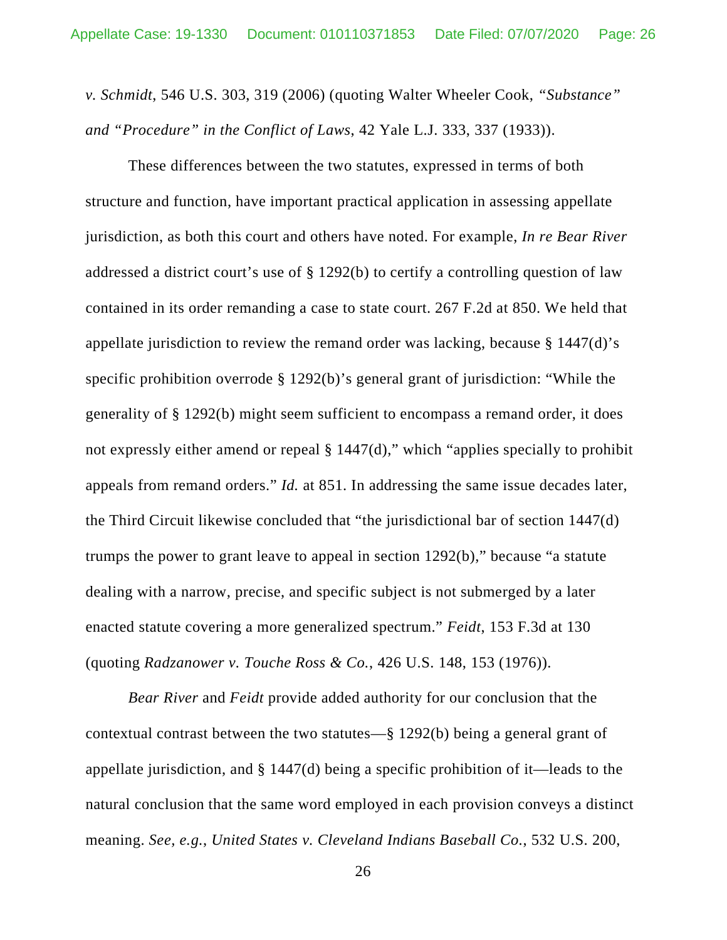*v. Schmidt*, 546 U.S. 303, 319 (2006) (quoting Walter Wheeler Cook, *"Substance" and "Procedure" in the Conflict of Laws*, 42 Yale L.J. 333, 337 (1933)).

These differences between the two statutes, expressed in terms of both structure and function, have important practical application in assessing appellate jurisdiction, as both this court and others have noted. For example, *In re Bear River* addressed a district court's use of § 1292(b) to certify a controlling question of law contained in its order remanding a case to state court. 267 F.2d at 850. We held that appellate jurisdiction to review the remand order was lacking, because § 1447(d)'s specific prohibition overrode § 1292(b)'s general grant of jurisdiction: "While the generality of § 1292(b) might seem sufficient to encompass a remand order, it does not expressly either amend or repeal  $\S 1447(d)$ ," which "applies specially to prohibit appeals from remand orders." *Id.* at 851. In addressing the same issue decades later, the Third Circuit likewise concluded that "the jurisdictional bar of section 1447(d) trumps the power to grant leave to appeal in section 1292(b)," because "a statute dealing with a narrow, precise, and specific subject is not submerged by a later enacted statute covering a more generalized spectrum." *Feidt*, 153 F.3d at 130 (quoting *Radzanower v. Touche Ross & Co.*, 426 U.S. 148, 153 (1976)).

*Bear River* and *Feidt* provide added authority for our conclusion that the contextual contrast between the two statutes—§ 1292(b) being a general grant of appellate jurisdiction, and § 1447(d) being a specific prohibition of it—leads to the natural conclusion that the same word employed in each provision conveys a distinct meaning. *See, e.g.*, *United States v. Cleveland Indians Baseball Co.*, 532 U.S. 200,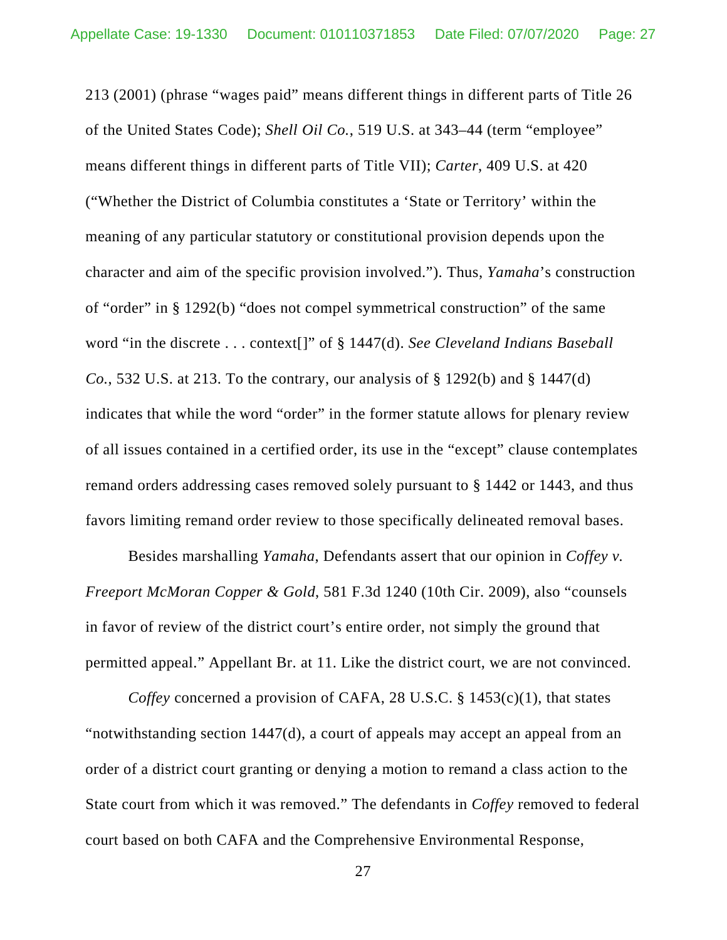213 (2001) (phrase "wages paid" means different things in different parts of Title 26 of the United States Code); *Shell Oil Co.*, 519 U.S. at 343–44 (term "employee" means different things in different parts of Title VII); *Carter*, 409 U.S. at 420 ("Whether the District of Columbia constitutes a 'State or Territory' within the meaning of any particular statutory or constitutional provision depends upon the character and aim of the specific provision involved."). Thus, *Yamaha*'s construction of "order" in § 1292(b) "does not compel symmetrical construction" of the same word "in the discrete . . . context[]" of § 1447(d). *See Cleveland Indians Baseball Co.*, 532 U.S. at 213. To the contrary, our analysis of § 1292(b) and § 1447(d) indicates that while the word "order" in the former statute allows for plenary review of all issues contained in a certified order, its use in the "except" clause contemplates remand orders addressing cases removed solely pursuant to § 1442 or 1443, and thus favors limiting remand order review to those specifically delineated removal bases.

Besides marshalling *Yamaha*, Defendants assert that our opinion in *Coffey v. Freeport McMoran Copper & Gold*, 581 F.3d 1240 (10th Cir. 2009), also "counsels in favor of review of the district court's entire order, not simply the ground that permitted appeal." Appellant Br. at 11. Like the district court, we are not convinced.

*Coffey* concerned a provision of CAFA, 28 U.S.C. § 1453(c)(1), that states "notwithstanding section 1447(d), a court of appeals may accept an appeal from an order of a district court granting or denying a motion to remand a class action to the State court from which it was removed." The defendants in *Coffey* removed to federal court based on both CAFA and the Comprehensive Environmental Response,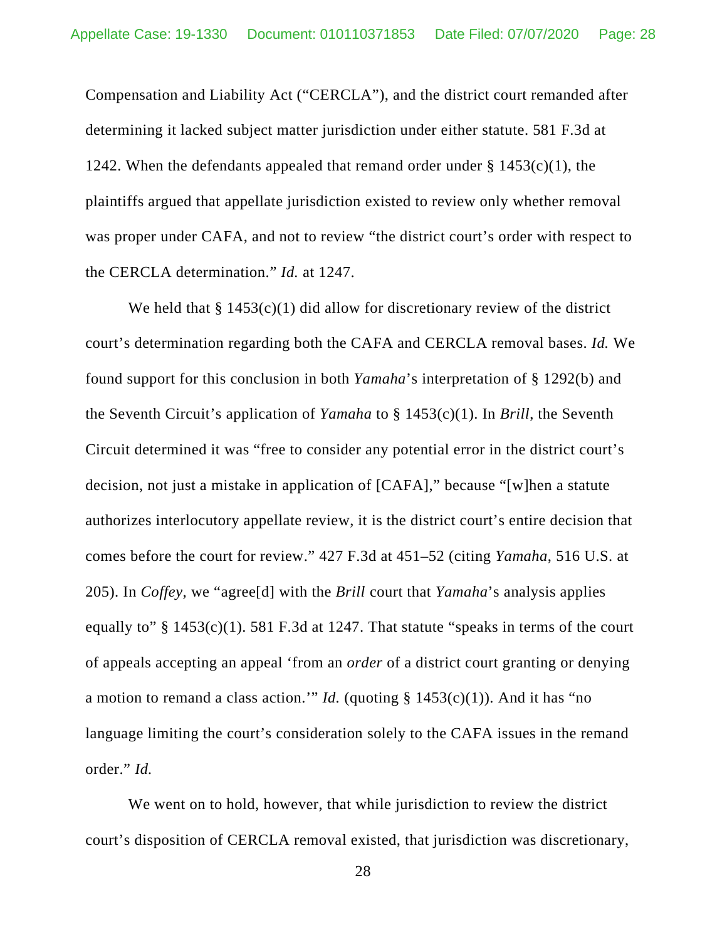Compensation and Liability Act ("CERCLA"), and the district court remanded after determining it lacked subject matter jurisdiction under either statute. 581 F.3d at 1242. When the defendants appealed that remand order under  $\S$  1453(c)(1), the plaintiffs argued that appellate jurisdiction existed to review only whether removal was proper under CAFA, and not to review "the district court's order with respect to the CERCLA determination." *Id.* at 1247.

We held that  $\S 1453(c)(1)$  did allow for discretionary review of the district court's determination regarding both the CAFA and CERCLA removal bases. *Id.* We found support for this conclusion in both *Yamaha*'s interpretation of § 1292(b) and the Seventh Circuit's application of *Yamaha* to § 1453(c)(1). In *Brill*, the Seventh Circuit determined it was "free to consider any potential error in the district court's decision, not just a mistake in application of [CAFA]," because "[w]hen a statute authorizes interlocutory appellate review, it is the district court's entire decision that comes before the court for review." 427 F.3d at 451–52 (citing *Yamaha*, 516 U.S. at 205). In *Coffey,* we "agree[d] with the *Brill* court that *Yamaha*'s analysis applies equally to"  $\S$  1453(c)(1). 581 F.3d at 1247. That statute "speaks in terms of the court of appeals accepting an appeal 'from an *order* of a district court granting or denying a motion to remand a class action.'" *Id.* (quoting  $\S 1453(c)(1)$ ). And it has "no language limiting the court's consideration solely to the CAFA issues in the remand order." *Id.*

We went on to hold, however, that while jurisdiction to review the district court's disposition of CERCLA removal existed, that jurisdiction was discretionary,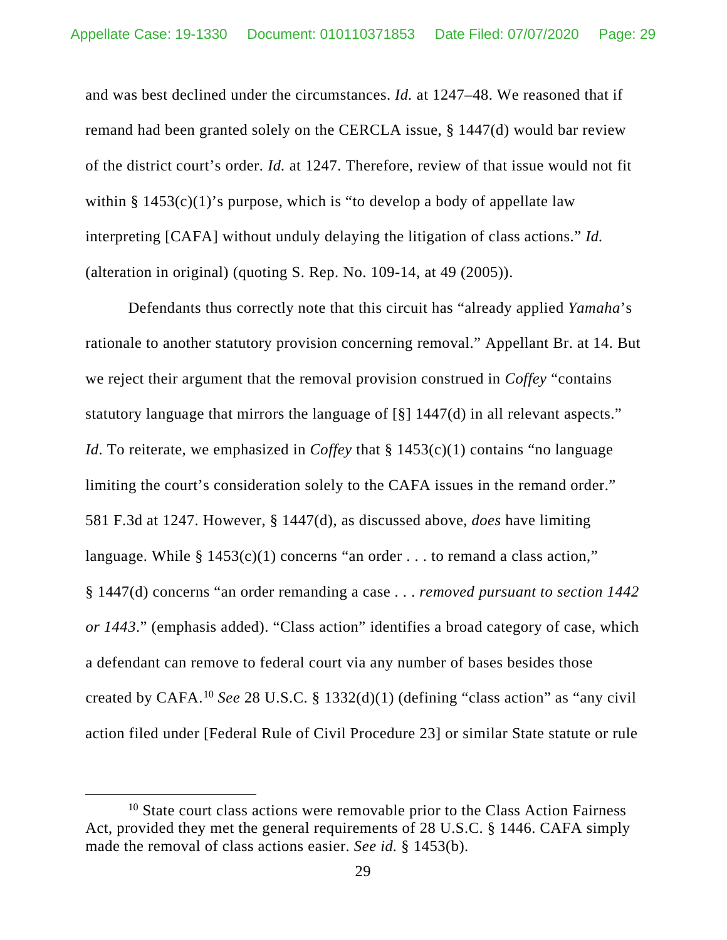and was best declined under the circumstances. *Id.* at 1247–48. We reasoned that if remand had been granted solely on the CERCLA issue, § 1447(d) would bar review of the district court's order. *Id.* at 1247. Therefore, review of that issue would not fit within  $\S 1453(c)(1)$ 's purpose, which is "to develop a body of appellate law interpreting [CAFA] without unduly delaying the litigation of class actions." *Id.*  (alteration in original) (quoting S. Rep. No. 109-14, at 49 (2005)).

Defendants thus correctly note that this circuit has "already applied *Yamaha*'s rationale to another statutory provision concerning removal." Appellant Br. at 14. But we reject their argument that the removal provision construed in *Coffey* "contains statutory language that mirrors the language of [§] 1447(d) in all relevant aspects." *Id*. To reiterate, we emphasized in *Coffey* that § 1453(c)(1) contains "no language limiting the court's consideration solely to the CAFA issues in the remand order." 581 F.3d at 1247. However, § 1447(d), as discussed above, *does* have limiting language. While  $\S 1453(c)(1)$  concerns "an order . . . to remand a class action," § 1447(d) concerns "an order remanding a case . . . *removed pursuant to section 1442 or 1443*." (emphasis added). "Class action" identifies a broad category of case, which a defendant can remove to federal court via any number of bases besides those created by CAFA. [10](#page-28-0) *See* 28 U.S.C. § 1332(d)(1) (defining "class action" as "any civil action filed under [Federal Rule of Civil Procedure 23] or similar State statute or rule

<span id="page-28-0"></span><sup>&</sup>lt;sup>10</sup> State court class actions were removable prior to the Class Action Fairness Act, provided they met the general requirements of 28 U.S.C. § 1446. CAFA simply made the removal of class actions easier. *See id.* § 1453(b).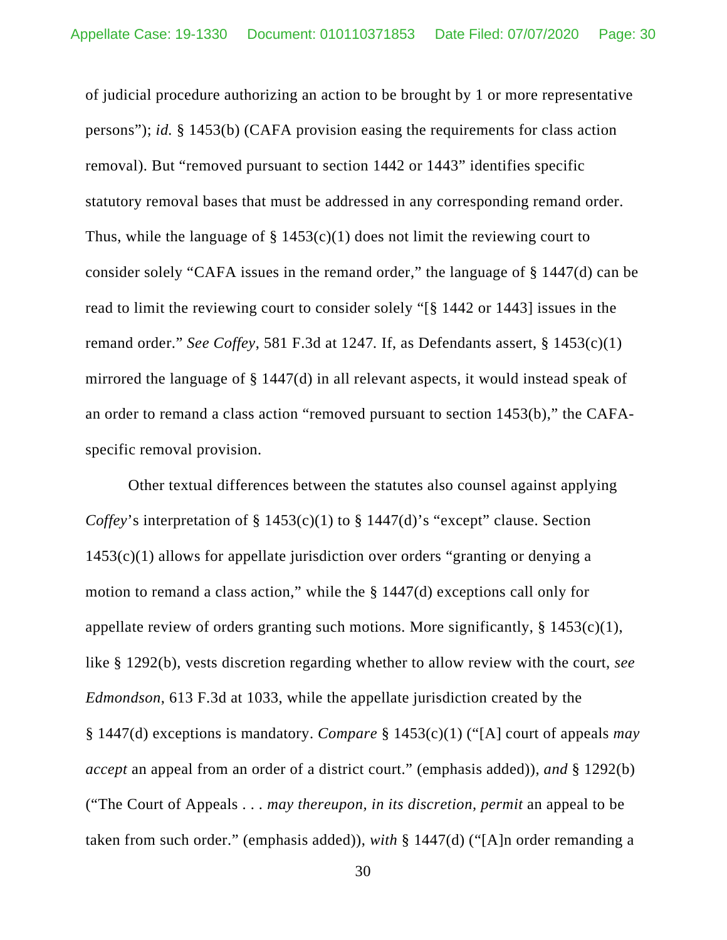of judicial procedure authorizing an action to be brought by 1 or more representative persons"); *id.* § 1453(b) (CAFA provision easing the requirements for class action removal). But "removed pursuant to section 1442 or 1443" identifies specific statutory removal bases that must be addressed in any corresponding remand order. Thus, while the language of  $\S 1453(c)(1)$  does not limit the reviewing court to consider solely "CAFA issues in the remand order," the language of § 1447(d) can be read to limit the reviewing court to consider solely "[§ 1442 or 1443] issues in the remand order." *See Coffey*, 581 F.3d at 1247*.* If, as Defendants assert, § 1453(c)(1) mirrored the language of § 1447(d) in all relevant aspects, it would instead speak of an order to remand a class action "removed pursuant to section 1453(b)," the CAFAspecific removal provision.

Other textual differences between the statutes also counsel against applying *Coffey*'s interpretation of § 1453(c)(1) to § 1447(d)'s "except" clause. Section 1453(c)(1) allows for appellate jurisdiction over orders "granting or denying a motion to remand a class action," while the § 1447(d) exceptions call only for appellate review of orders granting such motions. More significantly,  $\S$  1453(c)(1), like § 1292(b), vests discretion regarding whether to allow review with the court, *see Edmondson*, 613 F.3d at 1033, while the appellate jurisdiction created by the § 1447(d) exceptions is mandatory. *Compare* § 1453(c)(1) ("[A] court of appeals *may accept* an appeal from an order of a district court." (emphasis added)), *and* § 1292(b) ("The Court of Appeals . . . *may thereupon, in its discretion, permit* an appeal to be taken from such order." (emphasis added)), *with* § 1447(d) ("[A]n order remanding a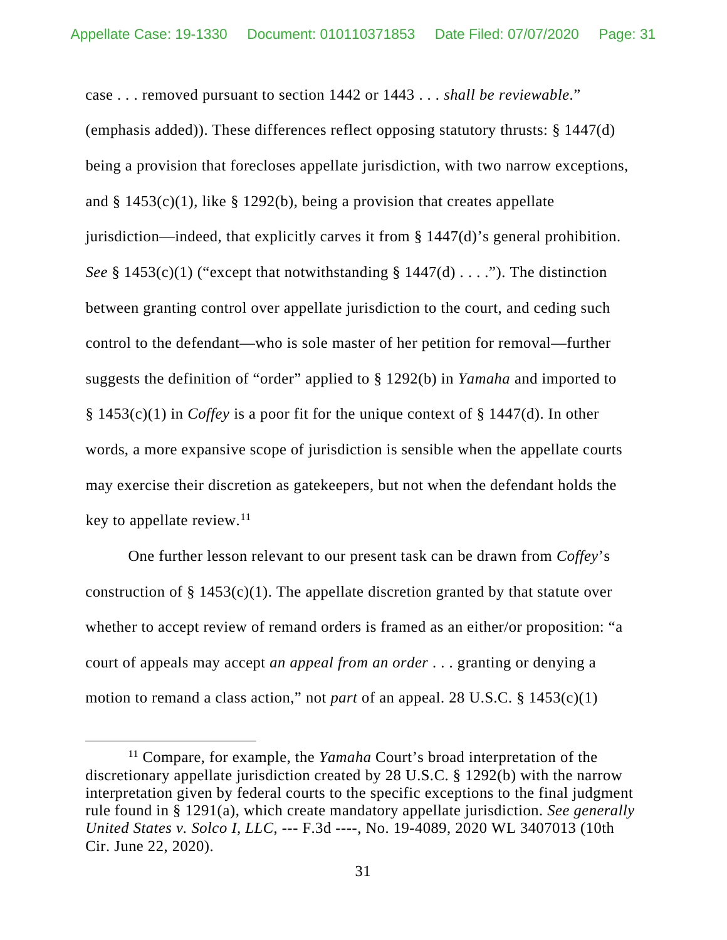case . . . removed pursuant to section 1442 or 1443 . . . *shall be reviewable*." (emphasis added)). These differences reflect opposing statutory thrusts: § 1447(d) being a provision that forecloses appellate jurisdiction, with two narrow exceptions, and  $\S$  1453(c)(1), like  $\S$  1292(b), being a provision that creates appellate jurisdiction—indeed, that explicitly carves it from § 1447(d)'s general prohibition. *See* § 1453(c)(1) ("except that notwithstanding § 1447(d)  $\dots$ "). The distinction between granting control over appellate jurisdiction to the court, and ceding such control to the defendant—who is sole master of her petition for removal—further suggests the definition of "order" applied to § 1292(b) in *Yamaha* and imported to § 1453(c)(1) in *Coffey* is a poor fit for the unique context of § 1447(d). In other words, a more expansive scope of jurisdiction is sensible when the appellate courts may exercise their discretion as gatekeepers, but not when the defendant holds the key to appellate review. [11](#page-30-0)

One further lesson relevant to our present task can be drawn from *Coffey*'s construction of  $\S$  1453(c)(1). The appellate discretion granted by that statute over whether to accept review of remand orders is framed as an either/or proposition: "a court of appeals may accept *an appeal from an order* . . . granting or denying a motion to remand a class action," not *part* of an appeal. 28 U.S.C. § 1453(c)(1)

<span id="page-30-0"></span><sup>11</sup> Compare, for example, the *Yamaha* Court's broad interpretation of the discretionary appellate jurisdiction created by 28 U.S.C. § 1292(b) with the narrow interpretation given by federal courts to the specific exceptions to the final judgment rule found in § 1291(a), which create mandatory appellate jurisdiction. *See generally United States v. Solco I, LLC*, --- F.3d ----, No. 19-4089, 2020 WL 3407013 (10th Cir. June 22, 2020).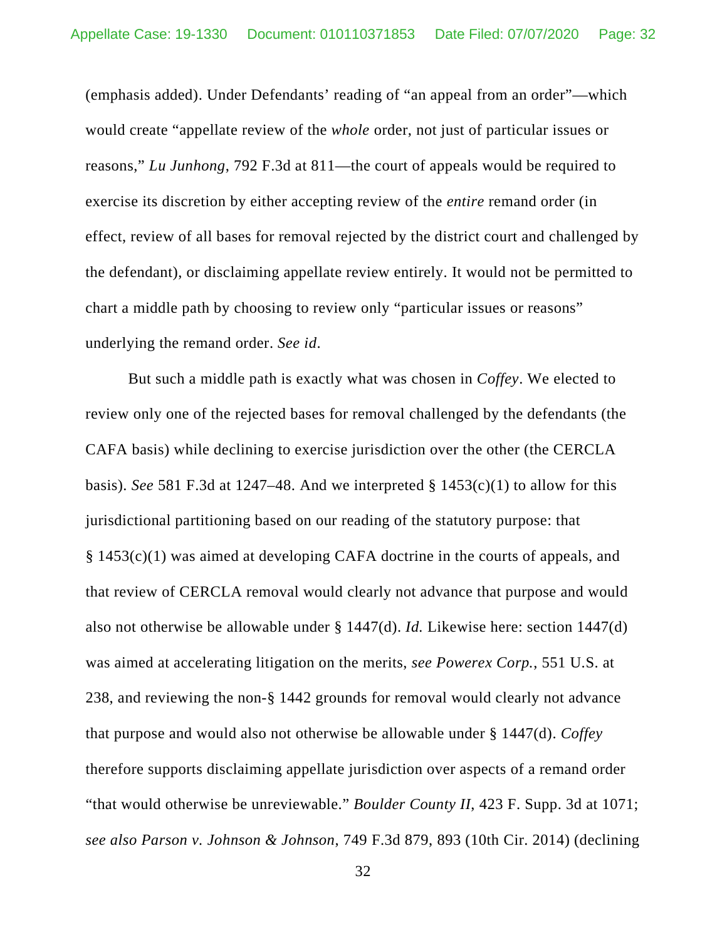(emphasis added). Under Defendants' reading of "an appeal from an order"—which would create "appellate review of the *whole* order, not just of particular issues or reasons," *Lu Junhong*, 792 F.3d at 811—the court of appeals would be required to exercise its discretion by either accepting review of the *entire* remand order (in effect, review of all bases for removal rejected by the district court and challenged by the defendant), or disclaiming appellate review entirely. It would not be permitted to chart a middle path by choosing to review only "particular issues or reasons" underlying the remand order. *See id*.

But such a middle path is exactly what was chosen in *Coffey*. We elected to review only one of the rejected bases for removal challenged by the defendants (the CAFA basis) while declining to exercise jurisdiction over the other (the CERCLA basis). *See* 581 F.3d at 1247–48. And we interpreted § 1453(c)(1) to allow for this jurisdictional partitioning based on our reading of the statutory purpose: that § 1453(c)(1) was aimed at developing CAFA doctrine in the courts of appeals, and that review of CERCLA removal would clearly not advance that purpose and would also not otherwise be allowable under § 1447(d). *Id.* Likewise here: section 1447(d) was aimed at accelerating litigation on the merits, *see Powerex Corp.*, 551 U.S. at 238, and reviewing the non-§ 1442 grounds for removal would clearly not advance that purpose and would also not otherwise be allowable under § 1447(d). *Coffey*  therefore supports disclaiming appellate jurisdiction over aspects of a remand order "that would otherwise be unreviewable." *Boulder County II*, 423 F. Supp. 3d at 1071; *see also Parson v. Johnson & Johnson*, 749 F.3d 879, 893 (10th Cir. 2014) (declining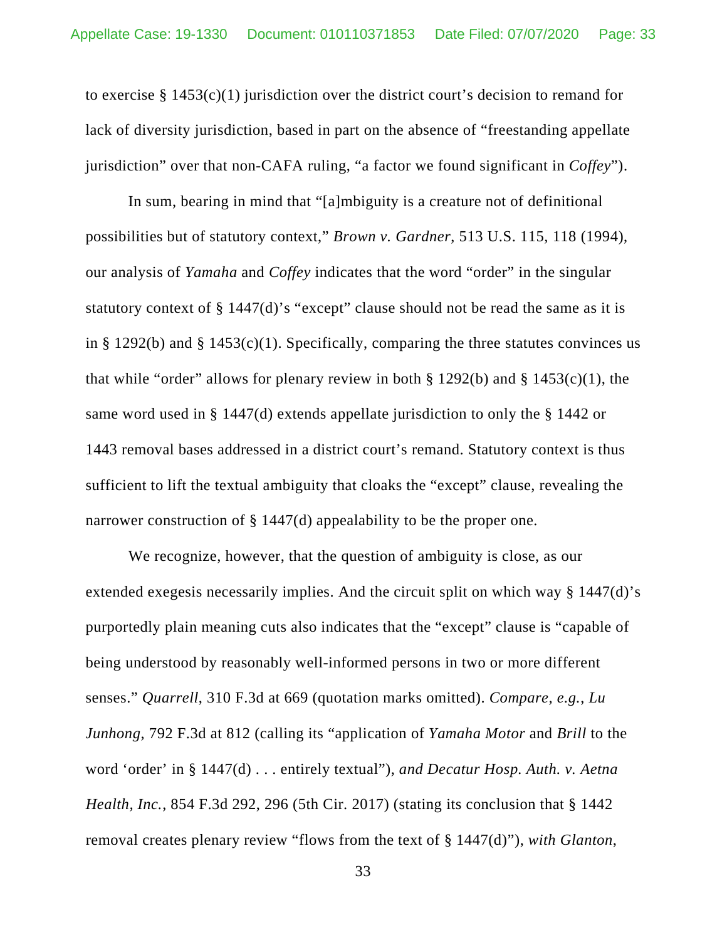to exercise  $\S 1453(c)(1)$  jurisdiction over the district court's decision to remand for lack of diversity jurisdiction, based in part on the absence of "freestanding appellate jurisdiction" over that non-CAFA ruling, "a factor we found significant in *Coffey*").

In sum, bearing in mind that "[a]mbiguity is a creature not of definitional possibilities but of statutory context," *Brown v. Gardner*, 513 U.S. 115, 118 (1994), our analysis of *Yamaha* and *Coffey* indicates that the word "order" in the singular statutory context of § 1447(d)'s "except" clause should not be read the same as it is in § 1292(b) and § 1453(c)(1). Specifically, comparing the three statutes convinces us that while "order" allows for plenary review in both  $\S 1292(b)$  and  $\S 1453(c)(1)$ , the same word used in § 1447(d) extends appellate jurisdiction to only the § 1442 or 1443 removal bases addressed in a district court's remand. Statutory context is thus sufficient to lift the textual ambiguity that cloaks the "except" clause, revealing the narrower construction of § 1447(d) appealability to be the proper one.

We recognize, however, that the question of ambiguity is close, as our extended exegesis necessarily implies. And the circuit split on which way § 1447(d)'s purportedly plain meaning cuts also indicates that the "except" clause is "capable of being understood by reasonably well-informed persons in two or more different senses." *Quarrell*, 310 F.3d at 669 (quotation marks omitted). *Compare, e.g.*, *Lu Junhong*, 792 F.3d at 812 (calling its "application of *Yamaha Motor* and *Brill* to the word 'order' in § 1447(d) . . . entirely textual"), *and Decatur Hosp. Auth. v. Aetna Health, Inc.*, 854 F.3d 292, 296 (5th Cir. 2017) (stating its conclusion that § 1442 removal creates plenary review "flows from the text of § 1447(d)"), *with Glanton*,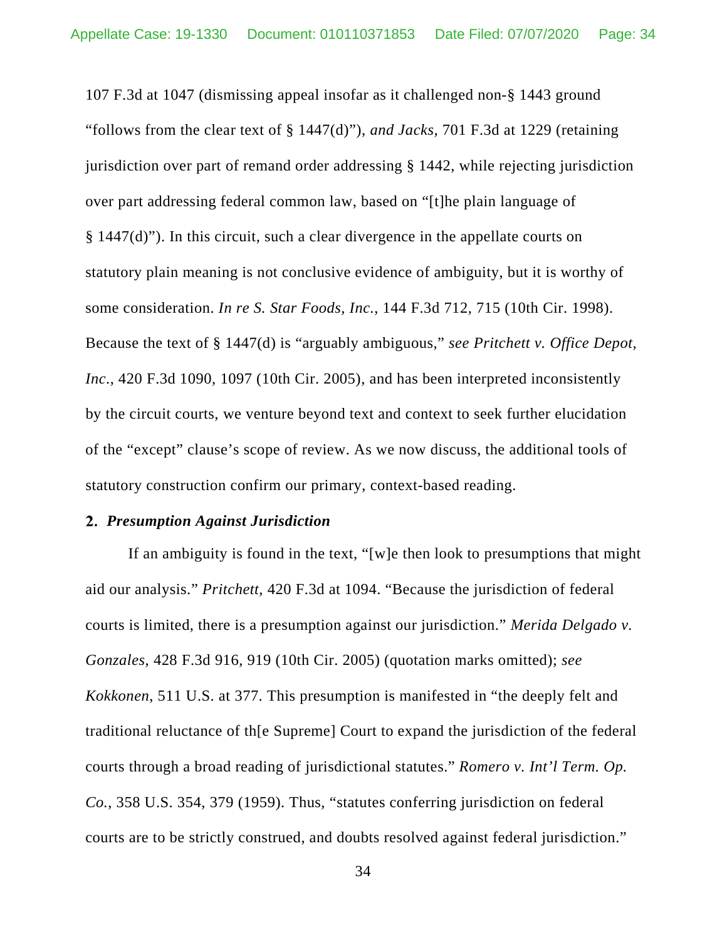107 F.3d at 1047 (dismissing appeal insofar as it challenged non-§ 1443 ground "follows from the clear text of § 1447(d)"), *and Jacks*, 701 F.3d at 1229 (retaining jurisdiction over part of remand order addressing § 1442, while rejecting jurisdiction over part addressing federal common law, based on "[t]he plain language of § 1447(d)"). In this circuit, such a clear divergence in the appellate courts on statutory plain meaning is not conclusive evidence of ambiguity, but it is worthy of some consideration. *In re S. Star Foods, Inc.*, 144 F.3d 712, 715 (10th Cir. 1998). Because the text of § 1447(d) is "arguably ambiguous," *see Pritchett v. Office Depot, Inc*., 420 F.3d 1090, 1097 (10th Cir. 2005), and has been interpreted inconsistently by the circuit courts, we venture beyond text and context to seek further elucidation of the "except" clause's scope of review. As we now discuss, the additional tools of statutory construction confirm our primary, context-based reading.

### *Presumption Against Jurisdiction*

If an ambiguity is found in the text, "[w]e then look to presumptions that might aid our analysis." *Pritchett*, 420 F.3d at 1094. "Because the jurisdiction of federal courts is limited, there is a presumption against our jurisdiction." *Merida Delgado v. Gonzales*, 428 F.3d 916, 919 (10th Cir. 2005) (quotation marks omitted); *see Kokkonen*, 511 U.S. at 377. This presumption is manifested in "the deeply felt and traditional reluctance of th[e Supreme] Court to expand the jurisdiction of the federal courts through a broad reading of jurisdictional statutes." *Romero v. Int'l Term. Op. Co.*, 358 U.S. 354, 379 (1959). Thus, "statutes conferring jurisdiction on federal courts are to be strictly construed, and doubts resolved against federal jurisdiction."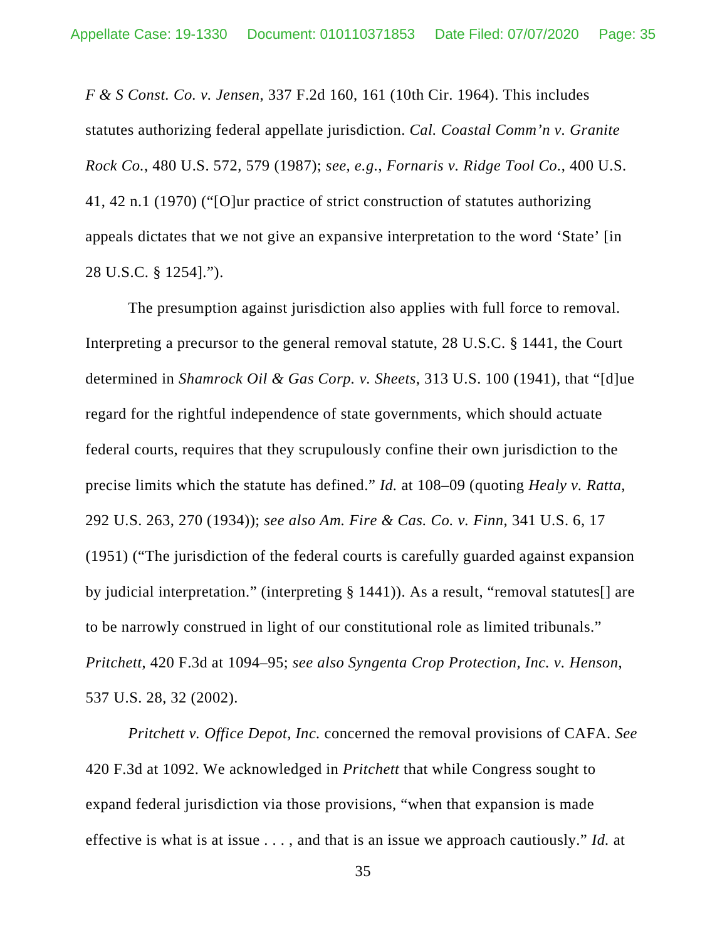*F & S Const. Co. v. Jensen*, 337 F.2d 160, 161 (10th Cir. 1964). This includes statutes authorizing federal appellate jurisdiction. *Cal. Coastal Comm'n v. Granite Rock Co.*, 480 U.S. 572, 579 (1987); *see, e.g.*, *Fornaris v. Ridge Tool Co.*, 400 U.S. 41, 42 n.1 (1970) ("[O]ur practice of strict construction of statutes authorizing appeals dictates that we not give an expansive interpretation to the word 'State' [in 28 U.S.C. § 1254].").

The presumption against jurisdiction also applies with full force to removal. Interpreting a precursor to the general removal statute, 28 U.S.C. § 1441, the Court determined in *Shamrock Oil & Gas Corp. v. Sheets*, 313 U.S. 100 (1941), that "[d]ue regard for the rightful independence of state governments, which should actuate federal courts, requires that they scrupulously confine their own jurisdiction to the precise limits which the statute has defined." *Id.* at 108–09 (quoting *Healy v. Ratta*, 292 U.S. 263, 270 (1934)); *see also Am. Fire & Cas. Co. v. Finn*, 341 U.S. 6, 17 (1951) ("The jurisdiction of the federal courts is carefully guarded against expansion by judicial interpretation." (interpreting § 1441)). As a result, "removal statutes[] are to be narrowly construed in light of our constitutional role as limited tribunals." *Pritchett*, 420 F.3d at 1094–95; *see also Syngenta Crop Protection, Inc. v. Henson*, 537 U.S. 28, 32 (2002).

*Pritchett v. Office Depot, Inc.* concerned the removal provisions of CAFA. *See*  420 F.3d at 1092. We acknowledged in *Pritchett* that while Congress sought to expand federal jurisdiction via those provisions, "when that expansion is made effective is what is at issue . . . , and that is an issue we approach cautiously." *Id.* at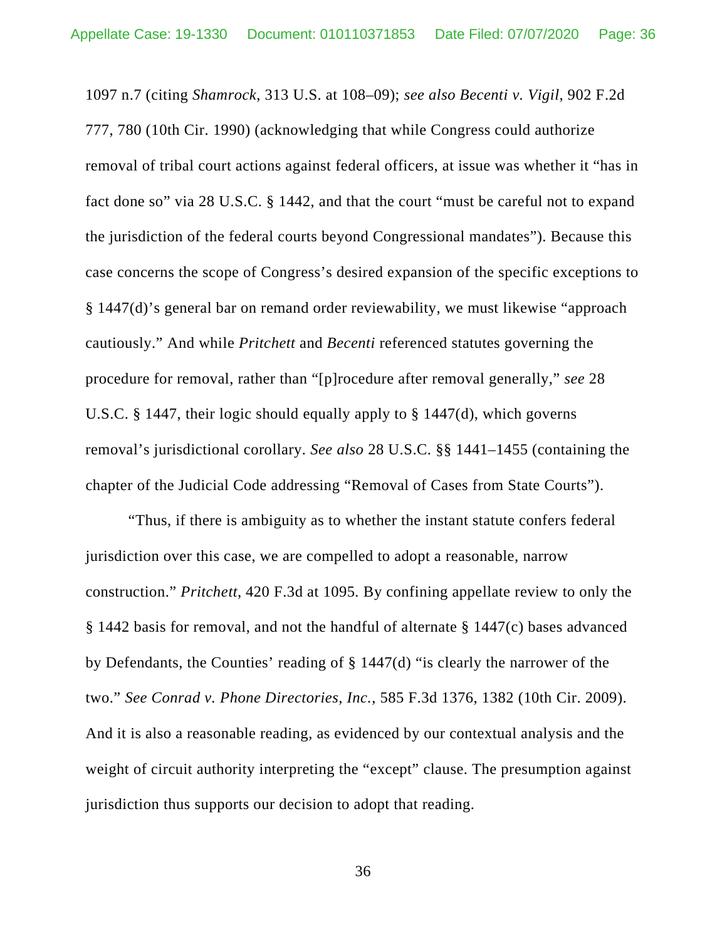1097 n.7 (citing *Shamrock*, 313 U.S. at 108–09); *see also Becenti v. Vigil*, 902 F.2d 777, 780 (10th Cir. 1990) (acknowledging that while Congress could authorize removal of tribal court actions against federal officers, at issue was whether it "has in fact done so" via 28 U.S.C. § 1442, and that the court "must be careful not to expand the jurisdiction of the federal courts beyond Congressional mandates"). Because this case concerns the scope of Congress's desired expansion of the specific exceptions to § 1447(d)'s general bar on remand order reviewability, we must likewise "approach cautiously." And while *Pritchett* and *Becenti* referenced statutes governing the procedure for removal, rather than "[p]rocedure after removal generally," *see* 28 U.S.C. § 1447, their logic should equally apply to § 1447(d), which governs removal's jurisdictional corollary. *See also* 28 U.S.C. §§ 1441–1455 (containing the chapter of the Judicial Code addressing "Removal of Cases from State Courts").

"Thus, if there is ambiguity as to whether the instant statute confers federal jurisdiction over this case, we are compelled to adopt a reasonable, narrow construction." *Pritchett*, 420 F.3d at 1095*.* By confining appellate review to only the § 1442 basis for removal, and not the handful of alternate § 1447(c) bases advanced by Defendants, the Counties' reading of § 1447(d) "is clearly the narrower of the two." *See Conrad v. Phone Directories, Inc.*, 585 F.3d 1376, 1382 (10th Cir. 2009). And it is also a reasonable reading, as evidenced by our contextual analysis and the weight of circuit authority interpreting the "except" clause. The presumption against jurisdiction thus supports our decision to adopt that reading.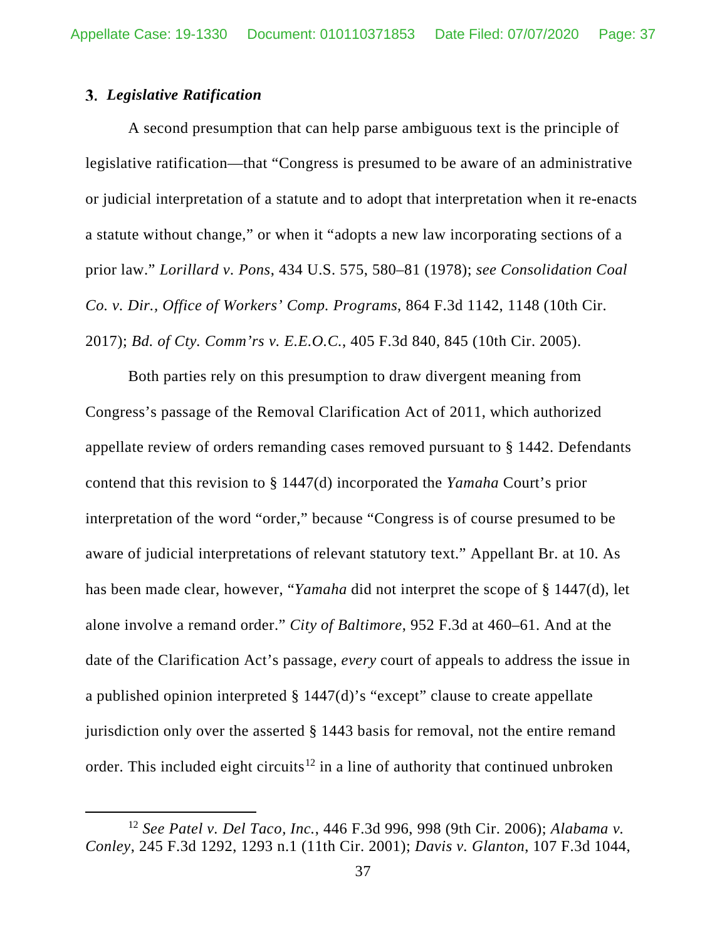### *Legislative Ratification*

A second presumption that can help parse ambiguous text is the principle of legislative ratification—that "Congress is presumed to be aware of an administrative or judicial interpretation of a statute and to adopt that interpretation when it re-enacts a statute without change," or when it "adopts a new law incorporating sections of a prior law." *Lorillard v. Pons*, 434 U.S. 575, 580–81 (1978); *see Consolidation Coal Co. v. Dir., Office of Workers' Comp. Programs*, 864 F.3d 1142, 1148 (10th Cir. 2017); *Bd. of Cty. Comm'rs v. E.E.O.C.*, 405 F.3d 840, 845 (10th Cir. 2005).

Both parties rely on this presumption to draw divergent meaning from Congress's passage of the Removal Clarification Act of 2011, which authorized appellate review of orders remanding cases removed pursuant to § 1442. Defendants contend that this revision to § 1447(d) incorporated the *Yamaha* Court's prior interpretation of the word "order," because "Congress is of course presumed to be aware of judicial interpretations of relevant statutory text." Appellant Br. at 10. As has been made clear, however, "*Yamaha* did not interpret the scope of § 1447(d), let alone involve a remand order." *City of Baltimore*, 952 F.3d at 460–61. And at the date of the Clarification Act's passage, *every* court of appeals to address the issue in a published opinion interpreted § 1447(d)'s "except" clause to create appellate jurisdiction only over the asserted § 1443 basis for removal, not the entire remand order. This included eight circuits<sup>[12](#page-36-0)</sup> in a line of authority that continued unbroken

<span id="page-36-0"></span><sup>12</sup> *See Patel v. Del Taco, Inc.*, 446 F.3d 996, 998 (9th Cir. 2006); *Alabama v. Conley*, 245 F.3d 1292, 1293 n.1 (11th Cir. 2001); *Davis v. Glanton*, 107 F.3d 1044,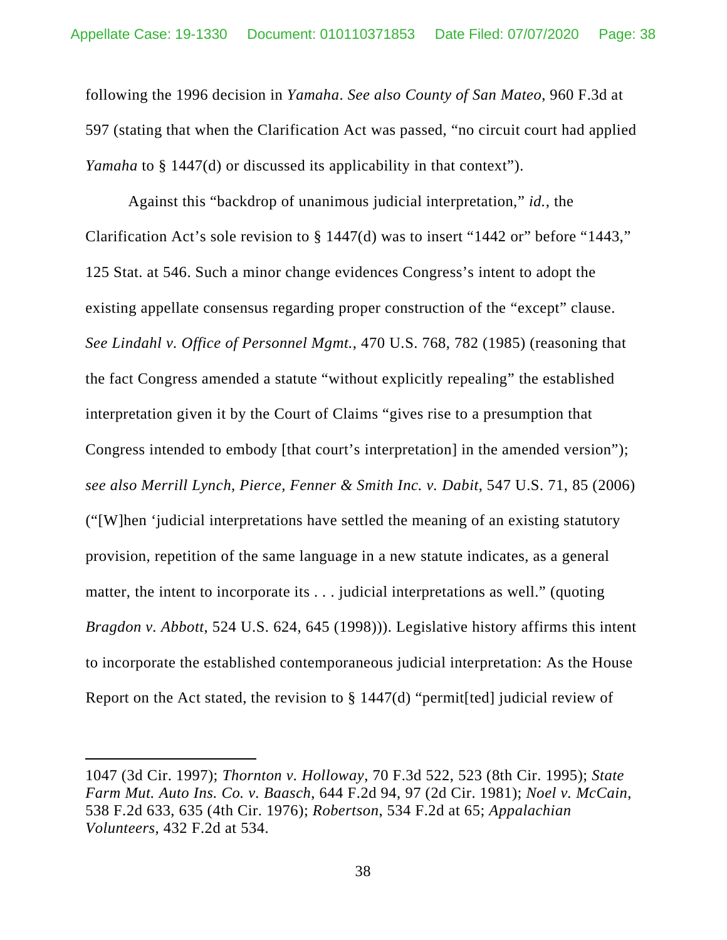following the 1996 decision in *Yamaha*. *See also County of San Mateo*, 960 F.3d at 597 (stating that when the Clarification Act was passed, "no circuit court had applied *Yamaha* to § 1447(d) or discussed its applicability in that context".

Against this "backdrop of unanimous judicial interpretation," *id.*, the Clarification Act's sole revision to § 1447(d) was to insert "1442 or" before "1443," 125 Stat. at 546. Such a minor change evidences Congress's intent to adopt the existing appellate consensus regarding proper construction of the "except" clause. *See Lindahl v. Office of Personnel Mgmt.*, 470 U.S. 768, 782 (1985) (reasoning that the fact Congress amended a statute "without explicitly repealing" the established interpretation given it by the Court of Claims "gives rise to a presumption that Congress intended to embody [that court's interpretation] in the amended version"); *see also Merrill Lynch, Pierce, Fenner & Smith Inc. v. Dabit*, 547 U.S. 71, 85 (2006) ("[W]hen 'judicial interpretations have settled the meaning of an existing statutory provision, repetition of the same language in a new statute indicates, as a general matter, the intent to incorporate its . . . judicial interpretations as well." (quoting *Bragdon v. Abbott*, 524 U.S. 624, 645 (1998))). Legislative history affirms this intent to incorporate the established contemporaneous judicial interpretation: As the House Report on the Act stated, the revision to  $\S 1447(d)$  "permit [ted] judicial review of

<sup>1047 (3</sup>d Cir. 1997); *Thornton v. Holloway*, 70 F.3d 522, 523 (8th Cir. 1995); *State Farm Mut. Auto Ins. Co. v. Baasch*, 644 F.2d 94, 97 (2d Cir. 1981); *Noel v. McCain*, 538 F.2d 633, 635 (4th Cir. 1976); *Robertson*, 534 F.2d at 65; *Appalachian Volunteers*, 432 F.2d at 534.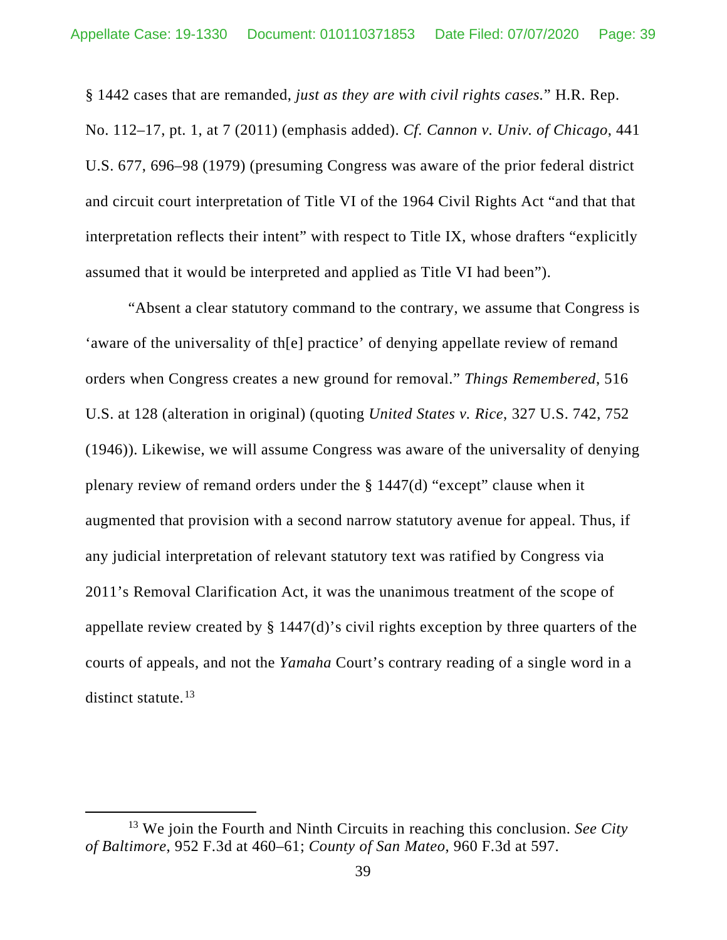§ 1442 cases that are remanded, *just as they are with civil rights cases.*" H.R. Rep. No. 112–17, pt. 1, at 7 (2011) (emphasis added). *Cf. Cannon v. Univ. of Chicago*, 441 U.S. 677, 696–98 (1979) (presuming Congress was aware of the prior federal district and circuit court interpretation of Title VI of the 1964 Civil Rights Act "and that that interpretation reflects their intent" with respect to Title IX, whose drafters "explicitly assumed that it would be interpreted and applied as Title VI had been").

"Absent a clear statutory command to the contrary, we assume that Congress is 'aware of the universality of th[e] practice' of denying appellate review of remand orders when Congress creates a new ground for removal." *Things Remembered*, 516 U.S. at 128 (alteration in original) (quoting *United States v. Rice*, 327 U.S. 742, 752 (1946)). Likewise, we will assume Congress was aware of the universality of denying plenary review of remand orders under the § 1447(d) "except" clause when it augmented that provision with a second narrow statutory avenue for appeal. Thus, if any judicial interpretation of relevant statutory text was ratified by Congress via 2011's Removal Clarification Act, it was the unanimous treatment of the scope of appellate review created by § 1447(d)'s civil rights exception by three quarters of the courts of appeals, and not the *Yamaha* Court's contrary reading of a single word in a distinct statute. $^{13}$  $^{13}$  $^{13}$ 

<span id="page-38-0"></span><sup>13</sup> We join the Fourth and Ninth Circuits in reaching this conclusion. *See City of Baltimore*, 952 F.3d at 460–61; *County of San Mateo*, 960 F.3d at 597.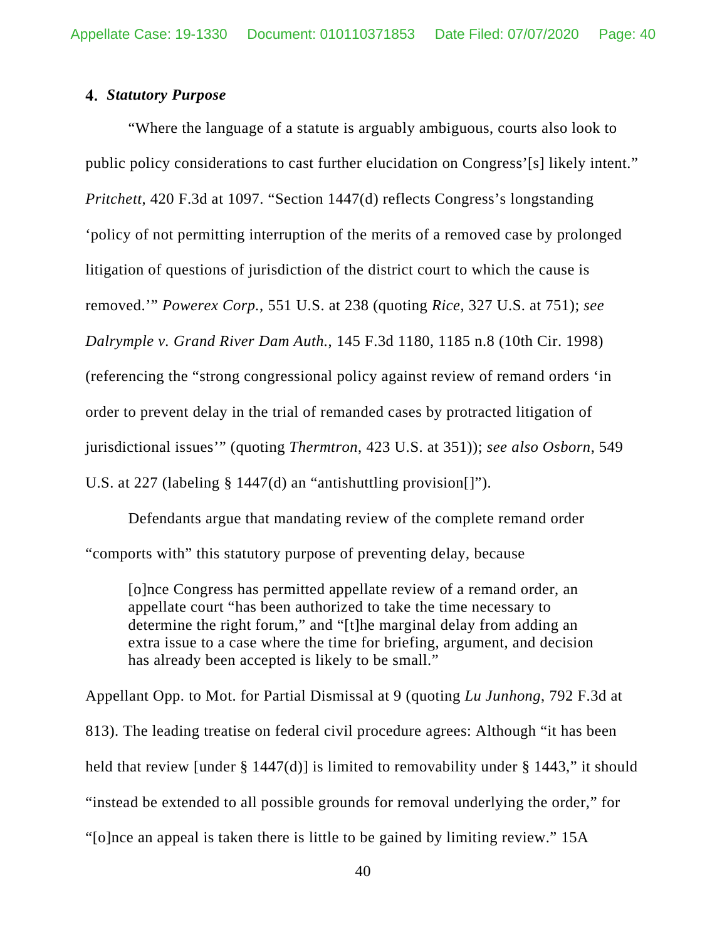### *Statutory Purpose*

"Where the language of a statute is arguably ambiguous, courts also look to public policy considerations to cast further elucidation on Congress'[s] likely intent." *Pritchett*, 420 F.3d at 1097. "Section 1447(d) reflects Congress's longstanding 'policy of not permitting interruption of the merits of a removed case by prolonged litigation of questions of jurisdiction of the district court to which the cause is removed.'" *Powerex Corp.*, 551 U.S. at 238 (quoting *Rice*, 327 U.S. at 751); *see Dalrymple v. Grand River Dam Auth.*, 145 F.3d 1180, 1185 n.8 (10th Cir. 1998) (referencing the "strong congressional policy against review of remand orders 'in order to prevent delay in the trial of remanded cases by protracted litigation of jurisdictional issues'" (quoting *Thermtron*, 423 U.S. at 351)); *see also Osborn*, 549 U.S. at 227 (labeling § 1447(d) an "antishuttling provision[]").

Defendants argue that mandating review of the complete remand order "comports with" this statutory purpose of preventing delay, because

[o]nce Congress has permitted appellate review of a remand order, an appellate court "has been authorized to take the time necessary to determine the right forum," and "[t]he marginal delay from adding an extra issue to a case where the time for briefing, argument, and decision has already been accepted is likely to be small."

Appellant Opp. to Mot. for Partial Dismissal at 9 (quoting *Lu Junhong*, 792 F.3d at 813). The leading treatise on federal civil procedure agrees: Although "it has been held that review [under  $\S 1447(d)$ ] is limited to removability under  $\S 1443$ ," it should "instead be extended to all possible grounds for removal underlying the order," for "[o]nce an appeal is taken there is little to be gained by limiting review." 15A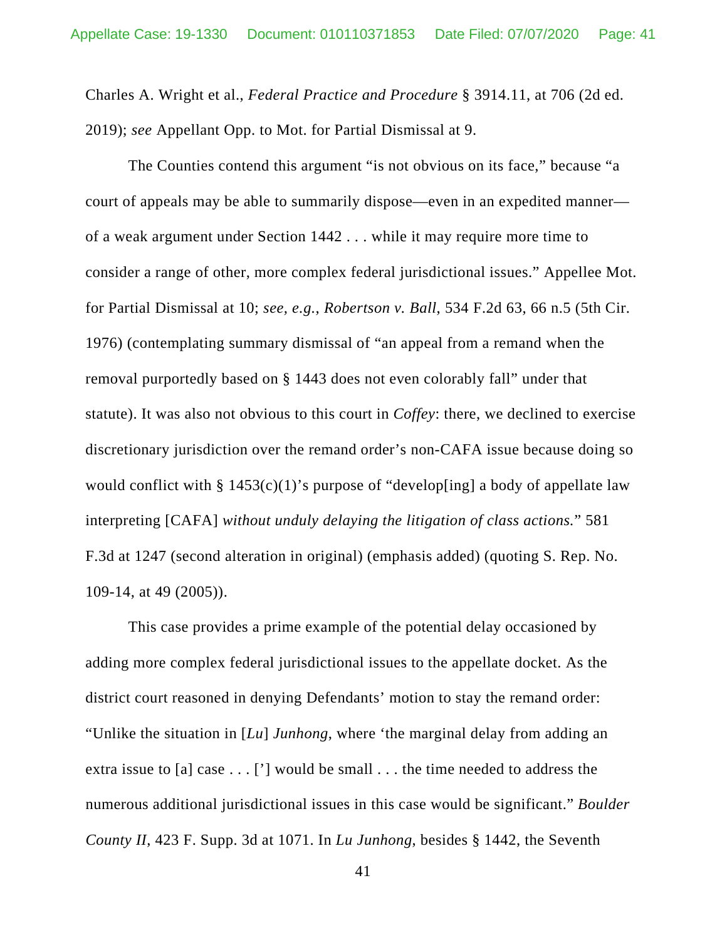Charles A. Wright et al., *Federal Practice and Procedure* § 3914.11, at 706 (2d ed. 2019); *see* Appellant Opp. to Mot. for Partial Dismissal at 9.

The Counties contend this argument "is not obvious on its face," because "a court of appeals may be able to summarily dispose—even in an expedited manner of a weak argument under Section 1442 . . . while it may require more time to consider a range of other, more complex federal jurisdictional issues." Appellee Mot. for Partial Dismissal at 10; *see, e.g.*, *Robertson v. Ball*, 534 F.2d 63, 66 n.5 (5th Cir. 1976) (contemplating summary dismissal of "an appeal from a remand when the removal purportedly based on § 1443 does not even colorably fall" under that statute). It was also not obvious to this court in *Coffey*: there, we declined to exercise discretionary jurisdiction over the remand order's non-CAFA issue because doing so would conflict with  $\S 1453(c)(1)$ 's purpose of "develop[ing] a body of appellate law interpreting [CAFA] *without unduly delaying the litigation of class actions.*" 581 F.3d at 1247 (second alteration in original) (emphasis added) (quoting S. Rep. No. 109-14, at 49 (2005)).

This case provides a prime example of the potential delay occasioned by adding more complex federal jurisdictional issues to the appellate docket. As the district court reasoned in denying Defendants' motion to stay the remand order: "Unlike the situation in [*Lu*] *Junhong*, where 'the marginal delay from adding an extra issue to [a] case . . . ['] would be small . . . the time needed to address the numerous additional jurisdictional issues in this case would be significant." *Boulder County II*, 423 F. Supp. 3d at 1071. In *Lu Junhong*, besides § 1442, the Seventh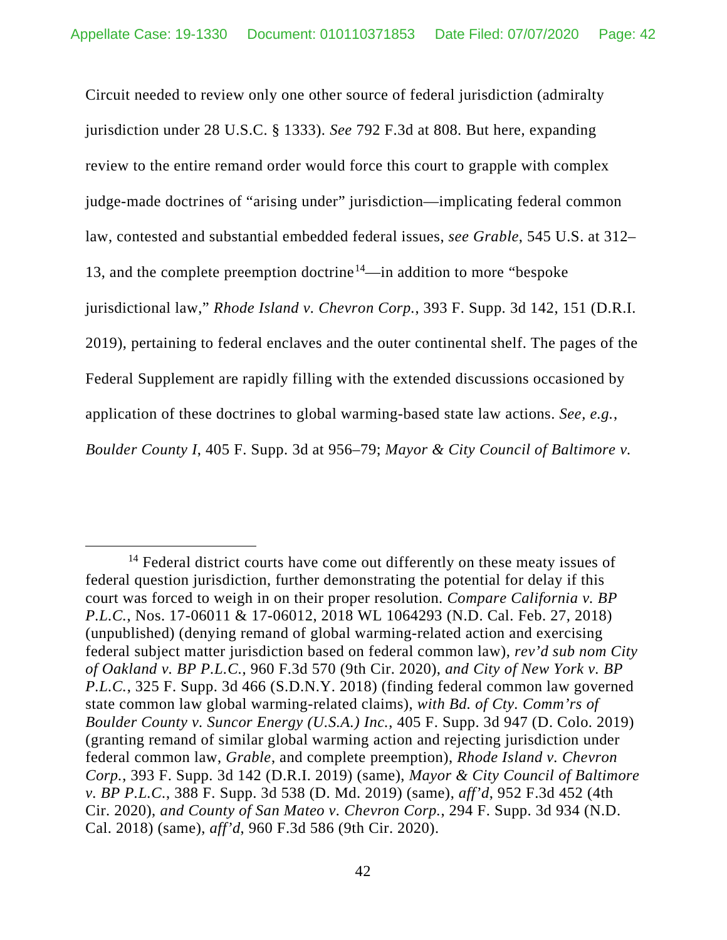Circuit needed to review only one other source of federal jurisdiction (admiralty jurisdiction under 28 U.S.C. § 1333). *See* 792 F.3d at 808. But here, expanding review to the entire remand order would force this court to grapple with complex judge-made doctrines of "arising under" jurisdiction—implicating federal common law, contested and substantial embedded federal issues, *see Grable*, 545 U.S. at 312– 13, and the complete preemption doctrine<sup>14</sup>—in addition to more "bespoke" jurisdictional law," *Rhode Island v. Chevron Corp.*, 393 F. Supp. 3d 142, 151 (D.R.I. 2019), pertaining to federal enclaves and the outer continental shelf. The pages of the Federal Supplement are rapidly filling with the extended discussions occasioned by application of these doctrines to global warming-based state law actions. *See, e.g.*, *Boulder County I*, 405 F. Supp. 3d at 956–79; *Mayor & City Council of Baltimore v.* 

<span id="page-41-0"></span> $14$  Federal district courts have come out differently on these meaty issues of federal question jurisdiction, further demonstrating the potential for delay if this court was forced to weigh in on their proper resolution. *Compare California v. BP P.L.C.*, Nos. 17-06011 & 17-06012, 2018 WL 1064293 (N.D. Cal. Feb. 27, 2018) (unpublished) (denying remand of global warming-related action and exercising federal subject matter jurisdiction based on federal common law), *rev'd sub nom City of Oakland v. BP P.L.C.*, 960 F.3d 570 (9th Cir. 2020), *and City of New York v. BP P.L.C.*, 325 F. Supp. 3d 466 (S.D.N.Y. 2018) (finding federal common law governed state common law global warming-related claims), *with Bd. of Cty. Comm'rs of Boulder County v. Suncor Energy (U.S.A.) Inc.*, 405 F. Supp. 3d 947 (D. Colo. 2019) (granting remand of similar global warming action and rejecting jurisdiction under federal common law, *Grable*, and complete preemption), *Rhode Island v. Chevron Corp.*, 393 F. Supp. 3d 142 (D.R.I. 2019) (same), *Mayor & City Council of Baltimore v. BP P.L.C.*, 388 F. Supp. 3d 538 (D. Md. 2019) (same), *aff'd*, 952 F.3d 452 (4th Cir. 2020), *and County of San Mateo v. Chevron Corp.*, 294 F. Supp. 3d 934 (N.D. Cal. 2018) (same), *aff'd*, 960 F.3d 586 (9th Cir. 2020).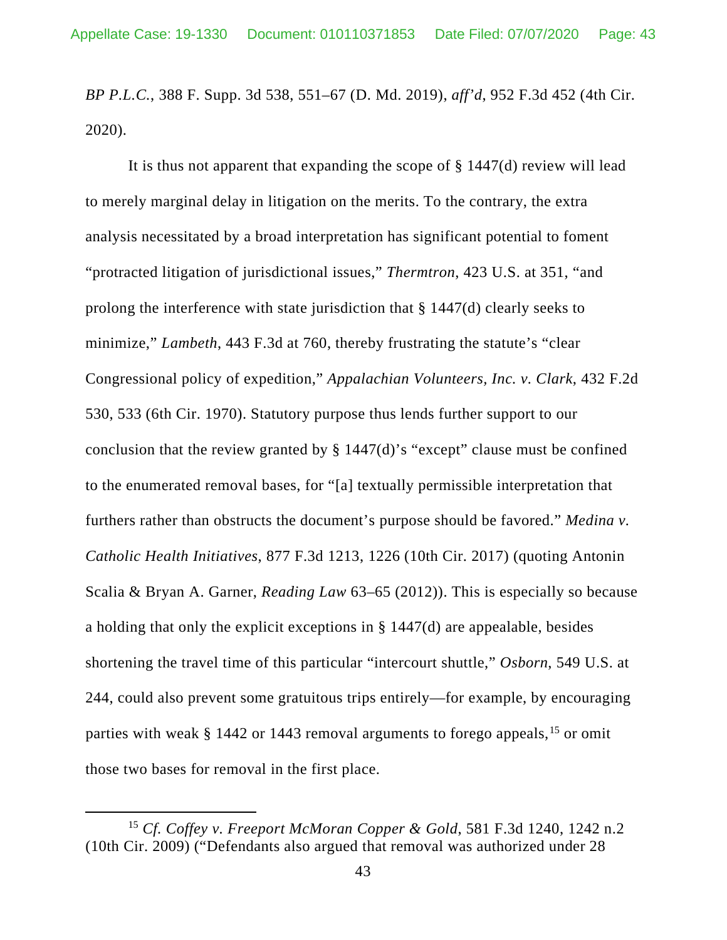*BP P.L.C.*, 388 F. Supp. 3d 538, 551–67 (D. Md. 2019), *aff'd*, 952 F.3d 452 (4th Cir. 2020).

It is thus not apparent that expanding the scope of § 1447(d) review will lead to merely marginal delay in litigation on the merits. To the contrary, the extra analysis necessitated by a broad interpretation has significant potential to foment "protracted litigation of jurisdictional issues," *Thermtron*, 423 U.S. at 351, "and prolong the interference with state jurisdiction that § 1447(d) clearly seeks to minimize," *Lambeth*, 443 F.3d at 760, thereby frustrating the statute's "clear Congressional policy of expedition," *Appalachian Volunteers, Inc. v. Clark*, 432 F.2d 530, 533 (6th Cir. 1970). Statutory purpose thus lends further support to our conclusion that the review granted by § 1447(d)'s "except" clause must be confined to the enumerated removal bases, for "[a] textually permissible interpretation that furthers rather than obstructs the document's purpose should be favored." *Medina v. Catholic Health Initiatives*, 877 F.3d 1213, 1226 (10th Cir. 2017) (quoting Antonin Scalia & Bryan A. Garner, *Reading Law* 63–65 (2012)). This is especially so because a holding that only the explicit exceptions in § 1447(d) are appealable, besides shortening the travel time of this particular "intercourt shuttle," *Osborn*, 549 U.S. at 244, could also prevent some gratuitous trips entirely—for example, by encouraging parties with weak  $\S$  1442 or 1443 removal arguments to forego appeals, <sup>[15](#page-42-0)</sup> or omit those two bases for removal in the first place.

<span id="page-42-0"></span><sup>15</sup> *Cf. Coffey v. Freeport McMoran Copper & Gold*, 581 F.3d 1240, 1242 n.2 (10th Cir. 2009) ("Defendants also argued that removal was authorized under 28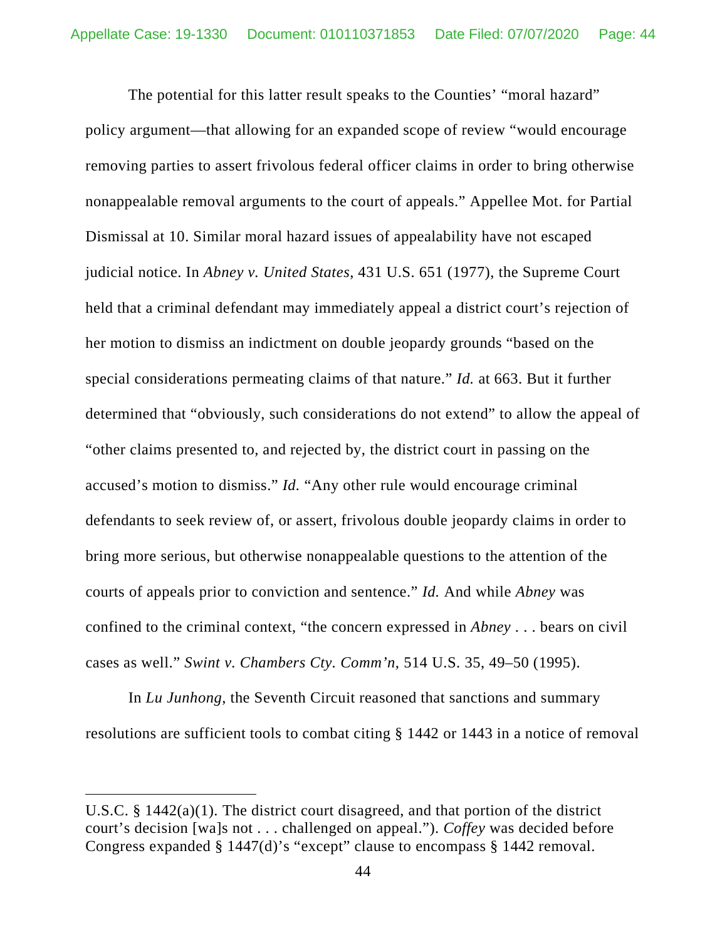The potential for this latter result speaks to the Counties' "moral hazard" policy argument—that allowing for an expanded scope of review "would encourage removing parties to assert frivolous federal officer claims in order to bring otherwise nonappealable removal arguments to the court of appeals." Appellee Mot. for Partial Dismissal at 10. Similar moral hazard issues of appealability have not escaped judicial notice. In *Abney v. United States*, 431 U.S. 651 (1977), the Supreme Court held that a criminal defendant may immediately appeal a district court's rejection of her motion to dismiss an indictment on double jeopardy grounds "based on the special considerations permeating claims of that nature." *Id.* at 663. But it further determined that "obviously, such considerations do not extend" to allow the appeal of "other claims presented to, and rejected by, the district court in passing on the accused's motion to dismiss." *Id.* "Any other rule would encourage criminal defendants to seek review of, or assert, frivolous double jeopardy claims in order to bring more serious, but otherwise nonappealable questions to the attention of the courts of appeals prior to conviction and sentence." *Id.* And while *Abney* was confined to the criminal context, "the concern expressed in *Abney* . . . bears on civil cases as well." *Swint v. Chambers Cty. Comm'n*, 514 U.S. 35, 49–50 (1995).

In *Lu Junhong*, the Seventh Circuit reasoned that sanctions and summary resolutions are sufficient tools to combat citing § 1442 or 1443 in a notice of removal

U.S.C. § 1442(a)(1). The district court disagreed, and that portion of the district court's decision [wa]s not . . . challenged on appeal."). *Coffey* was decided before Congress expanded § 1447(d)'s "except" clause to encompass § 1442 removal.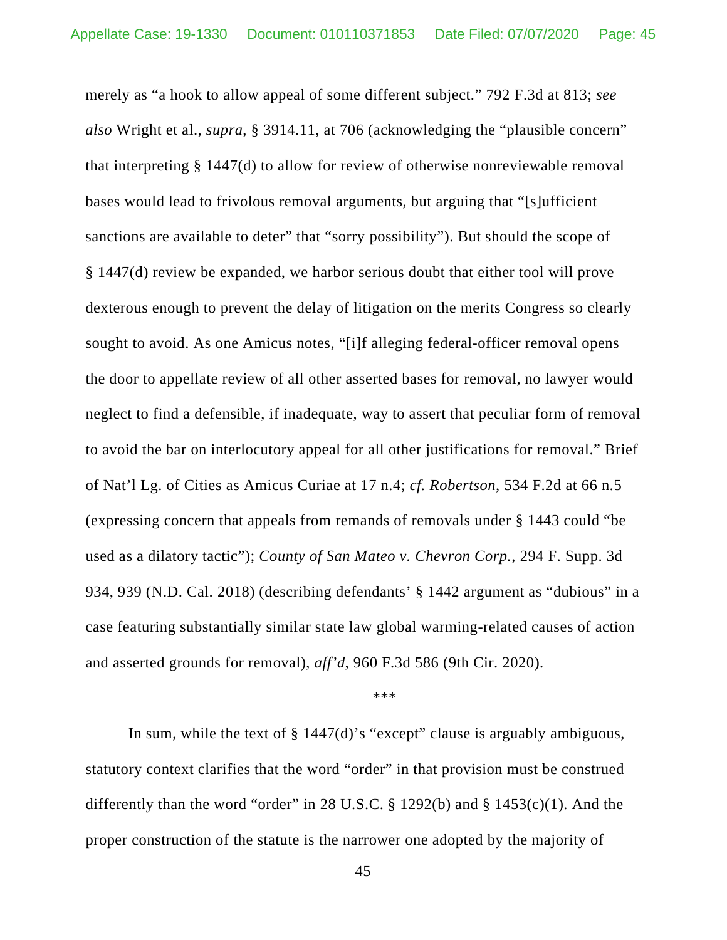merely as "a hook to allow appeal of some different subject." 792 F.3d at 813; *see also* Wright et al., *supra*, § 3914.11, at 706 (acknowledging the "plausible concern" that interpreting § 1447(d) to allow for review of otherwise nonreviewable removal bases would lead to frivolous removal arguments, but arguing that "[s]ufficient sanctions are available to deter" that "sorry possibility"). But should the scope of § 1447(d) review be expanded, we harbor serious doubt that either tool will prove dexterous enough to prevent the delay of litigation on the merits Congress so clearly sought to avoid. As one Amicus notes, "[i]f alleging federal-officer removal opens the door to appellate review of all other asserted bases for removal, no lawyer would neglect to find a defensible, if inadequate, way to assert that peculiar form of removal to avoid the bar on interlocutory appeal for all other justifications for removal." Brief of Nat'l Lg. of Cities as Amicus Curiae at 17 n.4; *cf. Robertson*, 534 F.2d at 66 n.5 (expressing concern that appeals from remands of removals under § 1443 could "be used as a dilatory tactic"); *County of San Mateo v. Chevron Corp.*, 294 F. Supp. 3d 934, 939 (N.D. Cal. 2018) (describing defendants' § 1442 argument as "dubious" in a case featuring substantially similar state law global warming-related causes of action and asserted grounds for removal), *aff'd*, 960 F.3d 586 (9th Cir. 2020).

#### \*\*\*

In sum, while the text of § 1447(d)'s "except" clause is arguably ambiguous, statutory context clarifies that the word "order" in that provision must be construed differently than the word "order" in 28 U.S.C. § 1292(b) and § 1453(c)(1). And the proper construction of the statute is the narrower one adopted by the majority of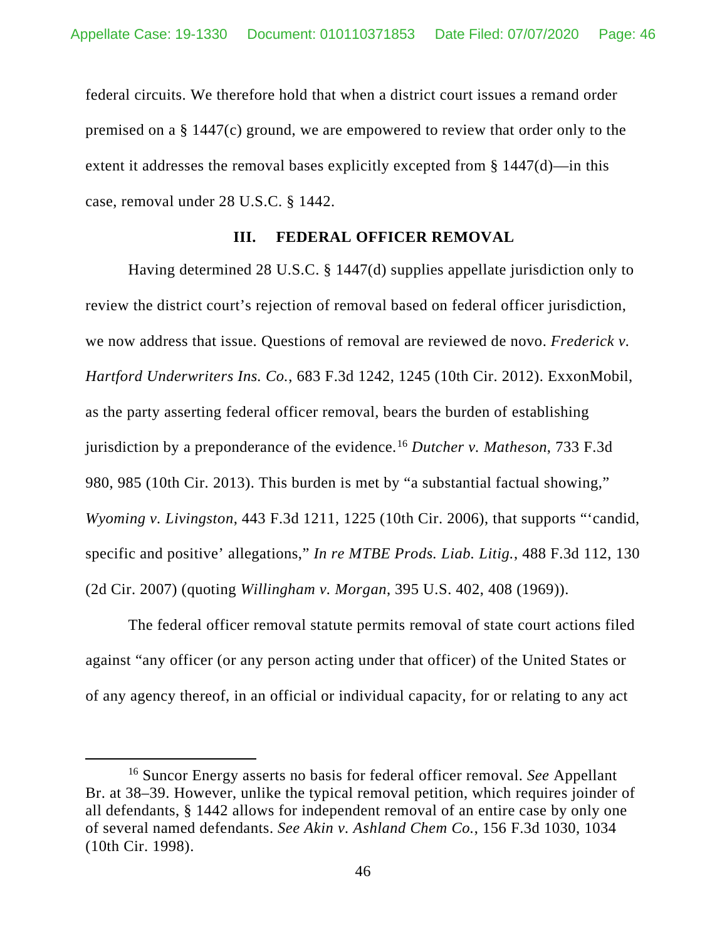federal circuits. We therefore hold that when a district court issues a remand order premised on a § 1447(c) ground, we are empowered to review that order only to the extent it addresses the removal bases explicitly excepted from § 1447(d)—in this case, removal under 28 U.S.C. § 1442.

### **III. FEDERAL OFFICER REMOVAL**

Having determined 28 U.S.C. § 1447(d) supplies appellate jurisdiction only to review the district court's rejection of removal based on federal officer jurisdiction, we now address that issue. Questions of removal are reviewed de novo. *Frederick v. Hartford Underwriters Ins. Co.*, 683 F.3d 1242, 1245 (10th Cir. 2012). ExxonMobil, as the party asserting federal officer removal, bears the burden of establishing jurisdiction by a preponderance of the evidence.[16](#page-45-0) *Dutcher v. Matheson*, 733 F.3d 980, 985 (10th Cir. 2013). This burden is met by "a substantial factual showing," *Wyoming v. Livingston*, 443 F.3d 1211, 1225 (10th Cir. 2006), that supports "'candid, specific and positive' allegations," *In re MTBE Prods. Liab. Litig.*, 488 F.3d 112, 130 (2d Cir. 2007) (quoting *Willingham v. Morgan*, 395 U.S. 402, 408 (1969)).

The federal officer removal statute permits removal of state court actions filed against "any officer (or any person acting under that officer) of the United States or of any agency thereof, in an official or individual capacity, for or relating to any act

<span id="page-45-0"></span><sup>16</sup> Suncor Energy asserts no basis for federal officer removal. *See* Appellant Br. at 38–39. However, unlike the typical removal petition, which requires joinder of all defendants, § 1442 allows for independent removal of an entire case by only one of several named defendants. *See Akin v. Ashland Chem Co.*, 156 F.3d 1030, 1034 (10th Cir. 1998).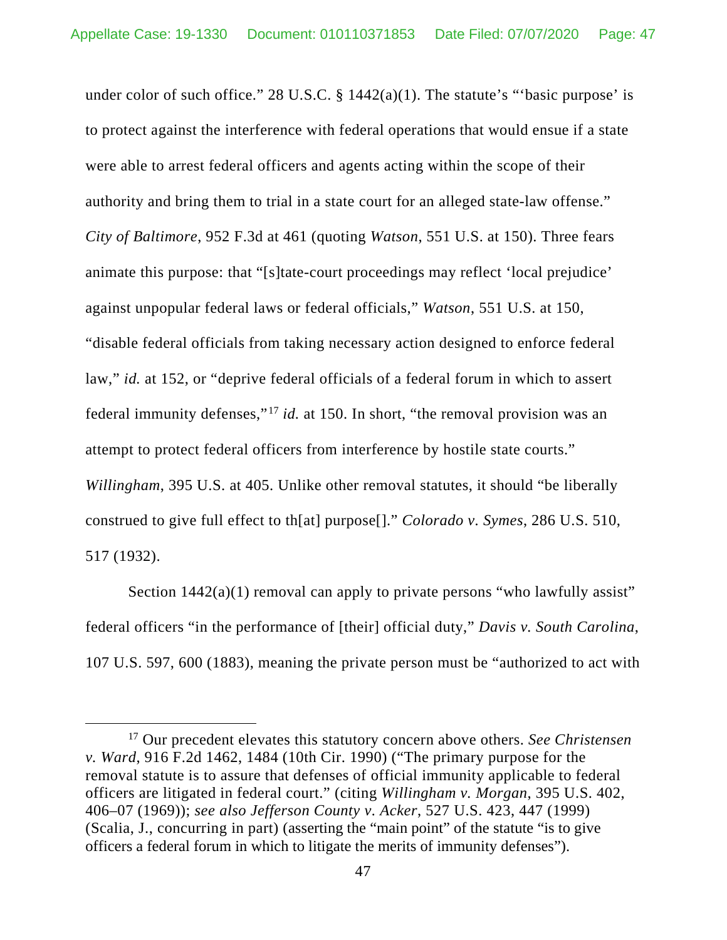under color of such office." 28 U.S.C.  $\S$  1442(a)(1). The statute's "basic purpose' is to protect against the interference with federal operations that would ensue if a state were able to arrest federal officers and agents acting within the scope of their authority and bring them to trial in a state court for an alleged state-law offense." *City of Baltimore*, 952 F.3d at 461 (quoting *Watson*, 551 U.S. at 150). Three fears animate this purpose: that "[s]tate-court proceedings may reflect 'local prejudice' against unpopular federal laws or federal officials," *Watson*, 551 U.S. at 150, "disable federal officials from taking necessary action designed to enforce federal law," *id.* at 152, or "deprive federal officials of a federal forum in which to assert federal immunity defenses,"[17](#page-46-0) *id.* at 150. In short, "the removal provision was an attempt to protect federal officers from interference by hostile state courts." *Willingham*, 395 U.S. at 405. Unlike other removal statutes, it should "be liberally construed to give full effect to th[at] purpose[]." *Colorado v. Symes*, 286 U.S. 510, 517 (1932).

Section  $1442(a)(1)$  removal can apply to private persons "who lawfully assist" federal officers "in the performance of [their] official duty," *Davis v. South Carolina*, 107 U.S. 597, 600 (1883), meaning the private person must be "authorized to act with

<span id="page-46-0"></span><sup>17</sup> Our precedent elevates this statutory concern above others. *See Christensen v. Ward*, 916 F.2d 1462, 1484 (10th Cir. 1990) ("The primary purpose for the removal statute is to assure that defenses of official immunity applicable to federal officers are litigated in federal court." (citing *Willingham v. Morgan*, 395 U.S. 402, 406–07 (1969)); *see also Jefferson County v. Acker*, 527 U.S. 423, 447 (1999) (Scalia, J., concurring in part) (asserting the "main point" of the statute "is to give officers a federal forum in which to litigate the merits of immunity defenses").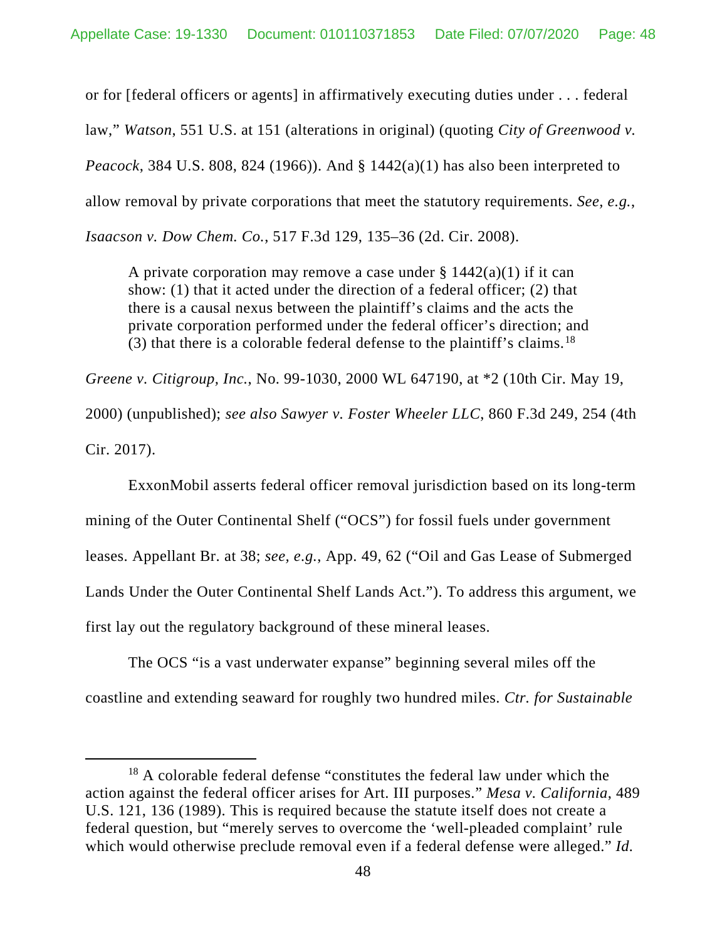or for [federal officers or agents] in affirmatively executing duties under . . . federal law," *Watson*, 551 U.S. at 151 (alterations in original) (quoting *City of Greenwood v. Peacock*, 384 U.S. 808, 824 (1966)). And § 1442(a)(1) has also been interpreted to allow removal by private corporations that meet the statutory requirements. *See, e.g.*, *Isaacson v. Dow Chem. Co.*, 517 F.3d 129, 135–36 (2d. Cir. 2008).

A private corporation may remove a case under  $\S 1442(a)(1)$  if it can show: (1) that it acted under the direction of a federal officer; (2) that there is a causal nexus between the plaintiff's claims and the acts the private corporation performed under the federal officer's direction; and (3) that there is a colorable federal defense to the plaintiff's claims.[18](#page-47-0)

*Greene v. Citigroup, Inc.*, No. 99-1030, 2000 WL 647190, at \*2 (10th Cir. May 19,

2000) (unpublished); *see also Sawyer v. Foster Wheeler LLC*, 860 F.3d 249, 254 (4th Cir. 2017).

ExxonMobil asserts federal officer removal jurisdiction based on its long-term mining of the Outer Continental Shelf ("OCS") for fossil fuels under government leases. Appellant Br. at 38; *see, e.g.*, App. 49, 62 ("Oil and Gas Lease of Submerged Lands Under the Outer Continental Shelf Lands Act."). To address this argument, we first lay out the regulatory background of these mineral leases.

The OCS "is a vast underwater expanse" beginning several miles off the coastline and extending seaward for roughly two hundred miles. *Ctr. for Sustainable* 

<span id="page-47-0"></span><sup>&</sup>lt;sup>18</sup> A colorable federal defense "constitutes the federal law under which the action against the federal officer arises for Art. III purposes." *Mesa v. California*, 489 U.S. 121, 136 (1989). This is required because the statute itself does not create a federal question, but "merely serves to overcome the 'well-pleaded complaint' rule which would otherwise preclude removal even if a federal defense were alleged." *Id.*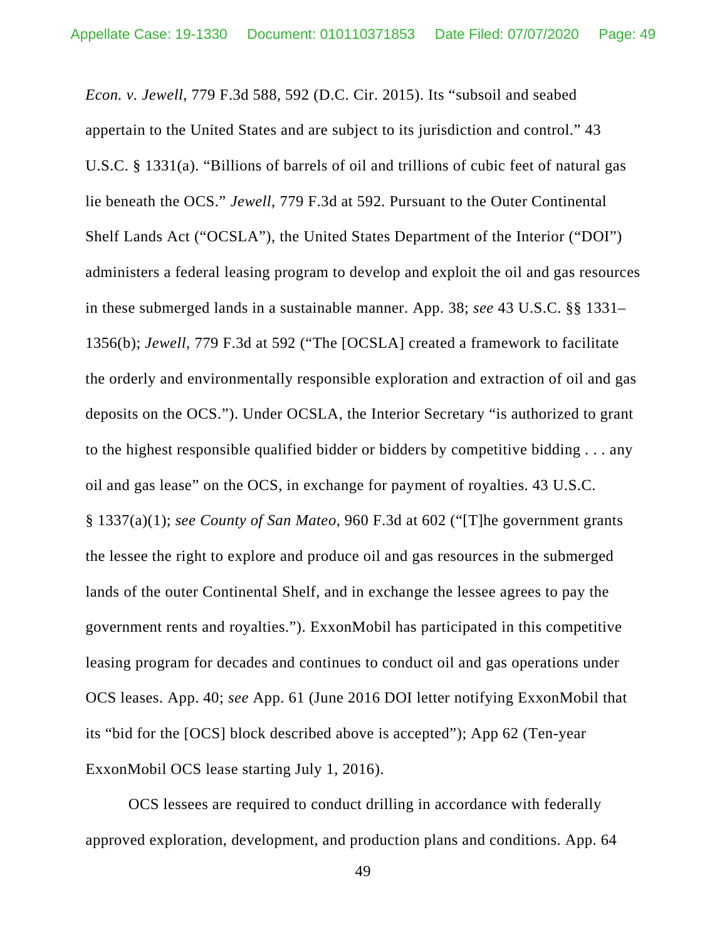*Econ. v. Jewell*, 779 F.3d 588, 592 (D.C. Cir. 2015). Its "subsoil and seabed appertain to the United States and are subject to its jurisdiction and control." 43 U.S.C. § 1331(a). "Billions of barrels of oil and trillions of cubic feet of natural gas lie beneath the OCS." *Jewell*, 779 F.3d at 592. Pursuant to the Outer Continental Shelf Lands Act ("OCSLA"), the United States Department of the Interior ("DOI") administers a federal leasing program to develop and exploit the oil and gas resources in these submerged lands in a sustainable manner. App. 38; *see* 43 U.S.C. §§ 1331– 1356(b); *Jewell*, 779 F.3d at 592 ("The [OCSLA] created a framework to facilitate the orderly and environmentally responsible exploration and extraction of oil and gas deposits on the OCS."). Under OCSLA, the Interior Secretary "is authorized to grant to the highest responsible qualified bidder or bidders by competitive bidding . . . any oil and gas lease" on the OCS, in exchange for payment of royalties. 43 U.S.C. § 1337(a)(1); *see County of San Mateo*, 960 F.3d at 602 ("[T]he government grants the lessee the right to explore and produce oil and gas resources in the submerged lands of the outer Continental Shelf, and in exchange the lessee agrees to pay the government rents and royalties."). ExxonMobil has participated in this competitive leasing program for decades and continues to conduct oil and gas operations under OCS leases. App. 40; *see* App. 61 (June 2016 DOI letter notifying ExxonMobil that its "bid for the [OCS] block described above is accepted"); App 62 (Ten-year ExxonMobil OCS lease starting July 1, 2016).

OCS lessees are required to conduct drilling in accordance with federally approved exploration, development, and production plans and conditions. App. 64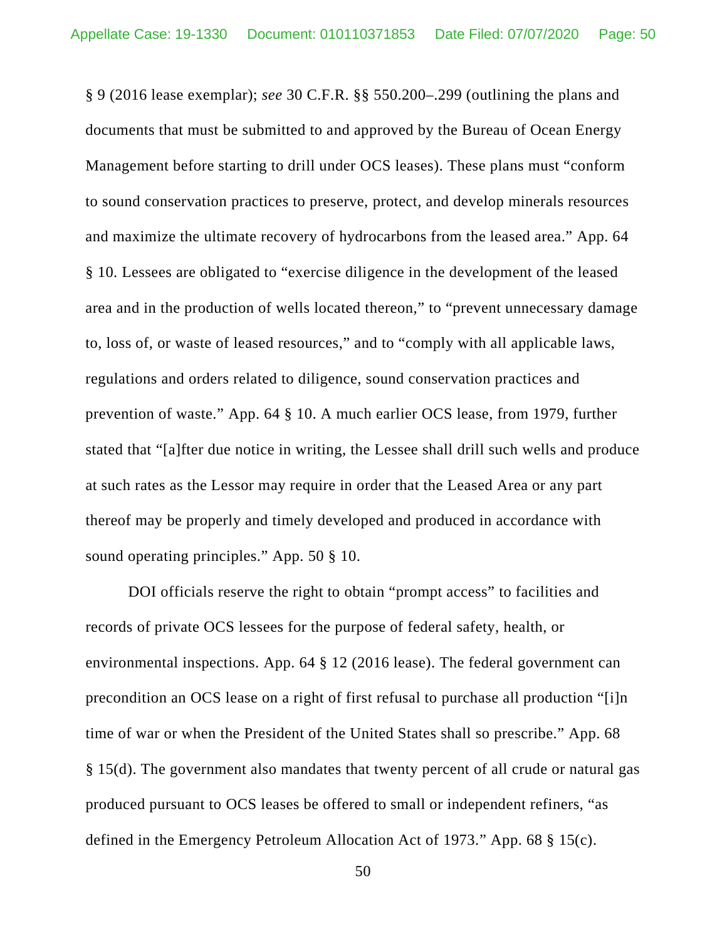§ 9 (2016 lease exemplar); *see* 30 C.F.R. §§ 550.200–.299 (outlining the plans and documents that must be submitted to and approved by the Bureau of Ocean Energy Management before starting to drill under OCS leases). These plans must "conform to sound conservation practices to preserve, protect, and develop minerals resources and maximize the ultimate recovery of hydrocarbons from the leased area." App. 64 § 10. Lessees are obligated to "exercise diligence in the development of the leased area and in the production of wells located thereon," to "prevent unnecessary damage to, loss of, or waste of leased resources," and to "comply with all applicable laws, regulations and orders related to diligence, sound conservation practices and prevention of waste." App. 64 § 10. A much earlier OCS lease, from 1979, further stated that "[a]fter due notice in writing, the Lessee shall drill such wells and produce at such rates as the Lessor may require in order that the Leased Area or any part thereof may be properly and timely developed and produced in accordance with sound operating principles." App. 50 § 10.

DOI officials reserve the right to obtain "prompt access" to facilities and records of private OCS lessees for the purpose of federal safety, health, or environmental inspections. App. 64 § 12 (2016 lease). The federal government can precondition an OCS lease on a right of first refusal to purchase all production "[i]n time of war or when the President of the United States shall so prescribe." App. 68 § 15(d). The government also mandates that twenty percent of all crude or natural gas produced pursuant to OCS leases be offered to small or independent refiners, "as defined in the Emergency Petroleum Allocation Act of 1973." App. 68 § 15(c).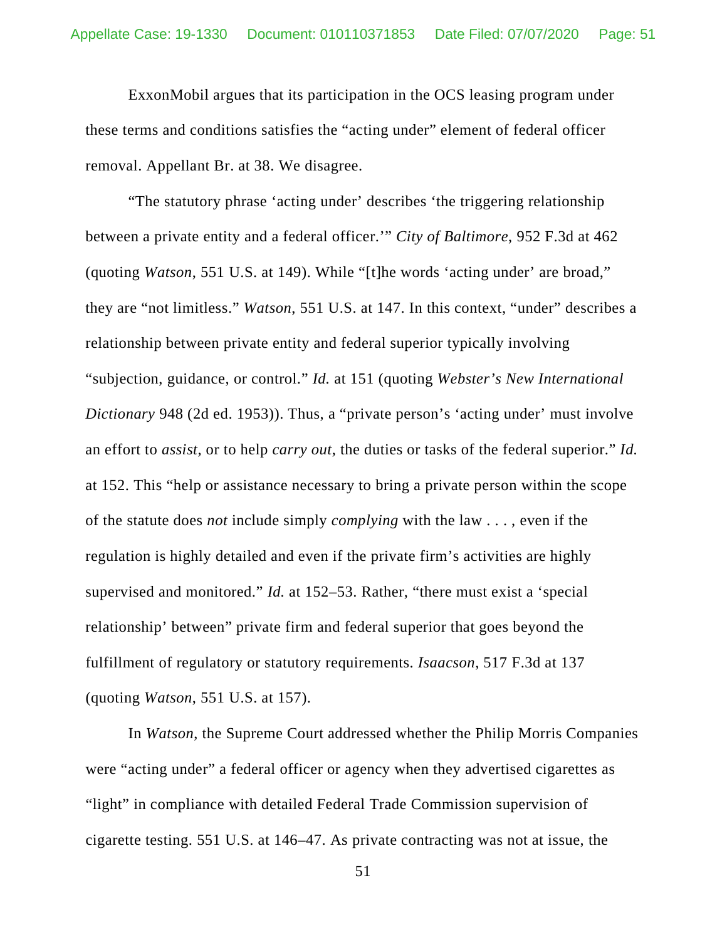ExxonMobil argues that its participation in the OCS leasing program under these terms and conditions satisfies the "acting under" element of federal officer removal. Appellant Br. at 38. We disagree.

"The statutory phrase 'acting under' describes 'the triggering relationship between a private entity and a federal officer.'" *City of Baltimore*, 952 F.3d at 462 (quoting *Watson*, 551 U.S. at 149). While "[t]he words 'acting under' are broad," they are "not limitless." *Watson*, 551 U.S. at 147. In this context, "under" describes a relationship between private entity and federal superior typically involving "subjection, guidance, or control." *Id.* at 151 (quoting *Webster's New International Dictionary* 948 (2d ed. 1953)). Thus, a "private person's 'acting under' must involve an effort to *assist*, or to help *carry out*, the duties or tasks of the federal superior." *Id.*  at 152. This "help or assistance necessary to bring a private person within the scope of the statute does *not* include simply *complying* with the law . . . , even if the regulation is highly detailed and even if the private firm's activities are highly supervised and monitored." *Id.* at 152–53. Rather, "there must exist a 'special relationship' between" private firm and federal superior that goes beyond the fulfillment of regulatory or statutory requirements. *Isaacson*, 517 F.3d at 137 (quoting *Watson*, 551 U.S. at 157).

In *Watson*, the Supreme Court addressed whether the Philip Morris Companies were "acting under" a federal officer or agency when they advertised cigarettes as "light" in compliance with detailed Federal Trade Commission supervision of cigarette testing. 551 U.S. at 146–47. As private contracting was not at issue, the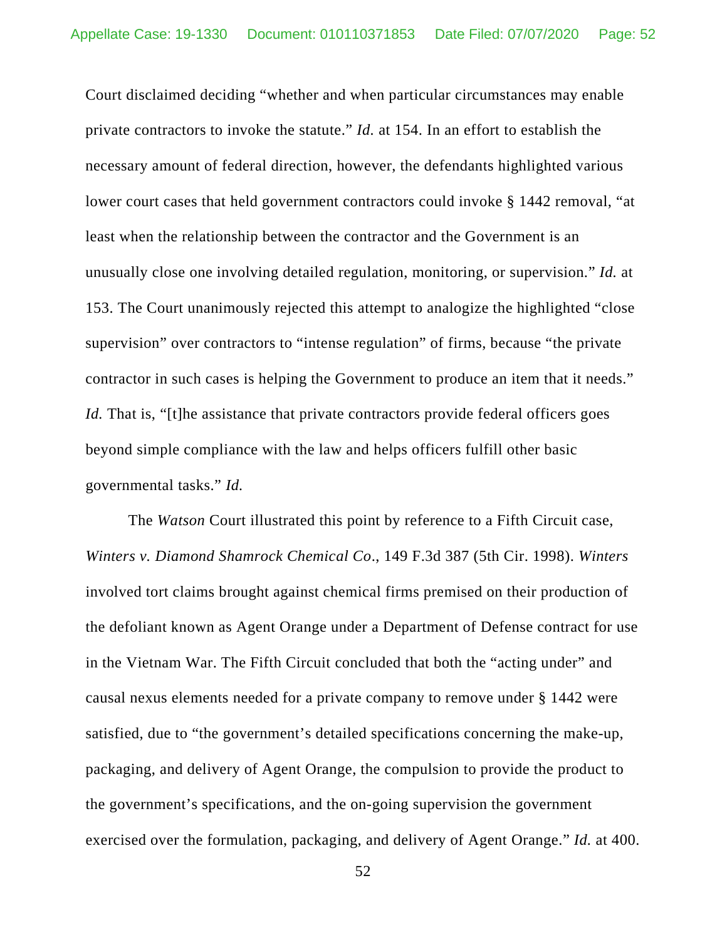Court disclaimed deciding "whether and when particular circumstances may enable private contractors to invoke the statute." *Id.* at 154. In an effort to establish the necessary amount of federal direction, however, the defendants highlighted various lower court cases that held government contractors could invoke § 1442 removal, "at least when the relationship between the contractor and the Government is an unusually close one involving detailed regulation, monitoring, or supervision." *Id.* at 153. The Court unanimously rejected this attempt to analogize the highlighted "close supervision" over contractors to "intense regulation" of firms, because "the private contractor in such cases is helping the Government to produce an item that it needs." *Id.* That is, "[t]he assistance that private contractors provide federal officers goes beyond simple compliance with the law and helps officers fulfill other basic governmental tasks." *Id.*

The *Watson* Court illustrated this point by reference to a Fifth Circuit case, *Winters v. Diamond Shamrock Chemical Co*., 149 F.3d 387 (5th Cir. 1998). *Winters* involved tort claims brought against chemical firms premised on their production of the defoliant known as Agent Orange under a Department of Defense contract for use in the Vietnam War. The Fifth Circuit concluded that both the "acting under" and causal nexus elements needed for a private company to remove under § 1442 were satisfied, due to "the government's detailed specifications concerning the make-up, packaging, and delivery of Agent Orange, the compulsion to provide the product to the government's specifications, and the on-going supervision the government exercised over the formulation, packaging, and delivery of Agent Orange." *Id.* at 400.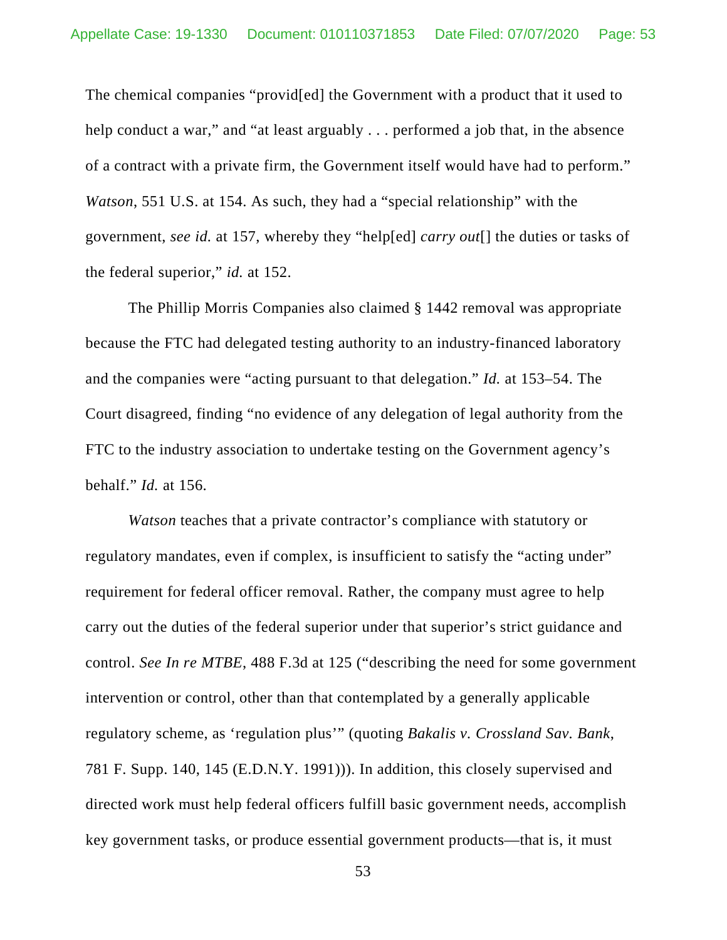The chemical companies "provid[ed] the Government with a product that it used to help conduct a war," and "at least arguably . . . performed a job that, in the absence of a contract with a private firm, the Government itself would have had to perform." *Watson*, 551 U.S. at 154. As such, they had a "special relationship" with the government, *see id.* at 157, whereby they "help[ed] *carry out*[] the duties or tasks of the federal superior," *id.* at 152.

The Phillip Morris Companies also claimed § 1442 removal was appropriate because the FTC had delegated testing authority to an industry-financed laboratory and the companies were "acting pursuant to that delegation." *Id.* at 153–54. The Court disagreed, finding "no evidence of any delegation of legal authority from the FTC to the industry association to undertake testing on the Government agency's behalf." *Id.* at 156.

*Watson* teaches that a private contractor's compliance with statutory or regulatory mandates, even if complex, is insufficient to satisfy the "acting under" requirement for federal officer removal. Rather, the company must agree to help carry out the duties of the federal superior under that superior's strict guidance and control. *See In re MTBE*, 488 F.3d at 125 ("describing the need for some government intervention or control, other than that contemplated by a generally applicable regulatory scheme, as 'regulation plus'" (quoting *Bakalis v. Crossland Sav. Bank*, 781 F. Supp. 140, 145 (E.D.N.Y. 1991))). In addition, this closely supervised and directed work must help federal officers fulfill basic government needs, accomplish key government tasks, or produce essential government products—that is, it must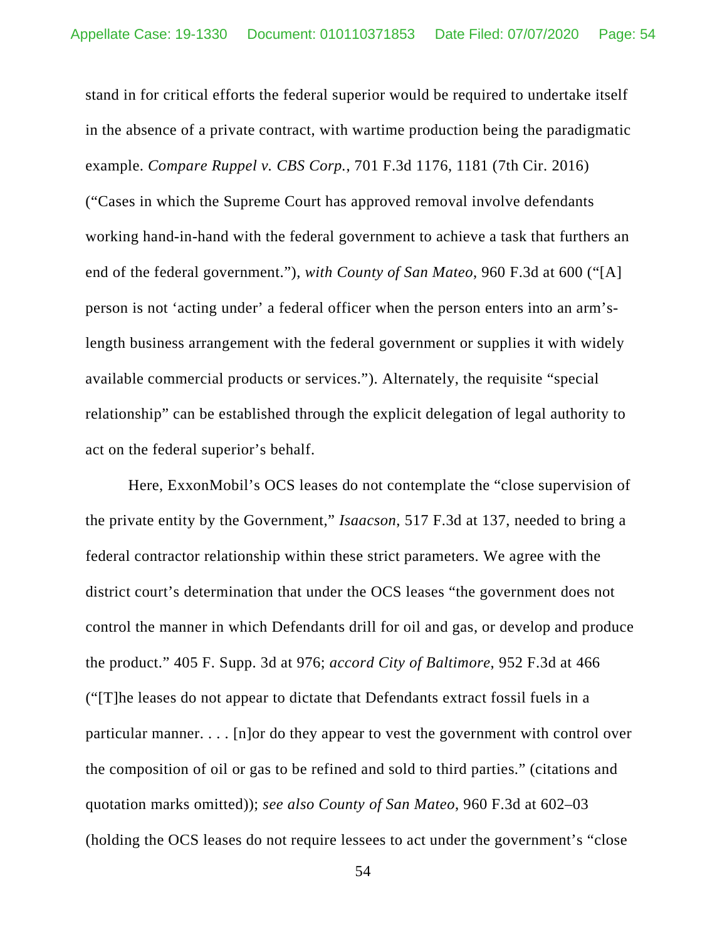stand in for critical efforts the federal superior would be required to undertake itself in the absence of a private contract, with wartime production being the paradigmatic example. *Compare Ruppel v. CBS Corp.*, 701 F.3d 1176, 1181 (7th Cir. 2016) ("Cases in which the Supreme Court has approved removal involve defendants working hand-in-hand with the federal government to achieve a task that furthers an end of the federal government."), *with County of San Mateo*, 960 F.3d at 600 ("[A] person is not 'acting under' a federal officer when the person enters into an arm'slength business arrangement with the federal government or supplies it with widely available commercial products or services."). Alternately, the requisite "special relationship" can be established through the explicit delegation of legal authority to act on the federal superior's behalf.

Here, ExxonMobil's OCS leases do not contemplate the "close supervision of the private entity by the Government," *Isaacson*, 517 F.3d at 137, needed to bring a federal contractor relationship within these strict parameters. We agree with the district court's determination that under the OCS leases "the government does not control the manner in which Defendants drill for oil and gas, or develop and produce the product." 405 F. Supp. 3d at 976; *accord City of Baltimore*, 952 F.3d at 466 ("[T]he leases do not appear to dictate that Defendants extract fossil fuels in a particular manner. . . . [n]or do they appear to vest the government with control over the composition of oil or gas to be refined and sold to third parties." (citations and quotation marks omitted)); *see also County of San Mateo*, 960 F.3d at 602–03 (holding the OCS leases do not require lessees to act under the government's "close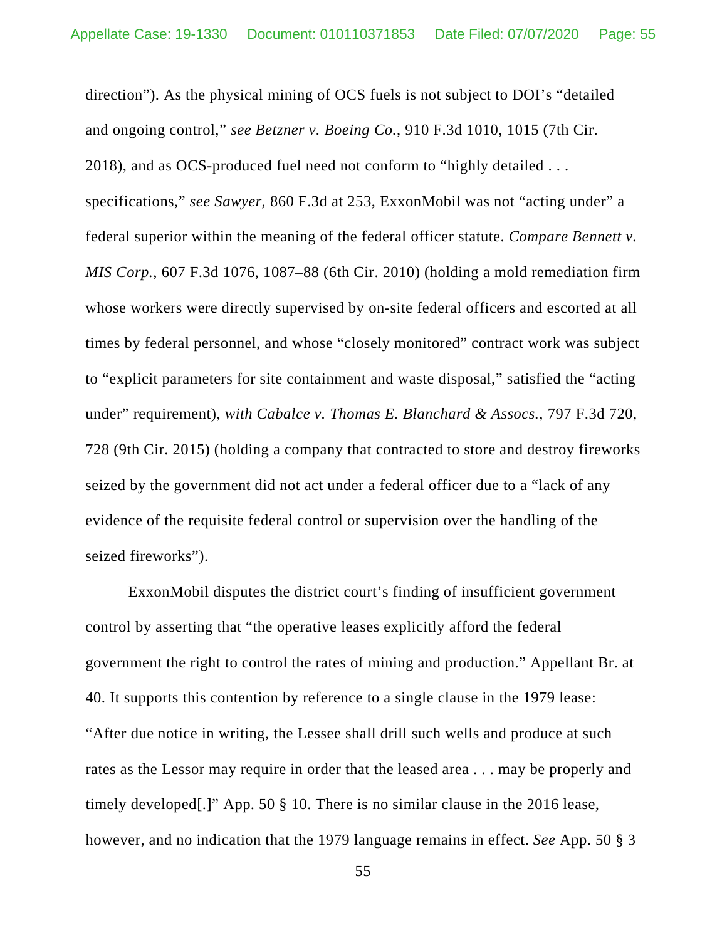direction"). As the physical mining of OCS fuels is not subject to DOI's "detailed and ongoing control," *see Betzner v. Boeing Co.*, 910 F.3d 1010, 1015 (7th Cir. 2018), and as OCS-produced fuel need not conform to "highly detailed . . . specifications," *see Sawyer*, 860 F.3d at 253, ExxonMobil was not "acting under" a federal superior within the meaning of the federal officer statute. *Compare Bennett v. MIS Corp.*, 607 F.3d 1076, 1087–88 (6th Cir. 2010) (holding a mold remediation firm whose workers were directly supervised by on-site federal officers and escorted at all times by federal personnel, and whose "closely monitored" contract work was subject to "explicit parameters for site containment and waste disposal," satisfied the "acting under" requirement), *with Cabalce v. Thomas E. Blanchard & Assocs.*, 797 F.3d 720, 728 (9th Cir. 2015) (holding a company that contracted to store and destroy fireworks seized by the government did not act under a federal officer due to a "lack of any evidence of the requisite federal control or supervision over the handling of the seized fireworks").

ExxonMobil disputes the district court's finding of insufficient government control by asserting that "the operative leases explicitly afford the federal government the right to control the rates of mining and production." Appellant Br. at 40. It supports this contention by reference to a single clause in the 1979 lease: "After due notice in writing, the Lessee shall drill such wells and produce at such rates as the Lessor may require in order that the leased area . . . may be properly and timely developed[.]" App. 50 § 10. There is no similar clause in the 2016 lease, however, and no indication that the 1979 language remains in effect. *See* App. 50 § 3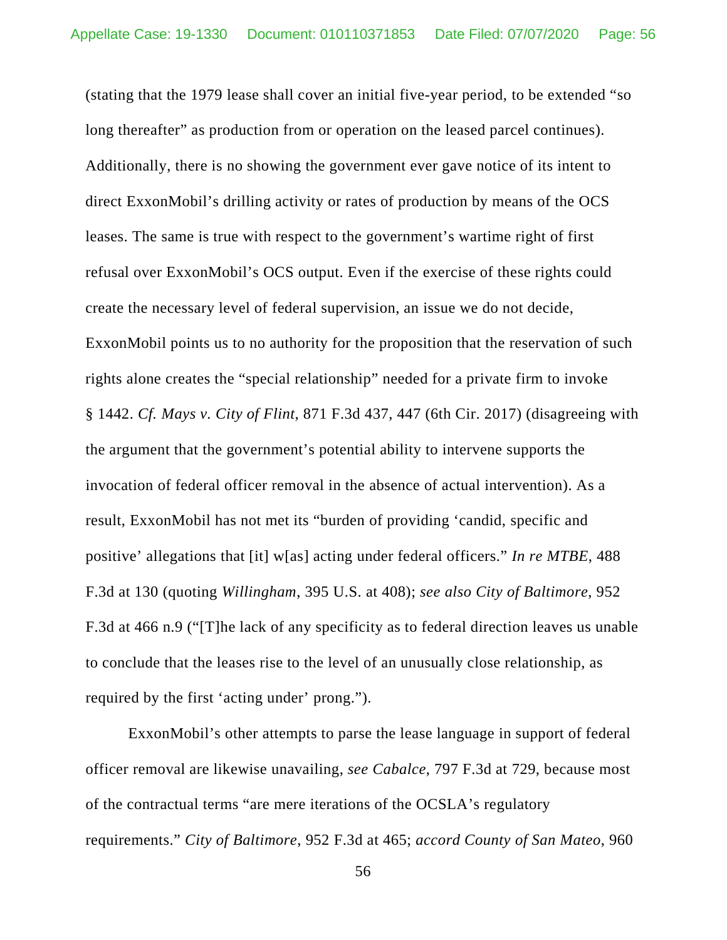(stating that the 1979 lease shall cover an initial five-year period, to be extended "so long thereafter" as production from or operation on the leased parcel continues). Additionally, there is no showing the government ever gave notice of its intent to direct ExxonMobil's drilling activity or rates of production by means of the OCS leases. The same is true with respect to the government's wartime right of first refusal over ExxonMobil's OCS output. Even if the exercise of these rights could create the necessary level of federal supervision, an issue we do not decide, ExxonMobil points us to no authority for the proposition that the reservation of such rights alone creates the "special relationship" needed for a private firm to invoke § 1442. *Cf. Mays v. City of Flint*, 871 F.3d 437, 447 (6th Cir. 2017) (disagreeing with the argument that the government's potential ability to intervene supports the invocation of federal officer removal in the absence of actual intervention). As a result, ExxonMobil has not met its "burden of providing 'candid, specific and positive' allegations that [it] w[as] acting under federal officers." *In re MTBE*, 488 F.3d at 130 (quoting *Willingham*, 395 U.S. at 408); *see also City of Baltimore*, 952 F.3d at 466 n.9 ("[T]he lack of any specificity as to federal direction leaves us unable to conclude that the leases rise to the level of an unusually close relationship, as required by the first 'acting under' prong.").

ExxonMobil's other attempts to parse the lease language in support of federal officer removal are likewise unavailing, *see Cabalce*, 797 F.3d at 729, because most of the contractual terms "are mere iterations of the OCSLA's regulatory requirements." *City of Baltimore*, 952 F.3d at 465; *accord County of San Mateo*, 960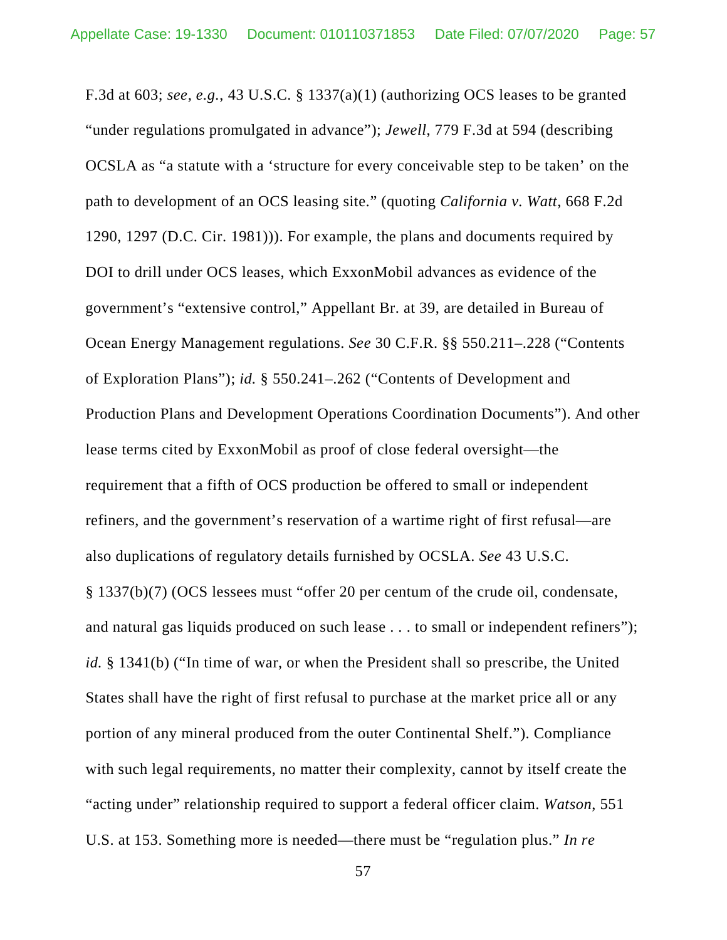F.3d at 603; *see, e.g.*, 43 U.S.C. § 1337(a)(1) (authorizing OCS leases to be granted "under regulations promulgated in advance"); *Jewell*, 779 F.3d at 594 (describing OCSLA as "a statute with a 'structure for every conceivable step to be taken' on the path to development of an OCS leasing site." (quoting *California v. Watt*, 668 F.2d 1290, 1297 (D.C. Cir. 1981))). For example, the plans and documents required by DOI to drill under OCS leases, which ExxonMobil advances as evidence of the government's "extensive control," Appellant Br. at 39, are detailed in Bureau of Ocean Energy Management regulations. *See* 30 C.F.R. §§ 550.211–.228 ("Contents of Exploration Plans"); *id.* § 550.241–.262 ("Contents of Development and Production Plans and Development Operations Coordination Documents"). And other lease terms cited by ExxonMobil as proof of close federal oversight—the requirement that a fifth of OCS production be offered to small or independent refiners, and the government's reservation of a wartime right of first refusal—are also duplications of regulatory details furnished by OCSLA. *See* 43 U.S.C. § 1337(b)(7) (OCS lessees must "offer 20 per centum of the crude oil, condensate, and natural gas liquids produced on such lease . . . to small or independent refiners"); *id.* § 1341(b) ("In time of war, or when the President shall so prescribe, the United States shall have the right of first refusal to purchase at the market price all or any portion of any mineral produced from the outer Continental Shelf."). Compliance with such legal requirements, no matter their complexity, cannot by itself create the "acting under" relationship required to support a federal officer claim. *Watson*, 551 U.S. at 153. Something more is needed—there must be "regulation plus." *In re*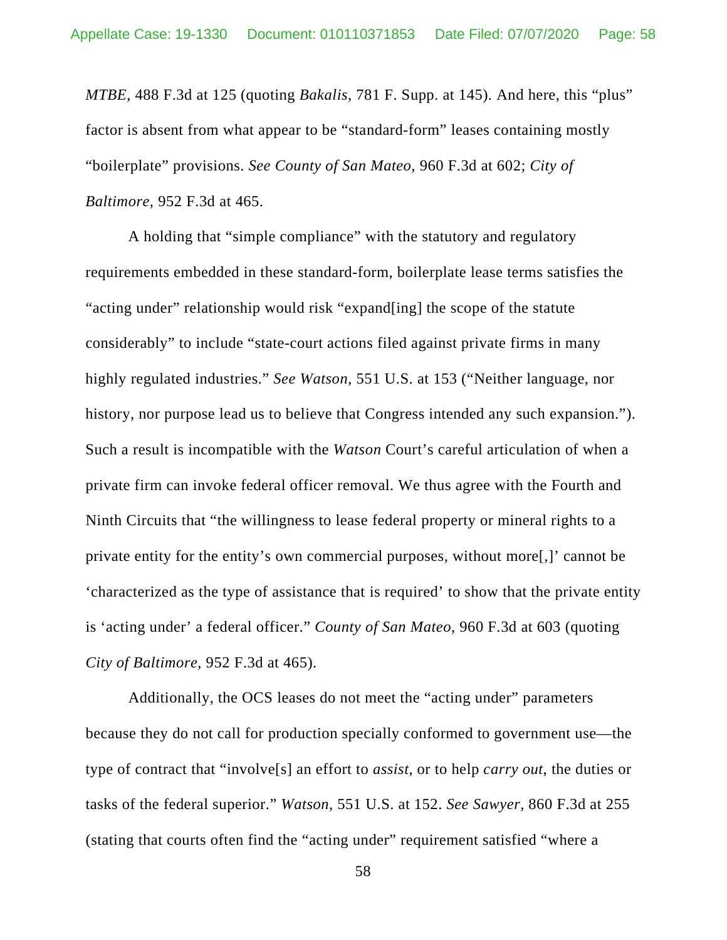*MTBE*, 488 F.3d at 125 (quoting *Bakalis*, 781 F. Supp. at 145). And here, this "plus" factor is absent from what appear to be "standard-form" leases containing mostly "boilerplate" provisions. *See County of San Mateo*, 960 F.3d at 602; *City of Baltimore*, 952 F.3d at 465.

A holding that "simple compliance" with the statutory and regulatory requirements embedded in these standard-form, boilerplate lease terms satisfies the "acting under" relationship would risk "expand[ing] the scope of the statute considerably" to include "state-court actions filed against private firms in many highly regulated industries." *See Watson*, 551 U.S. at 153 ("Neither language, nor history, nor purpose lead us to believe that Congress intended any such expansion."). Such a result is incompatible with the *Watson* Court's careful articulation of when a private firm can invoke federal officer removal. We thus agree with the Fourth and Ninth Circuits that "the willingness to lease federal property or mineral rights to a private entity for the entity's own commercial purposes, without more[,]' cannot be 'characterized as the type of assistance that is required' to show that the private entity is 'acting under' a federal officer." *County of San Mateo*, 960 F.3d at 603 (quoting *City of Baltimore*, 952 F.3d at 465).

Additionally, the OCS leases do not meet the "acting under" parameters because they do not call for production specially conformed to government use—the type of contract that "involve[s] an effort to *assist*, or to help *carry out*, the duties or tasks of the federal superior." *Watson*, 551 U.S. at 152. *See Sawyer*, 860 F.3d at 255 (stating that courts often find the "acting under" requirement satisfied "where a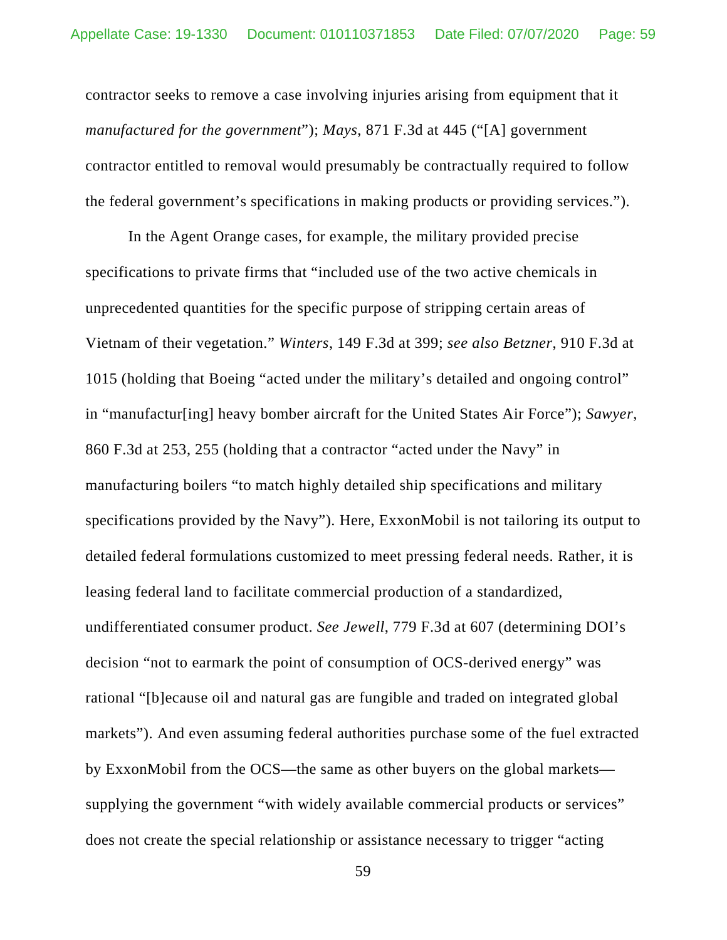contractor seeks to remove a case involving injuries arising from equipment that it *manufactured for the government*"); *Mays*, 871 F.3d at 445 ("[A] government contractor entitled to removal would presumably be contractually required to follow the federal government's specifications in making products or providing services.").

In the Agent Orange cases, for example, the military provided precise specifications to private firms that "included use of the two active chemicals in unprecedented quantities for the specific purpose of stripping certain areas of Vietnam of their vegetation." *Winters*, 149 F.3d at 399; *see also Betzner*, 910 F.3d at 1015 (holding that Boeing "acted under the military's detailed and ongoing control" in "manufactur[ing] heavy bomber aircraft for the United States Air Force"); *Sawyer*, 860 F.3d at 253, 255 (holding that a contractor "acted under the Navy" in manufacturing boilers "to match highly detailed ship specifications and military specifications provided by the Navy"). Here, ExxonMobil is not tailoring its output to detailed federal formulations customized to meet pressing federal needs. Rather, it is leasing federal land to facilitate commercial production of a standardized, undifferentiated consumer product. *See Jewell*, 779 F.3d at 607 (determining DOI's decision "not to earmark the point of consumption of OCS-derived energy" was rational "[b]ecause oil and natural gas are fungible and traded on integrated global markets"). And even assuming federal authorities purchase some of the fuel extracted by ExxonMobil from the OCS—the same as other buyers on the global markets supplying the government "with widely available commercial products or services" does not create the special relationship or assistance necessary to trigger "acting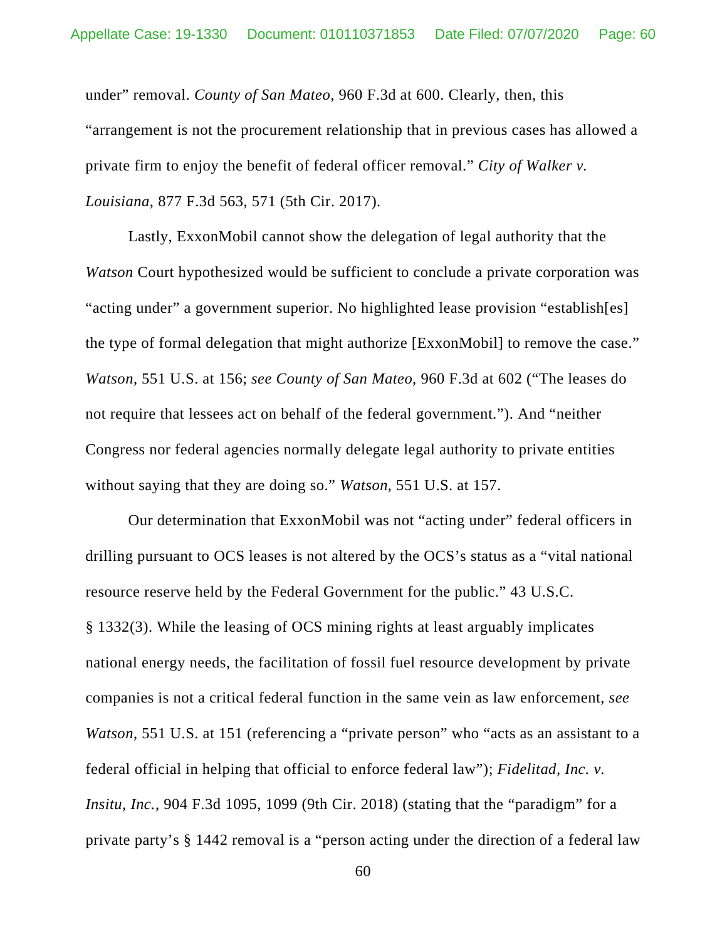under" removal. *County of San Mateo*, 960 F.3d at 600. Clearly, then, this "arrangement is not the procurement relationship that in previous cases has allowed a private firm to enjoy the benefit of federal officer removal." *City of Walker v. Louisiana*, 877 F.3d 563, 571 (5th Cir. 2017).

Lastly, ExxonMobil cannot show the delegation of legal authority that the *Watson* Court hypothesized would be sufficient to conclude a private corporation was "acting under" a government superior. No highlighted lease provision "establish[es] the type of formal delegation that might authorize [ExxonMobil] to remove the case." *Watson*, 551 U.S. at 156; *see County of San Mateo*, 960 F.3d at 602 ("The leases do not require that lessees act on behalf of the federal government."). And "neither Congress nor federal agencies normally delegate legal authority to private entities without saying that they are doing so." *Watson*, 551 U.S. at 157.

Our determination that ExxonMobil was not "acting under" federal officers in drilling pursuant to OCS leases is not altered by the OCS's status as a "vital national resource reserve held by the Federal Government for the public." 43 U.S.C. § 1332(3). While the leasing of OCS mining rights at least arguably implicates national energy needs, the facilitation of fossil fuel resource development by private companies is not a critical federal function in the same vein as law enforcement, *see Watson*, 551 U.S. at 151 (referencing a "private person" who "acts as an assistant to a federal official in helping that official to enforce federal law"); *Fidelitad, Inc. v. Insitu, Inc.*, 904 F.3d 1095, 1099 (9th Cir. 2018) (stating that the "paradigm" for a private party's § 1442 removal is a "person acting under the direction of a federal law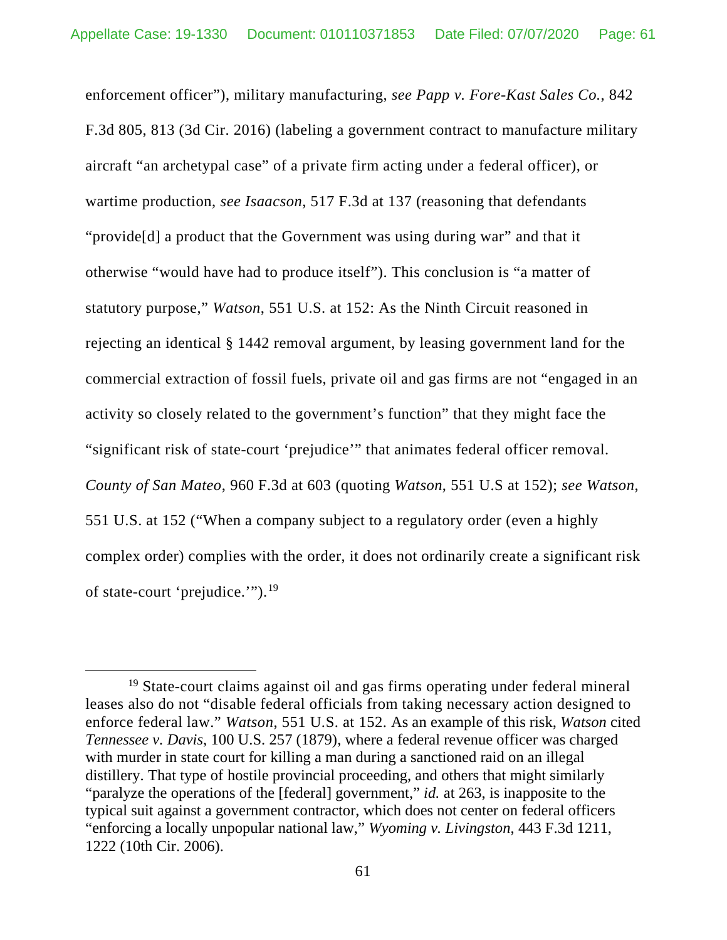enforcement officer"), military manufacturing, *see Papp v. Fore-Kast Sales Co.*, 842 F.3d 805, 813 (3d Cir. 2016) (labeling a government contract to manufacture military aircraft "an archetypal case" of a private firm acting under a federal officer), or wartime production, *see Isaacson*, 517 F.3d at 137 (reasoning that defendants "provide[d] a product that the Government was using during war" and that it otherwise "would have had to produce itself"). This conclusion is "a matter of statutory purpose," *Watson*, 551 U.S. at 152: As the Ninth Circuit reasoned in rejecting an identical § 1442 removal argument, by leasing government land for the commercial extraction of fossil fuels, private oil and gas firms are not "engaged in an activity so closely related to the government's function" that they might face the "significant risk of state-court 'prejudice'" that animates federal officer removal. *County of San Mateo*, 960 F.3d at 603 (quoting *Watson*, 551 U.S at 152); *see Watson*, 551 U.S. at 152 ("When a company subject to a regulatory order (even a highly complex order) complies with the order, it does not ordinarily create a significant risk of state-court 'prejudice.'").[19](#page-60-0)

<span id="page-60-0"></span><sup>19</sup> State-court claims against oil and gas firms operating under federal mineral leases also do not "disable federal officials from taking necessary action designed to enforce federal law." *Watson*, 551 U.S. at 152. As an example of this risk, *Watson* cited *Tennessee v. Davis*, 100 U.S. 257 (1879), where a federal revenue officer was charged with murder in state court for killing a man during a sanctioned raid on an illegal distillery. That type of hostile provincial proceeding, and others that might similarly "paralyze the operations of the [federal] government," *id.* at 263, is inapposite to the typical suit against a government contractor, which does not center on federal officers "enforcing a locally unpopular national law," *Wyoming v. Livingston*, 443 F.3d 1211, 1222 (10th Cir. 2006).